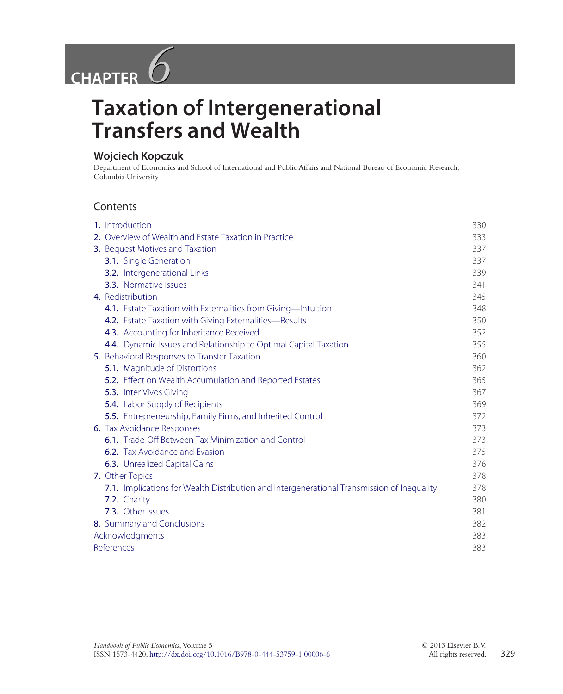

# **Taxation of Intergenerational Transfers and Wealth**

#### **Wojciech Kopczuk**

Department of Economics and School of International and Public Affairs and National Bureau of Economic Research, Columbia University

#### Contents

|            | 1. Introduction                                                                            | 330 |
|------------|--------------------------------------------------------------------------------------------|-----|
|            | 2. Overview of Wealth and Estate Taxation in Practice                                      | 333 |
|            | 3. Bequest Motives and Taxation                                                            | 337 |
|            | 3.1. Single Generation                                                                     | 337 |
|            | 3.2. Intergenerational Links                                                               | 339 |
|            | 3.3. Normative Issues                                                                      | 341 |
|            | 4. Redistribution                                                                          | 345 |
|            | 4.1. Estate Taxation with Externalities from Giving-Intuition                              | 348 |
|            | 4.2. Estate Taxation with Giving Externalities—Results                                     | 350 |
|            | 4.3. Accounting for Inheritance Received                                                   | 352 |
|            | 4.4. Dynamic Issues and Relationship to Optimal Capital Taxation                           | 355 |
|            | 5. Behavioral Responses to Transfer Taxation                                               | 360 |
|            | <b>5.1.</b> Magnitude of Distortions                                                       | 362 |
|            | <b>5.2.</b> Effect on Wealth Accumulation and Reported Estates                             | 365 |
|            | 5.3. Inter Vivos Giving                                                                    | 367 |
|            | <b>5.4.</b> Labor Supply of Recipients                                                     | 369 |
|            | 5.5. Entrepreneurship, Family Firms, and Inherited Control                                 | 372 |
|            | 6. Tax Avoidance Responses                                                                 | 373 |
|            | 6.1. Trade-Off Between Tax Minimization and Control                                        | 373 |
|            | <b>6.2.</b> Tax Avoidance and Evasion                                                      | 375 |
|            | <b>6.3.</b> Unrealized Capital Gains                                                       | 376 |
|            | 7. Other Topics                                                                            | 378 |
|            | 7.1. Implications for Wealth Distribution and Intergenerational Transmission of Inequality | 378 |
|            | 7.2. Charity                                                                               | 380 |
|            | 7.3. Other Issues                                                                          | 381 |
|            | 8. Summary and Conclusions                                                                 | 382 |
|            | Acknowledgments                                                                            |     |
| References |                                                                                            | 383 |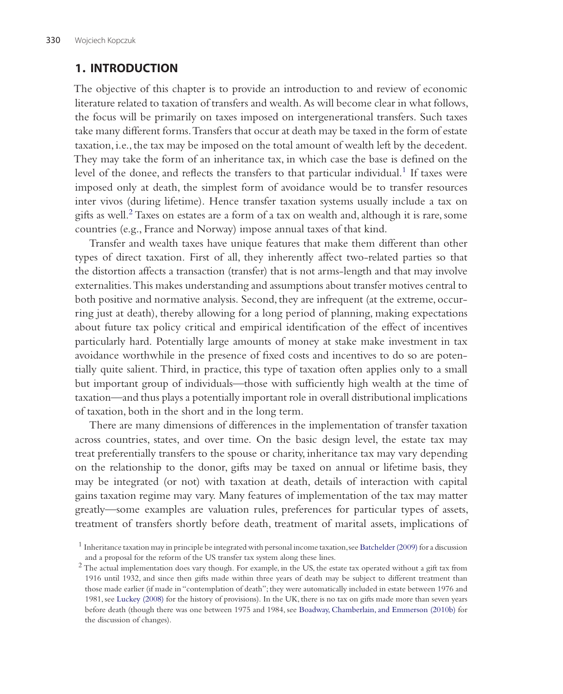## <span id="page-1-0"></span>**1. INTRODUCTION**

The objective of this chapter is to provide an introduction to and review of economic literature related to taxation of transfers and wealth. As will become clear in what follows, the focus will be primarily on taxes imposed on intergenerational transfers. Such taxes take many different forms.Transfers that occur at death may be taxed in the form of estate taxation, i.e.,the tax may be imposed on the total amount of wealth left by the decedent. They may take the form of an inheritance tax, in which case the base is defined on the level of the donee, and reflects the transfers to that particular individual.<sup>[1](#page-1-1)</sup> If taxes were imposed only at death, the simplest form of avoidance would be to transfer resources inter vivos (during lifetime). Hence transfer taxation systems usually include a tax on gifts as well.<sup>2</sup> Taxes on estates are a form of a tax on wealth and, although it is rare, some countries (e.g., France and Norway) impose annual taxes of that kind.

Transfer and wealth taxes have unique features that make them different than other types of direct taxation. First of all, they inherently affect two-related parties so that the distortion affects a transaction (transfer) that is not arms-length and that may involve externalities.This makes understanding and assumptions about transfer motives central to both positive and normative analysis. Second, they are infrequent (at the extreme, occurring just at death), thereby allowing for a long period of planning, making expectations about future tax policy critical and empirical identification of the effect of incentives particularly hard. Potentially large amounts of money at stake make investment in tax avoidance worthwhile in the presence of fixed costs and incentives to do so are potentially quite salient. Third, in practice, this type of taxation often applies only to a small but important group of individuals—those with sufficiently high wealth at the time of taxation—and thus plays a potentially important role in overall distributional implications of taxation, both in the short and in the long term.

There are many dimensions of differences in the implementation of transfer taxation across countries, states, and over time. On the basic design level, the estate tax may treat preferentially transfers to the spouse or charity, inheritance tax may vary depending on the relationship to the donor, gifts may be taxed on annual or lifetime basis, they may be integrated (or not) with taxation at death, details of interaction with capital gains taxation regime may vary. Many features of implementation of the tax may matter greatly—some examples are valuation rules, preferences for particular types of assets, treatment of transfers shortly before death, treatment of marital assets, implications of

 $^1$  Inheritance taxation may in principle be integrated with personal income taxation, see [Batchelder \(2009\)](#page-54-0) for a discussion and a proposal for the reform of the US transfer tax system along these lines.

<span id="page-1-2"></span><span id="page-1-1"></span><sup>&</sup>lt;sup>2</sup> The actual implementation does vary though. For example, in the US, the estate tax operated without a gift tax from 1916 until 1932, and since then gifts made within three years of death may be subject to different treatment than those made earlier (if made in "contemplation of death";they were automatically included in estate between 1976 and 1981, see [Luckey \(2008\)](#page-59-0) for the history of provisions). In the UK, there is no tax on gifts made more than seven years before death (though there was one between 1975 and 1984, see [Boadway, Chamberlain, and Emmerson \(2010b\)](#page-55-0) for the discussion of changes).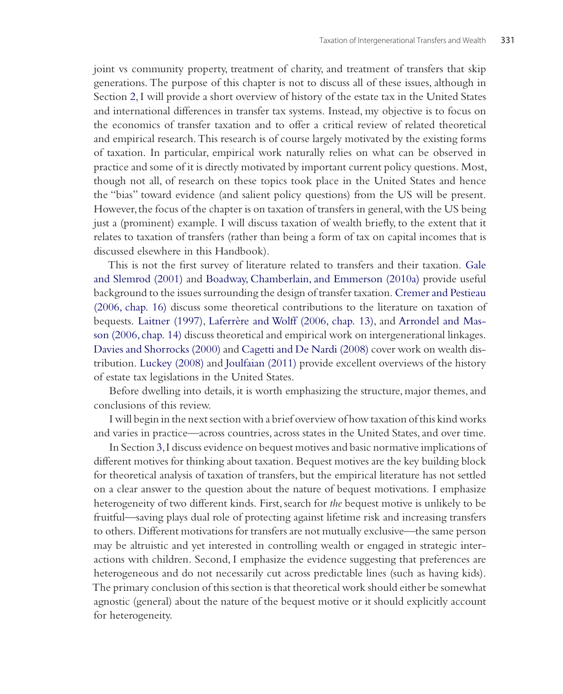joint vs community property, treatment of charity, and treatment of transfers that skip generations. The purpose of this chapter is not to discuss all of these issues, although in Section [2,](#page-4-0) I will provide a short overview of history of the estate tax in the United States and international differences in transfer tax systems. Instead, my objective is to focus on the economics of transfer taxation and to offer a critical review of related theoretical and empirical research.This research is of course largely motivated by the existing forms of taxation. In particular, empirical work naturally relies on what can be observed in practice and some of it is directly motivated by important current policy questions. Most, though not all, of research on these topics took place in the United States and hence the "bias" toward evidence (and salient policy questions) from the US will be present. However, the focus of the chapter is on taxation of transfers in general, with the US being just a (prominent) example. I will discuss taxation of wealth briefly, to the extent that it relates to taxation of transfers (rather than being a form of tax on capital incomes that is discussed elsewhere in this Handbook).

This is not the first survey of literature related to transfers and their taxation. Gale and Slemrod (2001) and [Boadway, Chamberlain, and Emmerson \(2010a\)](#page-55-1) provide useful background to the issues surrounding the design of transfer taxation. Cremer and Pestieau (2006, chap. 16) [discuss](#page-56-0) [some](#page-56-0) [theoretical](#page-56-0) [contributions](#page-56-0) [to](#page-56-0) [the](#page-56-0) [liter](#page-56-0)ature on taxation of bequests. [Laitner \(1997\),](#page-59-1) [Laferrère and Wolff \(2006, chap. 13\),](#page-59-2) and Arrondel and Masson (2006, chap. 14) [discuss](#page-53-2) [theoretical](#page-53-2) [and](#page-53-2) [empirical](#page-53-2) [work](#page-53-2) [on](#page-53-2) [interge](#page-53-2)nerational linkages. [Davies and Shorrocks \(2000\)](#page-56-1) and [Cagetti and De Nardi \(2008\)](#page-55-2) cover work on wealth distribution. [Luckey \(2008\)](#page-59-0) and [Joulfaian \(2011\)](#page-58-0) provide excellent overviews of the history of estate tax legislations in the United States.

Before dwelling into details, it is worth emphasizing the structure, major themes, and conclusions of this review.

I will begin in the next section with a brief overview of how taxation of this kind works and varies in practice—across countries, across states in the United States, and over time.

In Section [3,](#page-8-0)I discuss evidence on bequest motives and basic normative implications of different motives for thinking about taxation. Bequest motives are the key building block for theoretical analysis of taxation of transfers, but the empirical literature has not settled on a clear answer to the question about the nature of bequest motivations. I emphasize heterogeneity of two different kinds. First, search for *the* bequest motive is unlikely to be fruitful—saving plays dual role of protecting against lifetime risk and increasing transfers to others. Different motivations for transfers are not mutually exclusive—the same person may be altruistic and yet interested in controlling wealth or engaged in strategic interactions with children. Second, I emphasize the evidence suggesting that preferences are heterogeneous and do not necessarily cut across predictable lines (such as having kids). The primary conclusion of this section is that theoretical work should either be somewhat agnostic (general) about the nature of the bequest motive or it should explicitly account for heterogeneity.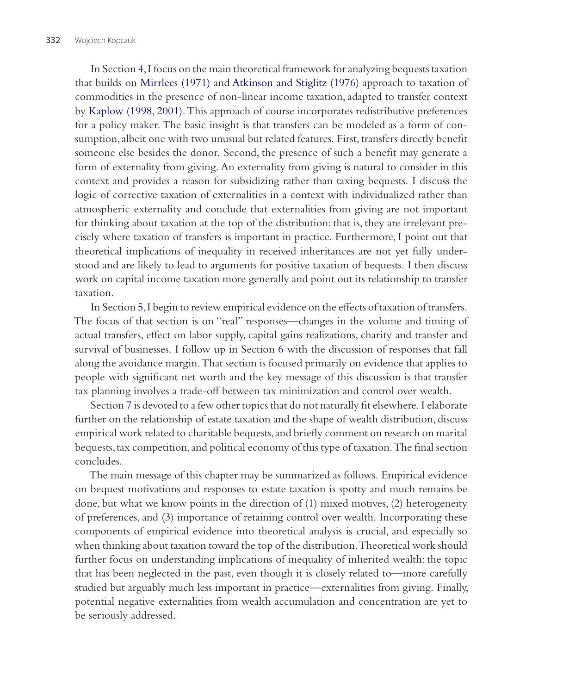In Section [4,](#page-15-0) I focus on the main theoretical framework for analyzing bequests taxation that builds on [Mirrlees \(1971\)](#page-59-3) and [Atkinson and Stiglitz \(1976\)](#page-53-3) approach to taxation of commodities in the presence of non-linear income taxation, adapted to transfer context by Kaplow (1998, 2001).This approach of course incorporates redistributive preferences for a policy maker. The basic insight is that transfers can be modeled as a form of consumption, albeit one with two unusual but related features. First, transfers directly benefit someone else besides the donor. Second, the presence of such a benefit may generate a form of externality from giving. An externality from giving is natural to consider in this context and provides a reason for subsidizing rather than taxing bequests. I discuss the logic of corrective taxation of externalities in a context with individualized rather than atmospheric externality and conclude that externalities from giving are not important for thinking about taxation at the top of the distribution: that is, they are irrelevant precisely where taxation of transfers is important in practice. Furthermore, I point out that theoretical implications of inequality in received inheritances are not yet fully understood and are likely to lead to arguments for positive taxation of bequests. I then discuss work on capital income taxation more generally and point out its relationship to transfer taxation.

In Section [5,](#page-30-0)I begin to review empirical evidence on the effects of taxation of transfers. The focus of that section is on "real" responses—changes in the volume and timing of actual transfers, effect on labor supply, capital gains realizations, charity and transfer and survival of businesses. I follow up in Section [6](#page-43-0) with the discussion of responses that fall along the avoidance margin.That section is focused primarily on evidence that applies to people with significant net worth and the key message of this discussion is that transfer tax planning involves a trade-off between tax minimization and control over wealth.

Section [7](#page-48-0) is devoted to a few other topics that do not naturally fit elsewhere. I elaborate further on the relationship of estate taxation and the shape of wealth distribution, discuss empirical work related to charitable bequests,and briefly comment on research on marital bequests,tax competition, and political economy of this type of taxation.The final section concludes.

The main message of this chapter may be summarized as follows. Empirical evidence on bequest motivations and responses to estate taxation is spotty and much remains be done, but what we know points in the direction of (1) mixed motives, (2) heterogeneity of preferences, and (3) importance of retaining control over wealth. Incorporating these components of empirical evidence into theoretical analysis is crucial, and especially so when thinking about taxation toward the top of the distribution.Theoretical work should further focus on understanding implications of inequality of inherited wealth: the topic that has been neglected in the past, even though it is closely related to—more carefully studied but arguably much less important in practice—externalities from giving. Finally, potential negative externalities from wealth accumulation and concentration are yet to be seriously addressed.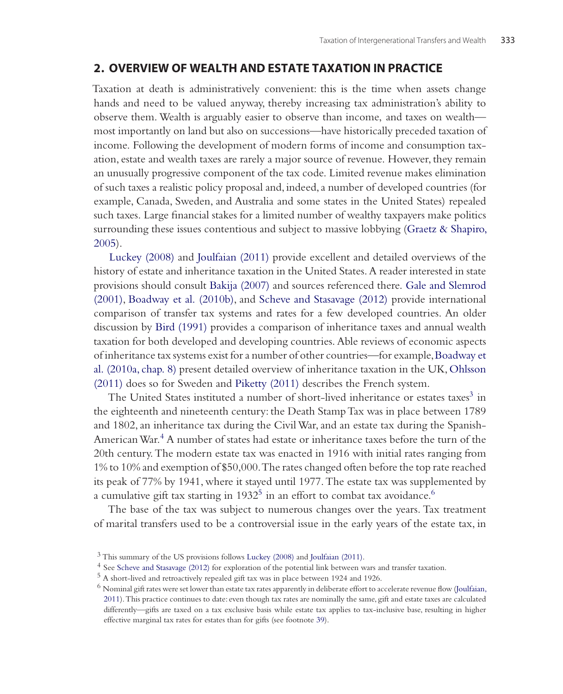## <span id="page-4-0"></span>**2. OVERVIEW OF WEALTH AND ESTATE TAXATION IN PRACTICE**

Taxation at death is administratively convenient: this is the time when assets change hands and need to be valued anyway, thereby increasing tax administration's ability to observe them. Wealth is arguably easier to observe than income, and taxes on wealth most importantly on land but also on successions—have historically preceded taxation of income. Following the development of modern forms of income and consumption taxation, estate and wealth taxes are rarely a major source of revenue. However, they remain an unusually progressive component of the tax code. Limited revenue makes elimination of such taxes a realistic policy proposal and, indeed, a number of developed countries (for example, Canada, Sweden, and Australia and some states in the United States) repealed such taxes. Large financial stakes for a limited number of wealthy taxpayers make politics surrounding these issues contentious and subject to massive lobbying (Graetz & Shapiro, 2005).

[Luckey \(2008\)](#page-59-0) and [Joulfaian \(2011\)](#page-58-0) provide excellent and detailed overviews of the history of estate and inheritance taxation in the United States. A reader interested in state provisions should consult [Bakija \(2007\)](#page-54-1) and sources referenced there. Gale and Slemrod (2001), [Boadway et al. \(2010b\),](#page-55-0) and [Scheve and Stasavage \(2012\)](#page-61-0) provide international comparison of transfer tax systems and rates for a few developed countries. An older discussion by [Bird \(1991\)](#page-54-2) provides a comparison of inheritance taxes and annual wealth taxation for both developed and developing countries. Able reviews of economic aspects of inheritance tax systems exist for a number of other countries—for example,Boadway et al. (2010a, chap. 8) present detailed overview of inheritance taxation in the UK, Ohlsson (2011) does so for Sweden and [Piketty \(2011\)](#page-60-0) describes the French system.

The United States instituted a number of short-lived inheritance or estates taxes<sup>3</sup> in the eighteenth and nineteenth century: the Death StampTax was in place between 1789 and 1802, an inheritance tax during the CivilWar, and an estate tax during the Spanish-American War.<sup>4</sup> A number of states had estate or inheritance taxes before the turn of the 20th century. The modern estate tax was enacted in 1916 with initial rates ranging from 1% to 10% and exemption of \$50,000.The rates changed often before the top rate reached its peak of 77% by 1941, where it stayed until 1977. The estate tax was supplemented by a cumulative gift tax starting in  $1932^5$  in an effort to combat tax avoidance.<sup>6</sup>

The base of the tax was subject to numerous changes over the years. Tax treatment of marital transfers used to be a controversial issue in the early years of the estate tax, in

<sup>3</sup> This summary of the US provisions follows [Luckey \(2008\)](#page-59-0) and [Joulfaian \(2011\).](#page-58-0)

<span id="page-4-1"></span><sup>4</sup> See [Scheve and Stasavage \(2012\)](#page-61-0) for exploration of the potential link between wars and transfer taxation.

<span id="page-4-2"></span><sup>5</sup> A short-lived and retroactively repealed gift tax was in place between 1924 and 1926.

<span id="page-4-4"></span><span id="page-4-3"></span><sup>6</sup> Nominal gift rates were set lower than estate tax rates apparently in deliberate effort to accelerate revenue flow (Joulfaian, 2011).This practice continues to date: even though tax rates are nominally the same, gift and estate taxes are calculated differently—gifts are taxed on a tax exclusive basis while estate tax applies to tax-inclusive base, resulting in higher effective marginal tax rates for estates than for gifts (see footnote [39\)](#page-37-1).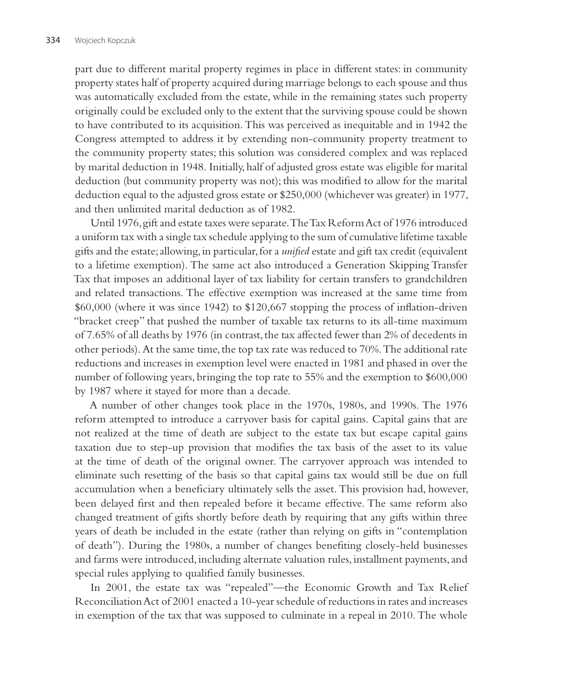part due to different marital property regimes in place in different states: in community property states half of property acquired during marriage belongs to each spouse and thus was automatically excluded from the estate, while in the remaining states such property originally could be excluded only to the extent that the surviving spouse could be shown to have contributed to its acquisition. This was perceived as inequitable and in 1942 the Congress attempted to address it by extending non-community property treatment to the community property states; this solution was considered complex and was replaced by marital deduction in 1948. Initially, half of adjusted gross estate was eligible for marital deduction (but community property was not); this was modified to allow for the marital deduction equal to the adjusted gross estate or \$250,000 (whichever was greater) in 1977, and then unlimited marital deduction as of 1982.

Until 1976,gift and estate taxes were separate.TheTax ReformAct of 1976 introduced a uniform tax with a single tax schedule applying to the sum of cumulative lifetime taxable gifts and the estate; allowing,in particular,for a *unified* estate and gift tax credit (equivalent to a lifetime exemption). The same act also introduced a Generation Skipping Transfer Tax that imposes an additional layer of tax liability for certain transfers to grandchildren and related transactions. The effective exemption was increased at the same time from \$60,000 (where it was since 1942) to \$120,667 stopping the process of inflation-driven "bracket creep" that pushed the number of taxable tax returns to its all-time maximum of 7.65% of all deaths by 1976 (in contrast,the tax affected fewer than 2% of decedents in other periods). At the same time, the top tax rate was reduced to 70%. The additional rate reductions and increases in exemption level were enacted in 1981 and phased in over the number of following years, bringing the top rate to 55% and the exemption to \$600,000 by 1987 where it stayed for more than a decade.

A number of other changes took place in the 1970s, 1980s, and 1990s. The 1976 reform attempted to introduce a carryover basis for capital gains. Capital gains that are not realized at the time of death are subject to the estate tax but escape capital gains taxation due to step-up provision that modifies the tax basis of the asset to its value at the time of death of the original owner. The carryover approach was intended to eliminate such resetting of the basis so that capital gains tax would still be due on full accumulation when a beneficiary ultimately sells the asset. This provision had, however, been delayed first and then repealed before it became effective. The same reform also changed treatment of gifts shortly before death by requiring that any gifts within three years of death be included in the estate (rather than relying on gifts in "contemplation of death"). During the 1980s, a number of changes benefiting closely-held businesses and farms were introduced, including alternate valuation rules, installment payments, and special rules applying to qualified family businesses.

In 2001, the estate tax was "repealed"—the Economic Growth and Tax Relief ReconciliationAct of 2001 enacted a 10-year schedule of reductions in rates and increases in exemption of the tax that was supposed to culminate in a repeal in 2010. The whole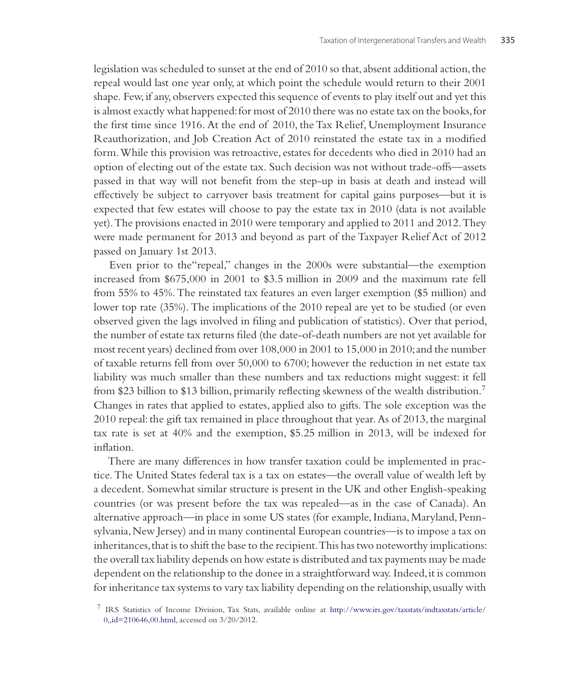legislation was scheduled to sunset at the end of  $2010$  so that, absent additional action, the repeal would last one year only, at which point the schedule would return to their 2001 shape. Few,if any, observers expected this sequence of events to play itself out and yet this is almost exactly what happened: for most of  $2010$  there was no estate tax on the books, for the first time since 1916. At the end of 2010, the Tax Relief, Unemployment Insurance Reauthorization, and Job Creation Act of 2010 reinstated the estate tax in a modified form.While this provision was retroactive, estates for decedents who died in 2010 had an option of electing out of the estate tax. Such decision was not without trade-offs—assets passed in that way will not benefit from the step-up in basis at death and instead will effectively be subject to carryover basis treatment for capital gains purposes—but it is expected that few estates will choose to pay the estate tax in 2010 (data is not available yet).The provisions enacted in 2010 were temporary and applied to 2011 and 2012.They were made permanent for 2013 and beyond as part of the Taxpayer Relief Act of 2012 passed on January 1st 2013.

Even prior to the"repeal," changes in the 2000s were substantial—the exemption increased from \$675,000 in 2001 to \$3.5 million in 2009 and the maximum rate fell from 55% to 45%. The reinstated tax features an even larger exemption (\$5 million) and lower top rate (35%). The implications of the 2010 repeal are yet to be studied (or even observed given the lags involved in filing and publication of statistics). Over that period, the number of estate tax returns filed (the date-of-death numbers are not yet available for most recent years) declined from over 108,000 in 2001 to 15,000 in 2010;and the number of taxable returns fell from over 50,000 to 6700; however the reduction in net estate tax liability was much smaller than these numbers and tax reductions might suggest: it fell from \$23 billion to \$13 billion, primarily reflecting skewness of the wealth distribution.<sup>7</sup> Changes in rates that applied to estates, applied also to gifts. The sole exception was the 2010 repeal: the gift tax remained in place throughout that year. As of 2013, the marginal tax rate is set at 40% and the exemption, \$5.25 million in 2013, will be indexed for inflation.

There are many differences in how transfer taxation could be implemented in practice. The United States federal tax is a tax on estates—the overall value of wealth left by a decedent. Somewhat similar structure is present in the UK and other English-speaking countries (or was present before the tax was repealed—as in the case of Canada). An alternative approach—in place in some US states (for example, Indiana,Maryland, Pennsylvania,New Jersey) and in many continental European countries—is to impose a tax on inheritances, that is to shift the base to the recipient. This has two noteworthy implications: the overall tax liability depends on how estate is distributed and tax payments may be made dependent on the relationship to the donee in a straightforward way. Indeed, it is common for inheritance tax systems to vary tax liability depending on the relationship, usually with

<span id="page-6-0"></span><sup>7</sup> IRS Statistics of Income Division, Tax Stats, available online at [http://www.irs.gov/taxstats/indtaxstats/article/](http://www.irs.gov/taxstats/indtaxstats/article/0,,id=210646,00.html) 0,,id=210646,00.html, accessed on 3/20/2012.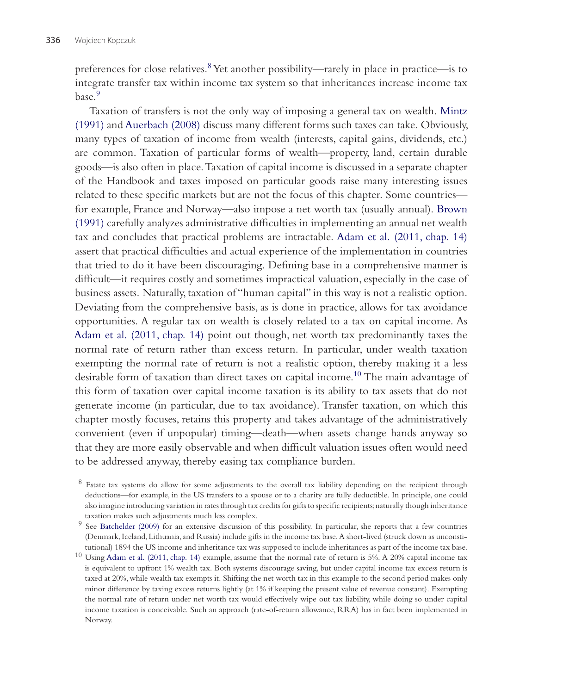preferences for close relatives[.8](#page-7-0) Yet another possibility—rarely in place in practice—is to integrate transfer tax within income tax system so that inheritances increase income tax base[.9](#page-7-1)

Taxation of transfers is not the only way of imposing a general tax on wealth. Mintz (1991) and[Auerbach \(2008\)](#page-54-3) discuss many different forms such taxes can take. Obviously, many types of taxation of income from wealth (interests, capital gains, dividends, etc.) are common. Taxation of particular forms of wealth—property, land, certain durable goods—is also often in place.Taxation of capital income is discussed in a separate chapter of the Handbook and taxes imposed on particular goods raise many interesting issues related to these specific markets but are not the focus of this chapter. Some countries for example, France and Norway—also impose a net worth tax (usually annual). Brown (1991) carefully analyzes administrative difficulties in implementing an annual net wealth tax and concludes that practical problems are intractable. [Adam et al. \(2011, chap. 14\)](#page-53-4) assert that practical difficulties and actual experience of the implementation in countries that tried to do it have been discouraging. Defining base in a comprehensive manner is difficult—it requires costly and sometimes impractical valuation, especially in the case of business assets. Naturally, taxation of "human capital" in this way is not a realistic option. Deviating from the comprehensive basis, as is done in practice, allows for tax avoidance opportunities. A regular tax on wealth is closely related to a tax on capital income. As [Adam et al. \(2011, chap. 14\)](#page-53-4) point out though, net worth tax predominantly taxes the normal rate of return rather than excess return. In particular, under wealth taxation exempting the normal rate of return is not a realistic option, thereby making it a less desirable form of taxation than direct taxes on capital income.<sup>10</sup> The main advantage of this form of taxation over capital income taxation is its ability to tax assets that do not generate income (in particular, due to tax avoidance). Transfer taxation, on which this chapter mostly focuses, retains this property and takes advantage of the administratively convenient (even if unpopular) timing—death—when assets change hands anyway so that they are more easily observable and when difficult valuation issues often would need to be addressed anyway, thereby easing tax compliance burden.

<span id="page-7-0"></span><sup>&</sup>lt;sup>8</sup> Estate tax systems do allow for some adjustments to the overall tax liability depending on the recipient through deductions—for example, in the US transfers to a spouse or to a charity are fully deductible. In principle, one could also imagine introducing variation in rates through tax credits for gifts to specific recipients;naturally though inheritance taxation makes such adjustments much less complex.

<span id="page-7-1"></span><sup>9</sup> See [Batchelder \(2009\)](#page-54-0) for an extensive discussion of this possibility. In particular, she reports that a few countries (Denmark, Iceland, Lithuania, and Russia) include gifts in the income tax base. A short-lived (struck down as unconstitutional) 1894 the US income and inheritance tax was supposed to include inheritances as part of the income tax base.

<span id="page-7-2"></span><sup>&</sup>lt;sup>10</sup> Using [Adam et al. \(2011, chap. 14\)](#page-53-4) example, assume that the normal rate of return is 5%. A 20% capital income tax is equivalent to upfront 1% wealth tax. Both systems discourage saving, but under capital income tax excess return is taxed at 20%, while wealth tax exempts it. Shifting the net worth tax in this example to the second period makes only minor difference by taxing excess returns lightly (at 1% if keeping the present value of revenue constant). Exempting the normal rate of return under net worth tax would effectively wipe out tax liability, while doing so under capital income taxation is conceivable. Such an approach (rate-of-return allowance, RRA) has in fact been implemented in Norway.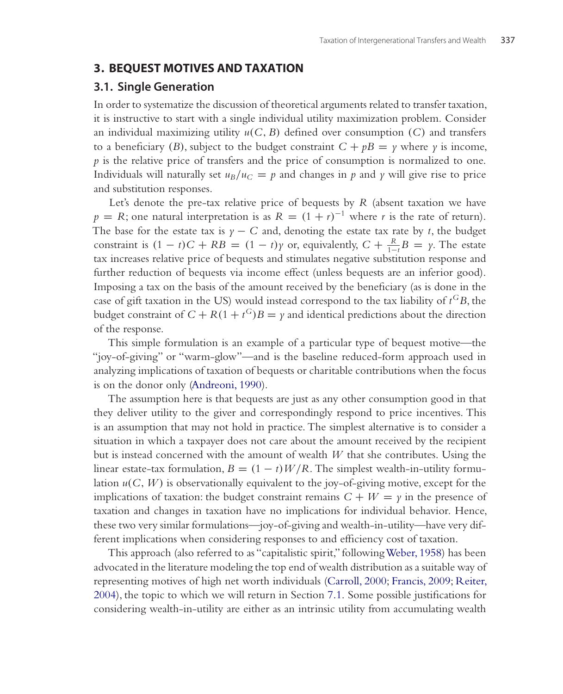## <span id="page-8-1"></span><span id="page-8-0"></span>**3. BEQUEST MOTIVES AND TAXATION**

## **3.1. Single Generation**

In order to systematize the discussion of theoretical arguments related to transfer taxation, it is instructive to start with a single individual utility maximization problem. Consider an individual maximizing utility  $u(C, B)$  defined over consumption  $(C)$  and transfers to a beneficiary (*B*), subject to the budget constraint  $C + pB = \gamma$  where  $\gamma$  is income, *p* is the relative price of transfers and the price of consumption is normalized to one. Individuals will naturally set  $u_B/u_C = p$  and changes in p and y will give rise to price and substitution responses.

Let's denote the pre-tax relative price of bequests by *R* (absent taxation we have  $p = R$ ; one natural interpretation is as  $R = (1 + r)^{-1}$  where *r* is the rate of return). The base for the estate tax is  $\gamma$  − *C* and, denoting the estate tax rate by *t*, the budget constraint is  $(1 - t)C + RB = (1 - t)\gamma$  or, equivalently,  $C + \frac{R}{1-t}B = \gamma$ . The estate tax increases relative price of bequests and stimulates negative substitution response and further reduction of bequests via income effect (unless bequests are an inferior good). Imposing a tax on the basis of the amount received by the beneficiary (as is done in the case of gift taxation in the US) would instead correspond to the tax liability of  $t$ <sup>G</sup>B, the budget constraint of  $C + R(1 + t^G)B = \gamma$  and identical predictions about the direction of the response.

This simple formulation is an example of a particular type of bequest motive—the "joy-of-giving" or "warm-glow"—and is the baseline reduced-form approach used in analyzing implications of taxation of bequests or charitable contributions when the focus is on the donor only [\(Andreoni, 1990\)](#page-53-5).

The assumption here is that bequests are just as any other consumption good in that they deliver utility to the giver and correspondingly respond to price incentives. This is an assumption that may not hold in practice. The simplest alternative is to consider a situation in which a taxpayer does not care about the amount received by the recipient but is instead concerned with the amount of wealth *W* that she contributes. Using the linear estate-tax formulation,  $B = (1 - t)W/R$ . The simplest wealth-in-utility formulation *u*(*C*, *W*) is observationally equivalent to the joy-of-giving motive, except for the implications of taxation: the budget constraint remains  $C + W = \gamma$  in the presence of taxation and changes in taxation have no implications for individual behavior. Hence, these two very similar formulations—joy-of-giving and wealth-in-utility—have very different implications when considering responses to and efficiency cost of taxation.

This approach (also referred to as "capitalistic spirit," following[Weber, 1958\)](#page-61-1) has been advocated in the literature modeling the top end of wealth distribution as a suitable way of representing motives of high net worth individuals [\(Carroll, 2000;](#page-55-3) [Francis, 2009;](#page-56-2) Reiter, 2004[\),](#page-60-1) [the](#page-60-1) [topic](#page-60-1) [to](#page-60-1) [which](#page-60-1) [we](#page-60-1) [will](#page-60-1) [return](#page-60-1) [in](#page-60-1) [Section](#page-60-1) [7.1.](#page-48-1) Some possible justifications for considering wealth-in-utility are either as an intrinsic utility from accumulating wealth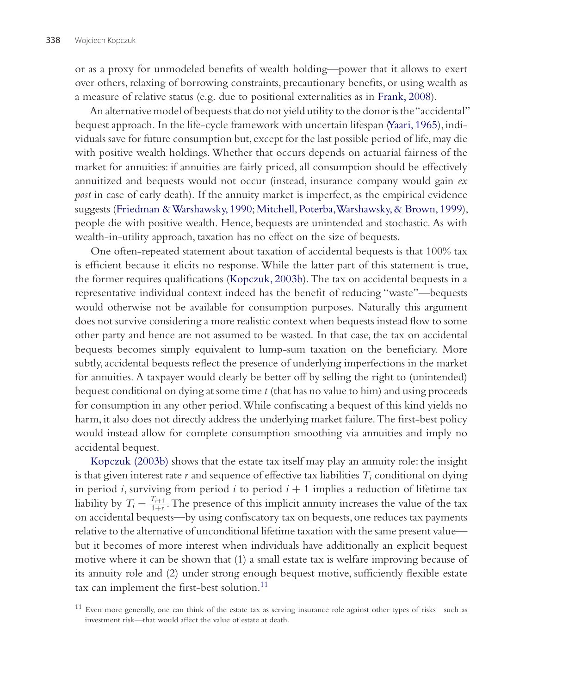or as a proxy for unmodeled benefits of wealth holding—power that it allows to exert over others, relaxing of borrowing constraints, precautionary benefits, or using wealth as a measure of relative status (e.g. due to positional externalities as in [Frank, 2008\)](#page-57-0).

An alternative model of bequests that do not yield utility to the donor is the"accidental" bequest approach. In the life-cycle framework with uncertain lifespan [\(Yaari, 1965\)](#page-61-2), individuals save for future consumption but, except for the last possible period of life,may die with positive wealth holdings. Whether that occurs depends on actuarial fairness of the market for annuities: if annuities are fairly priced, all consumption should be effectively annuitized and bequests would not occur (instead, insurance company would gain *ex post* in case of early death). If the annuity market is imperfect, as the empirical evidence suggests (Friedman & Warshawsky, 1990; Mitchell, Poterba, Warshawsky, & Brown, 1999), people die with positive wealth. Hence, bequests are unintended and stochastic. As with wealth-in-utility approach, taxation has no effect on the size of bequests.

One often-repeated statement about taxation of accidental bequests is that 100% tax is efficient because it elicits no response. While the latter part of this statement is true, the former requires qualifications [\(Kopczuk, 2003b\)](#page-58-1). The tax on accidental bequests in a representative individual context indeed has the benefit of reducing "waste"—bequests would otherwise not be available for consumption purposes. Naturally this argument does not survive considering a more realistic context when bequests instead flow to some other party and hence are not assumed to be wasted. In that case, the tax on accidental bequests becomes simply equivalent to lump-sum taxation on the beneficiary. More subtly, accidental bequests reflect the presence of underlying imperfections in the market for annuities. A taxpayer would clearly be better off by selling the right to (unintended) bequest conditional on dying at some time *t* (that has no value to him) and using proceeds for consumption in any other period.While confiscating a bequest of this kind yields no harm, it also does not directly address the underlying market failure.The first-best policy would instead allow for complete consumption smoothing via annuities and imply no accidental bequest.

[Kopczuk \(2003b\)](#page-58-1) shows that the estate tax itself may play an annuity role: the insight is that given interest rate  $r$  and sequence of effective tax liabilities  $T_i$  conditional on dying in period *i*, surviving from period *i* to period  $i + 1$  implies a reduction of lifetime tax liability by  $T_i - \frac{T_{i+1}}{1+r}$ . The presence of this implicit annuity increases the value of the tax on accidental bequests—by using confiscatory tax on bequests, one reduces tax payments relative to the alternative of unconditional lifetime taxation with the same present value but it becomes of more interest when individuals have additionally an explicit bequest motive where it can be shown that (1) a small estate tax is welfare improving because of its annuity role and (2) under strong enough bequest motive, sufficiently flexible estate tax can implement the first-best solution.<sup>11</sup>

<span id="page-9-0"></span><sup>11</sup> Even more generally, one can think of the estate tax as serving insurance role against other types of risks—such as investment risk—that would affect the value of estate at death.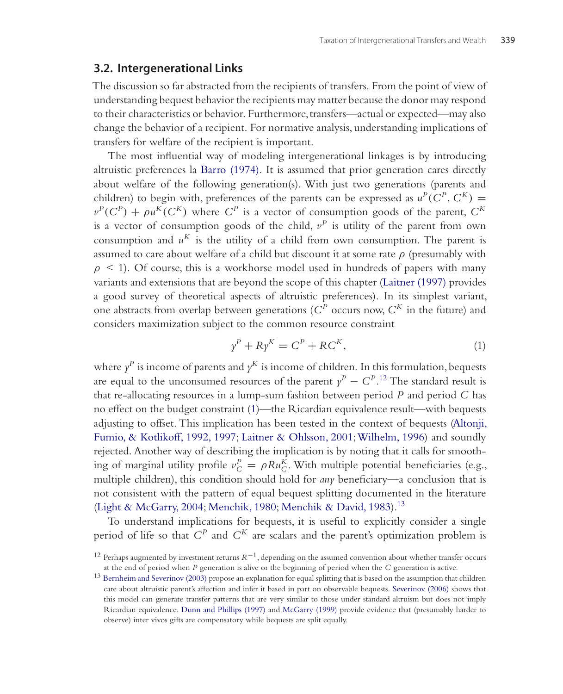#### <span id="page-10-0"></span>**3.2. Intergenerational Links**

The discussion so far abstracted from the recipients of transfers. From the point of view of understanding bequest behavior the recipients may matter because the donor may respond to their characteristics or behavior. Furthermore,transfers—actual or expected—may also change the behavior of a recipient. For normative analysis, understanding implications of transfers for welfare of the recipient is important.

The most influential way of modeling intergenerational linkages is by introducing altruistic preferences la [Barro \(1974\).](#page-54-4) It is assumed that prior generation cares directly about welfare of the following generation(s). With just two generations (parents and children) to begin with, preferences of the parents can be expressed as  $u^P(C^P, C^K)$  =  $v^P(C^P) + \rho u^K(C^K)$  where  $C^P$  is a vector of consumption goods of the parent,  $C^K$ is a vector of consumption goods of the child,  $v^P$  is utility of the parent from own consumption and  $u<sup>K</sup>$  is the utility of a child from own consumption. The parent is assumed to care about welfare of a child but discount it at some rate  $\rho$  (presumably with  $\rho \leq 1$ ). Of course, this is a workhorse model used in hundreds of papers with many variants and extensions that are beyond the scope of this chapter [\(Laitner \(1997\)](#page-59-1) provides a good survey of theoretical aspects of altruistic preferences). In its simplest variant, one abstracts from overlap between generations  $(C^P$  occurs now,  $C^K$  in the future) and considers maximization subject to the common resource constraint

<span id="page-10-2"></span>
$$
\gamma^P + R\gamma^K = C^P + RC^K,\tag{1}
$$

where  $\gamma^P$  is income of parents and  $\gamma^K$  is income of children. In this formulation, bequests are equal to the unconsumed resources of the parent  $\gamma^P - C^P$ .<sup>[12](#page-10-1)</sup> The standard result is that re-allocating resources in a lump-sum fashion between period *P* and period *C* has no effect on the budget constraint [\(1\)](#page-10-2)—the Ricardian equivalence result—with bequests adjusting to offset. This implication has been tested in the context of bequests (Altonji, Fumio, & Kotlikoff, 1992, 1997; [Laitner & Ohlsson, 2001;](#page-59-4)[Wilhelm, 1996\)](#page-61-3) and soundly rejected. Another way of describing the implication is by noting that it calls for smoothing of marginal utility profile  $v_C^P = \rho R u_C^K$ . With multiple potential beneficiaries (e.g., multiple children), this condition should hold for *any* beneficiary—a conclusion that is not consistent with the pattern of equal bequest splitting documented in the literature [\(Light & McGarry, 2004;](#page-59-5) [Menchik, 1980;](#page-59-6) [Menchik & David, 1983\)](#page-59-7).<sup>13</sup>

To understand implications for bequests, it is useful to explicitly consider a single period of life so that  $C^P$  and  $C^K$  are scalars and the parent's optimization problem is

<span id="page-10-1"></span><sup>12</sup> Perhaps augmented by investment returns *R*<sup>−</sup>1, depending on the assumed convention about whether transfer occurs at the end of period when *P* generation is alive or the beginning of period when the *C* generation is active.

<span id="page-10-3"></span><sup>&</sup>lt;sup>13</sup> [Bernheim and Severinov \(2003\)](#page-54-5) propose an explanation for equal splitting that is based on the assumption that children care about altruistic parent's affection and infer it based in part on observable bequests. [Severinov \(2006\)](#page-61-4) shows that this model can generate transfer patterns that are very similar to those under standard altruism but does not imply Ricardian equivalence. [Dunn and Phillips \(1997\)](#page-56-3) and [McGarry \(1999\)](#page-59-8) provide evidence that (presumably harder to observe) inter vivos gifts are compensatory while bequests are split equally.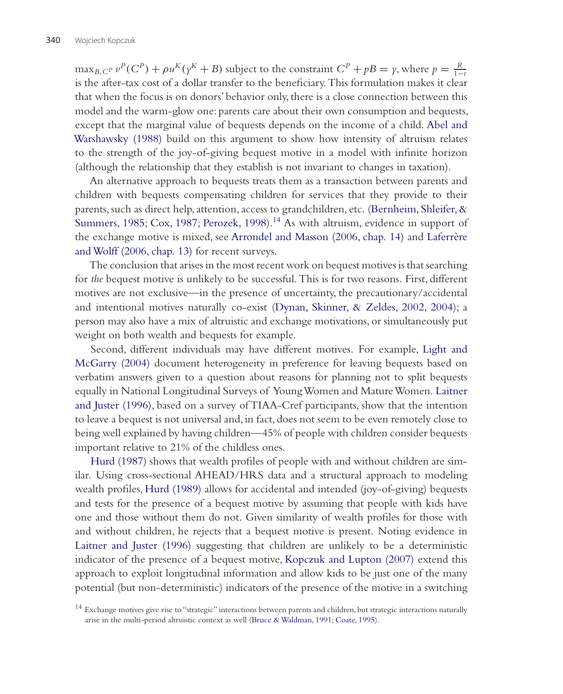$\max_{B,C^P} v^P(C^P) + \rho u^K(\gamma^K + B)$  subject to the constraint  $C^P + pB = \gamma$ , where  $p = \frac{R}{1-t}$ is the after-tax cost of a dollar transfer to the beneficiary.This formulation makes it clear that when the focus is on donors' behavior only, there is a close connection between this model and the warm-glow one: parents care about their own consumption and bequests, except that the marginal value of bequests depends on the income of a child. Abel and Warshawsky (1988) build on this argument to show how intensity of altruism relates to the strength of the joy-of-giving bequest motive in a model with infinite horizon (although the relationship that they establish is not invariant to changes in taxation).

An alternative approach to bequests treats them as a transaction between parents and children with bequests compensating children for services that they provide to their parents, such as [direct](#page-54-6) [help,](#page-54-6) [attention,](#page-54-6) [access](#page-54-6) [to](#page-54-6) [grandchildren,](#page-54-6) [etc.](#page-54-6) [\(](#page-54-6)Bernheim, Shleifer, & Summers, 1985; [Cox, 1987;](#page-55-4) [Perozek, 1998\)](#page-60-3).<sup>14</sup> As with altruism, evidence in support of the exchange motive is mixed, see [Arrondel and Masson \(2006, chap. 14\)](#page-53-2) and Laferrère andWolff (2006, chap. 13) for recent surveys.

The conclusion that arises in the most recent work on bequest motives is that searching for *the* bequest motive is unlikely to be successful. This is for two reasons. First, different motives are not exclusive—in the presence of uncertainty, the precautionary/accidental and intentional motives naturally co-exist (Dynan, Skinner, & Zeldes, 2002, 2004); a person may also have a mix of altruistic and exchange motivations, or simultaneously put weight on both wealth and bequests for example.

Second, different individuals may have different motives. For example, Light and McGarry (2004) document heterogeneity in preference for leaving bequests based on verbatim answers given to a question about reasons for planning not to split bequests equally in National Longitudinal Surveys of YoungWomen and MatureWomen. Laitner and Juster (1996), based on a survey of TIAA-Cref participants, show that the intention to leave a bequest is not universal and, in fact, does not seem to be even remotely close to being well explained by having children—45% of people with children consider bequests important relative to 21% of the childless ones.

[Hurd \(1987\)](#page-57-2) shows that wealth profiles of people with and without children are similar. Using cross-sectional AHEAD/HRS data and a structural approach to modeling wealth profiles, [Hurd \(1989\)](#page-57-3) allows for accidental and intended (joy-of-giving) bequests and tests for the presence of a bequest motive by assuming that people with kids have one and those without them do not. Given similarity of wealth profiles for those with and without children, he rejects that a bequest motive is present. Noting evidence in [Laitner and Juster \(1996\)](#page-59-9) suggesting that children are unlikely to be a deterministic indicator of the presence of a bequest motive, [Kopczuk and Lupton \(2007\)](#page-59-10) extend this approach to exploit longitudinal information and allow kids to be just one of the many potential (but non-deterministic) indicators of the presence of the motive in a switching

<span id="page-11-0"></span><sup>&</sup>lt;sup>14</sup> Exchange motives give rise to "strategic" interactions between parents and children, but strategic interactions naturally arise in the multi-period altruistic context as well (Bruce & Waldman, 1991; [Coate, 1995\)](#page-55-6).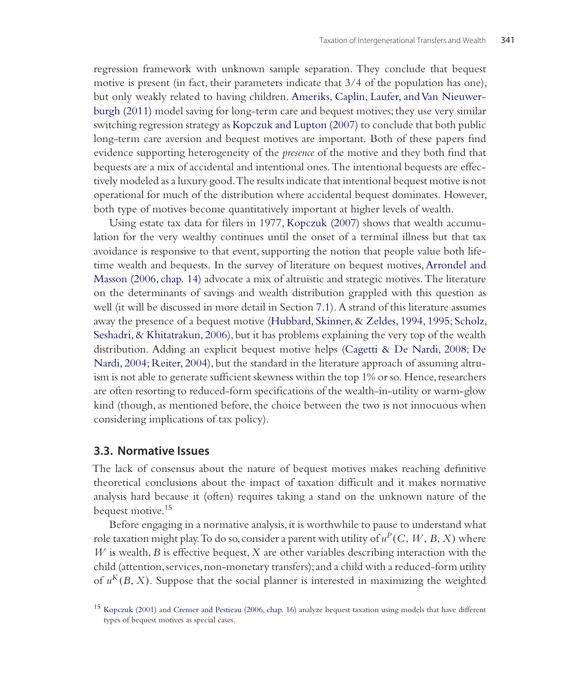regression framework with unknown sample separation. They conclude that bequest motive is present (in fact, their parameters indicate that 3/4 of the population has one), but only weakly related to having children. Ameriks, Caplin, Laufer, andVan Nieuwerburgh (2011) model saving for long-term care and bequest motives; they use very similar switching regression strategy as [Kopczuk and Lupton \(2007\)](#page-59-10) to conclude that both public long-term care aversion and bequest motives are important. Both of these papers find evidence supporting heterogeneity of the *presence* of the motive and they both find that bequests are a mix of accidental and intentional ones.The intentional bequests are effectively modeled as a luxury good.The results indicate that intentional bequest motive is not operational for much of the distribution where accidental bequest dominates. However, both type of motives become quantitatively important at higher levels of wealth.

Using estate tax data for filers in 1977, [Kopczuk \(2007\)](#page-58-2) shows that wealth accumulation for the very wealthy continues until the onset of a terminal illness but that tax avoidance is responsive to that event, supporting the notion that people value both lifetime wealth and bequests. In the survey of literature on bequest motives, Arrondel and Masson (2006, chap. 14) advocate a mix of altruistic and strategic motives.The literature on the determinants of savings and wealth distribution grappled with this question as well (it will be discussed in more detail in Section [7.1\)](#page-48-1). A strand of this literature assumes away the presence of a beques[t](#page-61-5) [motive](#page-61-5) [\(Hubbard,](#page-61-5) [Skinner,](#page-61-5) [&](#page-61-5) [Zeldes,](#page-61-5) [1994,](#page-61-5) [1995;](#page-61-5) Scholz, Seshadri, & Khitatrakun, 2006), but it has problems explaining the very top of the wealth distribution[.](#page-56-4) [Adding](#page-56-4) [an](#page-56-4) [explicit](#page-56-4) [bequest](#page-56-4) [motive](#page-56-4) [helps](#page-56-4) [\(Cagetti & De Nardi, 2008;](#page-55-2) De Nardi, 2004; [Reiter, 2004\)](#page-60-1), but the standard in the literature approach of assuming altruism is not able to generate sufficient skewness within the top 1% or so. Hence, researchers are often resorting to reduced-form specifications of the wealth-in-utility or warm-glow kind (though, as mentioned before, the choice between the two is not innocuous when considering implications of tax policy).

#### <span id="page-12-0"></span>**3.3. Normative Issues**

The lack of consensus about the nature of bequest motives makes reaching definitive theoretical conclusions about the impact of taxation difficult and it makes normative analysis hard because it (often) requires taking a stand on the unknown nature of the bequest motive.<sup>15</sup>

Before engaging in a normative analysis,it is worthwhile to pause to understand what role taxation might play. To do so, consider a parent with utility of  $u^P(C, W, B, X)$  where *W* is wealth, *B* is effective bequest,*X* are other variables describing interaction with the child (attention, services,non-monetary transfers); and a child with a reduced-form utility of  $u^{K}(B, X)$ . Suppose that the social planner is interested in maximizing the weighted

<span id="page-12-1"></span><sup>15</sup> [Kopczuk \(2001\)](#page-58-3) and [Cremer and Pestieau \(2006, chap. 16\)](#page-56-0) analyze bequest taxation using models that have different types of bequest motives as special cases.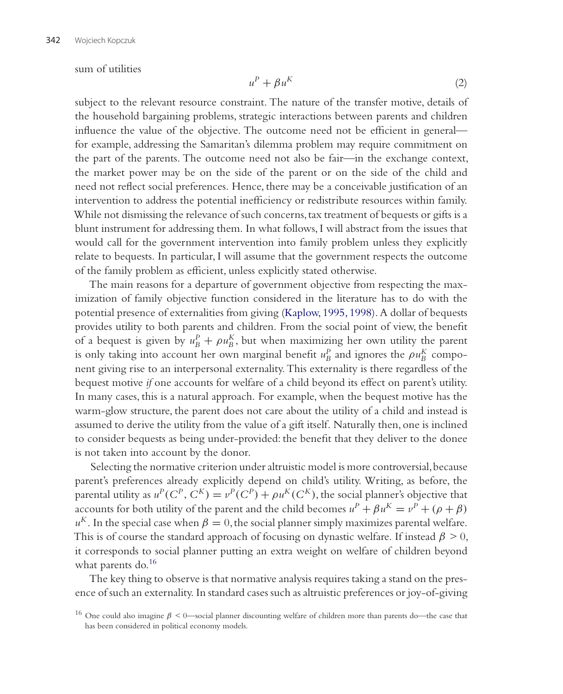sum of utilities

$$
u^P + \beta u^K \tag{2}
$$

subject to the relevant resource constraint. The nature of the transfer motive, details of the household bargaining problems, strategic interactions between parents and children influence the value of the objective. The outcome need not be efficient in general for example, addressing the Samaritan's dilemma problem may require commitment on the part of the parents. The outcome need not also be fair—in the exchange context, the market power may be on the side of the parent or on the side of the child and need not reflect social preferences. Hence, there may be a conceivable justification of an intervention to address the potential inefficiency or redistribute resources within family. While not dismissing the relevance of such concerns, tax treatment of bequests or gifts is a blunt instrument for addressing them. In what follows, I will abstract from the issues that would call for the government intervention into family problem unless they explicitly relate to bequests. In particular, I will assume that the government respects the outcome of the family problem as efficient, unless explicitly stated otherwise.

The main reasons for a departure of government objective from respecting the maximization of family objective function considered in the literature has to do with the potential presence of externalities from giving (Kaplow, 1995, 1998). A dollar of bequests provides utility to both parents and children. From the social point of view, the benefit of a bequest is given by  $u_B^P + \rho u_B^K$ , but when maximizing her own utility the parent is only taking into account her own marginal benefit  $u_B^P$  and ignores the  $\rho u_B^K$  component giving rise to an interpersonal externality. This externality is there regardless of the bequest motive *if* one accounts for welfare of a child beyond its effect on parent's utility. In many cases, this is a natural approach. For example, when the bequest motive has the warm-glow structure, the parent does not care about the utility of a child and instead is assumed to derive the utility from the value of a gift itself. Naturally then, one is inclined to consider bequests as being under-provided: the benefit that they deliver to the donee is not taken into account by the donor.

Selecting the normative criterion under altruistic model is more controversial,because parent's preferences already explicitly depend on child's utility. Writing, as before, the parental utility as  $u^P(C^P, C^K) = v^P(C^P) + \rho u^K(C^K)$ , the social planner's objective that accounts for both utility of the parent and the child becomes  $u^P + \beta u^K = v^P + (\rho + \beta)$  $u<sup>K</sup>$ . In the special case when  $\beta = 0$ , the social planner simply maximizes parental welfare. This is of course the standard approach of focusing on dynastic welfare. If instead  $\beta > 0$ , it corresponds to social planner putting an extra weight on welfare of children beyond what parents do.<sup>16</sup>

The key thing to observe is that normative analysis requires taking a stand on the presence of such an externality. In standard cases such as altruistic preferences or joy-of-giving

<span id="page-13-0"></span><sup>&</sup>lt;sup>16</sup> One could also imagine  $\beta$  < 0—social planner discounting welfare of children more than parents do—the case that has been considered in political economy models.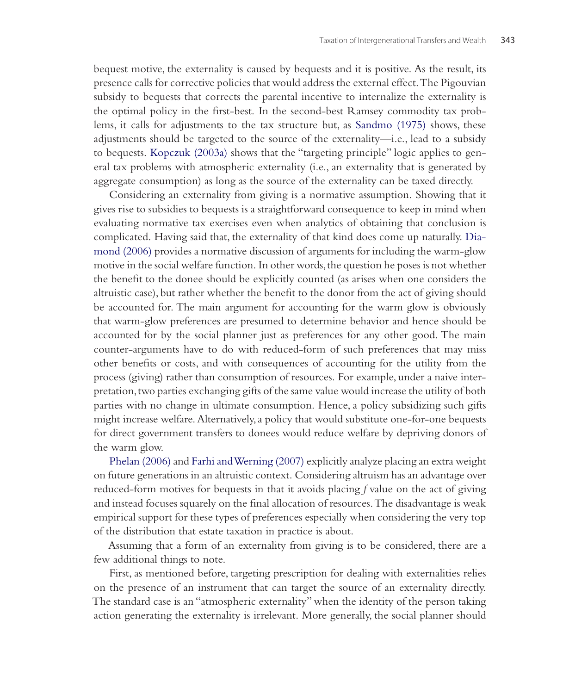bequest motive, the externality is caused by bequests and it is positive. As the result, its presence calls for corrective policies that would address the external effect.The Pigouvian subsidy to bequests that corrects the parental incentive to internalize the externality is the optimal policy in the first-best. In the second-best Ramsey commodity tax problems, it calls for adjustments to the tax structure but, as [Sandmo \(1975\)](#page-61-6) shows, these adjustments should be targeted to the source of the externality—i.e., lead to a subsidy to bequests. [Kopczuk \(2003a\)](#page-58-4) shows that the "targeting principle" logic applies to general tax problems with atmospheric externality (i.e., an externality that is generated by aggregate consumption) as long as the source of the externality can be taxed directly.

Considering an externality from giving is a normative assumption. Showing that it gives rise to subsidies to bequests is a straightforward consequence to keep in mind when evaluating normative tax exercises even when analytics of obtaining that conclusion is complicated. Having said that, the externality of that kind does come up naturally. Diamond (2006) provides a normative discussion of arguments for including the warm-glow motive in the social welfare function. In other words, the question he poses is not whether the benefit to the donee should be explicitly counted (as arises when one considers the altruistic case), but rather whether the benefit to the donor from the act of giving should be accounted for. The main argument for accounting for the warm glow is obviously that warm-glow preferences are presumed to determine behavior and hence should be accounted for by the social planner just as preferences for any other good. The main counter-arguments have to do with reduced-form of such preferences that may miss other benefits or costs, and with consequences of accounting for the utility from the process (giving) rather than consumption of resources. For example, under a naive interpretation,two parties exchanging gifts of the same value would increase the utility of both parties with no change in ultimate consumption. Hence, a policy subsidizing such gifts might increase welfare. Alternatively, a policy that would substitute one-for-one bequests for direct government transfers to donees would reduce welfare by depriving donors of the warm glow.

[Phelan \(2006\)](#page-60-4) and Farhi and Werning (2007) explicitly analyze placing an extra weight on future generations in an altruistic context. Considering altruism has an advantage over reduced-form motives for bequests in that it avoids placing *f* value on the act of giving and instead focuses squarely on the final allocation of resources.The disadvantage is weak empirical support for these types of preferences especially when considering the very top of the distribution that estate taxation in practice is about.

Assuming that a form of an externality from giving is to be considered, there are a few additional things to note.

First, as mentioned before, targeting prescription for dealing with externalities relies on the presence of an instrument that can target the source of an externality directly. The standard case is an "atmospheric externality" when the identity of the person taking action generating the externality is irrelevant. More generally, the social planner should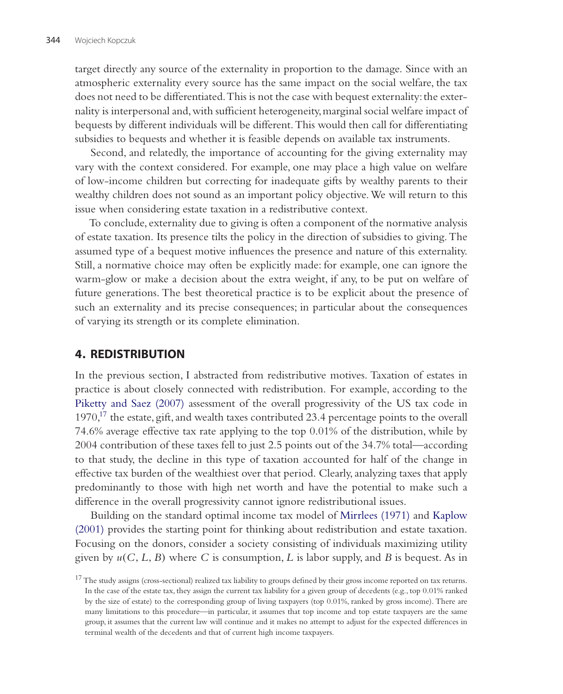target directly any source of the externality in proportion to the damage. Since with an atmospheric externality every source has the same impact on the social welfare, the tax does not need to be differentiated.This is not the case with bequest externality:the externality is interpersonal and,with sufficient heterogeneity,marginal social welfare impact of bequests by different individuals will be different.This would then call for differentiating subsidies to bequests and whether it is feasible depends on available tax instruments.

Second, and relatedly, the importance of accounting for the giving externality may vary with the context considered. For example, one may place a high value on welfare of low-income children but correcting for inadequate gifts by wealthy parents to their wealthy children does not sound as an important policy objective.We will return to this issue when considering estate taxation in a redistributive context.

To conclude, externality due to giving is often a component of the normative analysis of estate taxation. Its presence tilts the policy in the direction of subsidies to giving. The assumed type of a bequest motive influences the presence and nature of this externality. Still, a normative choice may often be explicitly made: for example, one can ignore the warm-glow or make a decision about the extra weight, if any, to be put on welfare of future generations. The best theoretical practice is to be explicit about the presence of such an externality and its precise consequences; in particular about the consequences of varying its strength or its complete elimination.

#### <span id="page-15-0"></span>**4. REDISTRIBUTION**

In the previous section, I abstracted from redistributive motives. Taxation of estates in practice is about closely connected with redistribution. For example, according to the [Piketty and Saez \(2007\)](#page-60-5) assessment of the overall progressivity of the US tax code in  $1970<sup>17</sup>$ , the estate, gift, and wealth taxes contributed 23.4 percentage points to the overall 74.6% average effective tax rate applying to the top 0.01% of the distribution, while by 2004 contribution of these taxes fell to just 2.5 points out of the 34.7% total—according to that study, the decline in this type of taxation accounted for half of the change in effective tax burden of the wealthiest over that period. Clearly, analyzing taxes that apply predominantly to those with high net worth and have the potential to make such a difference in the overall progressivity cannot ignore redistributional issues.

Building on the standard optimal income tax model of [Mirrlees \(1971\)](#page-59-3) and Kaplow (2001) provides the starting point for thinking about redistribution and estate taxation. Focusing on the donors, consider a society consisting of individuals maximizing utility given by *u*(*C*, *L*, *B*) where *C* is consumption, *L* is labor supply, and *B* is bequest. As in

<span id="page-15-1"></span><sup>&</sup>lt;sup>17</sup> The study assigns (cross-sectional) realized tax liability to groups defined by their gross income reported on tax returns. In the case of the estate tax, they assign the current tax liability for a given group of decedents (e.g., top 0.01% ranked by the size of estate) to the corresponding group of living taxpayers (top 0.01%, ranked by gross income). There are many limitations to this procedure—in particular, it assumes that top income and top estate taxpayers are the same group, it assumes that the current law will continue and it makes no attempt to adjust for the expected differences in terminal wealth of the decedents and that of current high income taxpayers.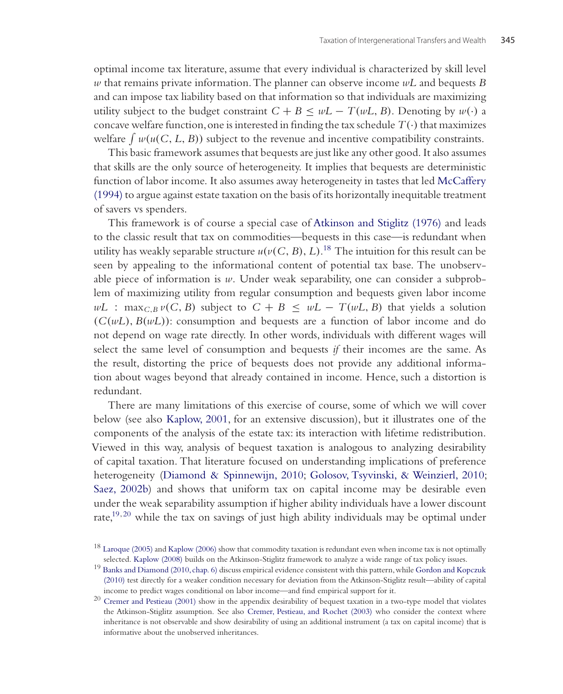optimal income tax literature, assume that every individual is characterized by skill level  $w$  that remains private information. The planner can observe income  $wL$  and bequests *B* and can impose tax liability based on that information so that individuals are maximizing utility subject to the budget constraint  $C + B \leq wL - T(wL, B)$ . Denoting by  $w(\cdot)$  a concave welfare function, one is interested in finding the tax schedule  $T(\cdot)$  that maximizes welfare  $\int w(u(C, L, B))$  subject to the revenue and incentive compatibility constraints.

This basic framework assumes that bequests are just like any other good. It also assumes that skills are the only source of heterogeneity. It implies that bequests are deterministic function of labor income. It also assumes away heterogeneity in tastes that led McCaffery (1994) to argue against estate taxation on the basis of its horizontally inequitable treatment of savers vs spenders.

This framework is of course a special case of [Atkinson and Stiglitz \(1976\)](#page-53-3) and leads to the classic result that tax on commodities—bequests in this case—is redundant when utility has weakly separable structure  $u(v(C, B), L)$ .<sup>[18](#page-16-0)</sup> The intuition for this result can be seen by appealing to the informational content of potential tax base. The unobservable piece of information is *w*. Under weak separability, one can consider a subproblem of maximizing utility from regular consumption and bequests given labor income  $wL$  : max<sub>*C*</sub>,B</sub>  $v(C, B)$  subject to  $C + B \leq wL - T(wL, B)$  that yields a solution  $(C(wL), B(wL))$ : consumption and bequests are a function of labor income and do not depend on wage rate directly. In other words, individuals with different wages will select the same level of consumption and bequests *if* their incomes are the same. As the result, distorting the price of bequests does not provide any additional information about wages beyond that already contained in income. Hence, such a distortion is redundant.

There are many limitations of this exercise of course, some of which we will cover below (see also [Kaplow, 2001,](#page-58-5) for an extensive discussion), but it illustrates one of the components of the analysis of the estate tax: its interaction with lifetime redistribution. Viewed in this way, analysis of bequest taxation is analogous to analyzing desirability of capital taxation. That literature focused on understanding implications of preference heterogeneity [\(Diamond & Spinnewijn, 2010;](#page-56-6) [Golosov, Tsyvinski, & Weinzierl, 2010;](#page-57-4) [Saez, 2002b\)](#page-61-7) and shows that uniform tax on capital income may be desirable even under the weak separability assumption if higher ability individuals have a lower discount rate[,19](#page-16-1),[20](#page-16-2) while the tax on savings of just high ability individuals may be optimal under

<span id="page-16-0"></span><sup>&</sup>lt;sup>18</sup> [Laroque \(2005\)](#page-59-11) and [Kaplow \(2006\)](#page-58-6) show that commodity taxation is redundant even when income tax is not optimally selected. [Kaplow \(2008\)](#page-58-7) builds on the Atkinson-Stiglitz framework to analyze a wide range of tax policy issues.

<span id="page-16-1"></span> $19$  Banks and Diamond (2010, chap. 6) discuss empirical evidence consistent with this pattern, while Gordon and Kopczuk (2010) test directly for a weaker condition necessary for deviation from the Atkinson-Stiglitz result—ability of capital income to predict wages conditional on labor income—and find empirical support for it.

<span id="page-16-2"></span> $20$  [Cremer and Pestieau \(2001\)](#page-56-7) show in the appendix desirability of bequest taxation in a two-type model that violates the Atkinson-Stiglitz assumption. See also [Cremer, Pestieau, and Rochet \(2003\)](#page-56-8) who consider the context where inheritance is not observable and show desirability of using an additional instrument (a tax on capital income) that is informative about the unobserved inheritances.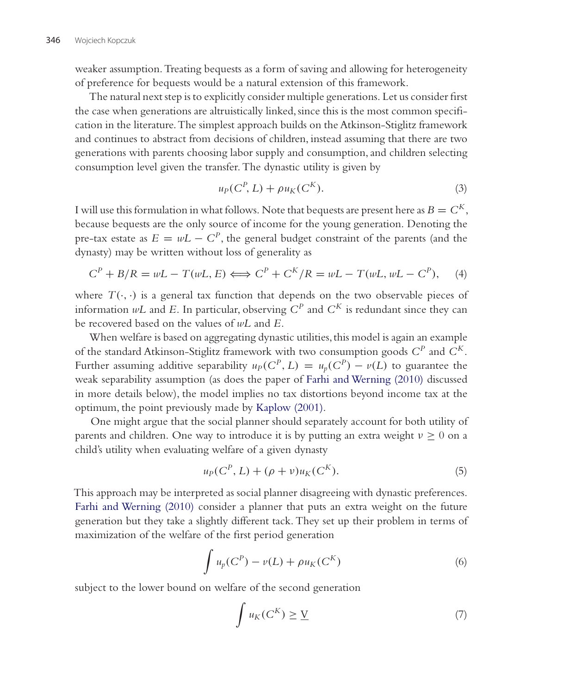weaker assumption. Treating bequests as a form of saving and allowing for heterogeneity of preference for bequests would be a natural extension of this framework.

The natural next step is to explicitly consider multiple generations. Let us consider first the case when generations are altruistically linked, since this is the most common specification in the literature.The simplest approach builds on the Atkinson-Stiglitz framework and continues to abstract from decisions of children, instead assuming that there are two generations with parents choosing labor supply and consumption, and children selecting consumption level given the transfer. The dynastic utility is given by

<span id="page-17-2"></span>
$$
u_p(C^P, L) + \rho u_K(C^K). \tag{3}
$$

I will use this formulation in what follows. Note that bequests are present here as  $B = C<sup>K</sup>$ , because bequests are the only source of income for the young generation. Denoting the pre-tax estate as  $E = wL - C^P$ , the general budget constraint of the parents (and the dynasty) may be written without loss of generality as

$$
C^{P} + B/R = wL - T(wL, E) \Longleftrightarrow C^{P} + C^{K}/R = wL - T(wL, wL - C^{P}), \quad (4)
$$

where  $T(\cdot, \cdot)$  is a general tax function that depends on the two observable pieces of information  $wL$  and *E*. In particular, observing  $C^P$  and  $C^K$  is redundant since they can be recovered based on the values of *wL* and *E*.

When welfare is based on aggregating dynastic utilities,this model is again an example of the standard Atkinson-Stiglitz framework with two consumption goods *C<sup>P</sup>* and *C<sup>K</sup>* . Further assuming additive separability  $u_P(C^P, L) = u_p(C^P) - v(L)$  to guarantee the weak separability assumption (as does the paper of [Farhi and Werning \(2010\)](#page-56-9) discussed in more details below), the model implies no tax distortions beyond income tax at the optimum, the point previously made by [Kaplow \(2001\).](#page-58-5)

One might argue that the social planner should separately account for both utility of parents and children. One way to introduce it is by putting an extra weight  $\nu \geq 0$  on a child's utility when evaluating welfare of a given dynasty

<span id="page-17-0"></span>
$$
u_P(C^P, L) + (\rho + \nu)u_K(C^K).
$$
 (5)

This approach may be interpreted as social planner disagreeing with dynastic preferences. [Farhi and Werning \(2010\)](#page-56-9) consider a planner that puts an extra weight on the future generation but they take a slightly different tack. They set up their problem in terms of maximization of the welfare of the first period generation

$$
\int u_p(C^P) - v(L) + \rho u_K(C^K) \tag{6}
$$

subject to the lower bound on welfare of the second generation

<span id="page-17-1"></span>
$$
\int u_K(C^K) \ge \underline{V} \tag{7}
$$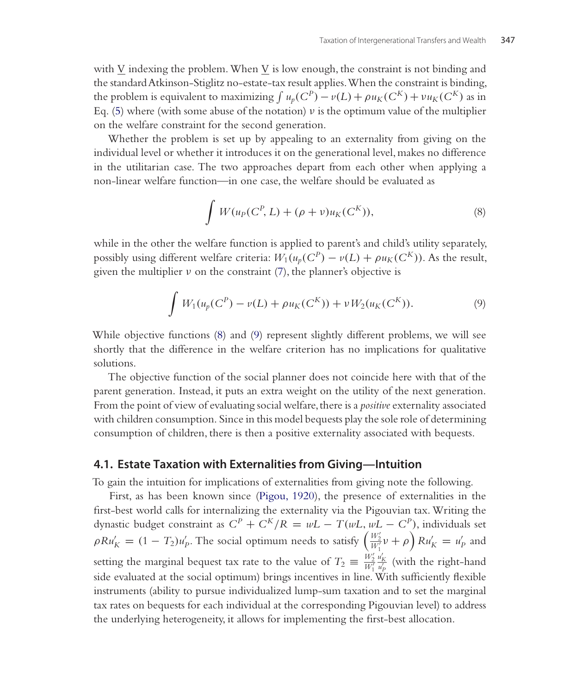with V indexing the problem.When V is low enough, the constraint is not binding and the standardAtkinson-Stiglitz no-estate-tax result applies.When the constraint is binding, the problem is equivalent to maximizing  $\int u_p(C^P) - v(L) + \rho u_K(C^K) + v u_K(C^K)$  as in Eq. [\(5\)](#page-17-0) where (with some abuse of the notation)  $\nu$  is the optimum value of the multiplier on the welfare constraint for the second generation.

Whether the problem is set up by appealing to an externality from giving on the individual level or whether it introduces it on the generational level, makes no difference in the utilitarian case. The two approaches depart from each other when applying a non-linear welfare function—in one case, the welfare should be evaluated as

<span id="page-18-1"></span>
$$
\int W(u_P(C^P, L) + (\rho + \nu)u_K(C^K)), \tag{8}
$$

while in the other the welfare function is applied to parent's and child's utility separately, possibly using different welfare criteria:  $W_1(\mu_p(C^P) - \nu(L) + \rho \mu_K(C^K))$ . As the result, given the multiplier  $\nu$  on the constraint [\(7\)](#page-17-1), the planner's objective is

<span id="page-18-2"></span>
$$
\int W_1(u_p(C^P) - v(L) + \rho u_K(C^K)) + v W_2(u_K(C^K)). \tag{9}
$$

While objective functions [\(8\)](#page-18-1) and [\(9\)](#page-18-2) represent slightly different problems, we will see shortly that the difference in the welfare criterion has no implications for qualitative solutions.

The objective function of the social planner does not coincide here with that of the parent generation. Instead, it puts an extra weight on the utility of the next generation. From the point of view of evaluating social welfare,there is a *positive* externality associated with children consumption. Since in this model bequests play the sole role of determining consumption of children, there is then a positive externality associated with bequests.

#### <span id="page-18-0"></span>**4.1. Estate Taxation with Externalities from Giving—Intuition**

To gain the intuition for implications of externalities from giving note the following.

First, as has been known since [\(Pigou, 1920\)](#page-60-6), the presence of externalities in the first-best world calls for internalizing the externality via the Pigouvian tax. Writing the dynastic budget constraint as  $C^P + C^K/R = wL - T(wL, wL - C^P)$ , individuals set  $\rho Ru_K' = (1 - T_2)u_P'.$  The social optimum needs to satisfy  $\left(\frac{W_2'}{W_1'}v + \rho\right)Ru_K' = u_P'$  and setting the marginal bequest tax rate to the value of  $T_2 \equiv \frac{W'_2}{W'_1}$  $\frac{u'_K}{u'_P}$  (with the right-hand side evaluated at the social optimum) brings incentives in line.With sufficiently flexible instruments (ability to pursue individualized lump-sum taxation and to set the marginal tax rates on bequests for each individual at the corresponding Pigouvian level) to address the underlying heterogeneity, it allows for implementing the first-best allocation.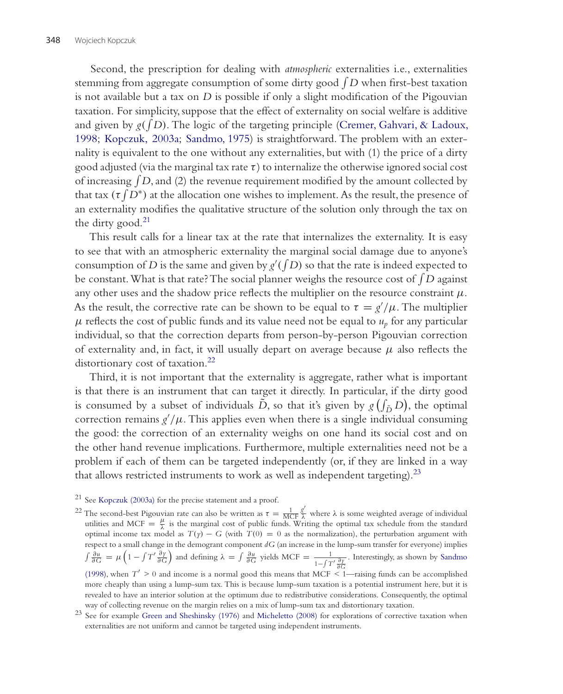Second, the prescription for dealing with *atmospheric* externalities i.e., externalities stemming from aggregate consumption of some dirty good  $\int\!D$  when first-best taxation is not available but a tax on *D* is possible if only a slight modification of the Pigouvian taxation. For simplicity, suppose that the effect of externality on social welfare is additive and given by  $g(\int D)$ . The logic of the targeting principle (Cremer, Gahvari, & Ladoux, 1998; [Kopczuk, 2003a;](#page-58-4) [Sandmo, 1975\)](#page-61-6) is straightforward. The problem with an externality is equivalent to the one without any externalities, but with (1) the price of a dirty good adjusted (via the marginal tax rate  $\tau$ ) to internalize the otherwise ignored social cost of increasing  $\int D$ , and (2) the revenue requirement modified by the amount collected by that tax  $(\tau \int D^*)$  at the allocation one wishes to implement. As the result, the presence of an externality modifies the qualitative structure of the solution only through the tax on the dirty good.<sup>21</sup>

This result calls for a linear tax at the rate that internalizes the externality. It is easy to see that with an atmospheric externality the marginal social damage due to anyone's consumption of  $D$  is the same and given by  $g'(\int\! D)$  so that the rate is indeed expected to be constant. What is that rate? The social planner weighs the resource cost of  $\int\!D$  against any other uses and the shadow price reflects the multiplier on the resource constraint  $\mu$ . As the result, the corrective rate can be shown to be equal to  $\tau = g'/\mu$ . The multiplier  $\mu$  reflects the cost of public funds and its value need not be equal to  $u_p$  for any particular individual, so that the correction departs from person-by-person Pigouvian correction of externality and, in fact, it will usually depart on average because  $\mu$  also reflects the distortionary cost of taxation[.22](#page-19-1)

Third, it is not important that the externality is aggregate, rather what is important is that there is an instrument that can target it directly. In particular, if the dirty good is consumed by a subset of individuals  $\tilde{D}$ , so that it's given by  $g\left(\int_{\tilde{D}}D\right)$ , the optimal correction remains  $g'/\mu$ . This applies even when there is a single individual consuming the good: the correction of an externality weighs on one hand its social cost and on the other hand revenue implications. Furthermore, multiple externalities need not be a problem if each of them can be targeted independently (or, if they are linked in a way that allows restricted instruments to work as well as independent targeting).<sup>23</sup>

<sup>21</sup> See [Kopczuk \(2003a\)](#page-58-4) for the precise statement and a proof.

<span id="page-19-1"></span><span id="page-19-0"></span><sup>22</sup> The second-best Pigouvian rate can also be written as  $\tau = \frac{1}{MCF} \frac{g'}{\lambda}$  where λ is some weighted average of individual utilities and MCF =  $\frac{\mu}{\lambda}$  is the marginal cost of public funds. Writing the optimal tax schedule from the standard optimal income tax model as  $T(y) - G$  (with  $T(0) = 0$  as the normalization), the perturbation argument with respect to a small change in the demogrant component *dG* (an increase in the lump-sum transfer for everyone) implies  $\int \frac{\partial u}{\partial G} = \mu \left( 1 - \int T' \frac{\partial \gamma}{\partial G} \right)$  and defining  $\lambda = \int \frac{\partial u}{\partial G}$  yields MCF =  $\frac{1}{1 - \int T' \frac{\partial \gamma}{\partial G} \gamma}$ . Interestingly, as shown by Sandmo (1998), when *T >* 0 and income is a normal good this means that MCF *<* 1—raising funds can be accomplished more cheaply than using a lump-sum tax. This is because lump-sum taxation is a potential instrument here, but it is revealed to have an interior solution at the optimum due to redistributive considerations. Consequently, the optimal way of collecting revenue on the margin relies on a mix of lump-sum tax and distortionary taxation.

<span id="page-19-2"></span><sup>&</sup>lt;sup>23</sup> See for example [Green and Sheshinsky \(1976\)](#page-57-5) and [Micheletto \(2008\)](#page-59-12) for explorations of corrective taxation when externalities are not uniform and cannot be targeted using independent instruments.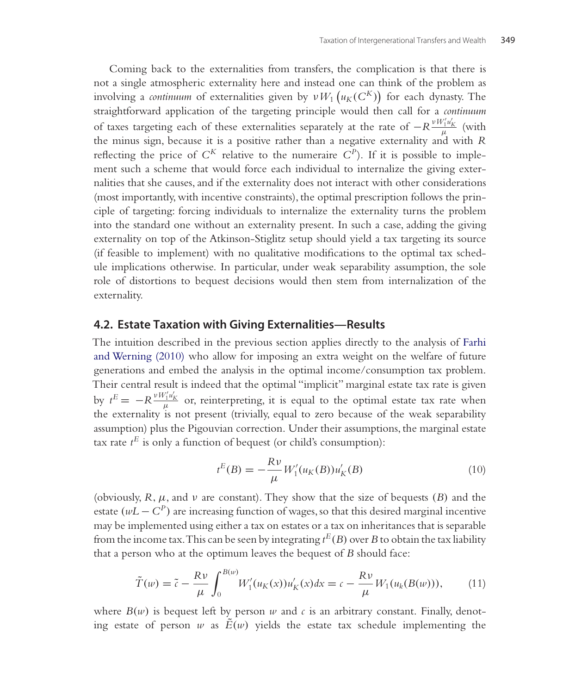Coming back to the externalities from transfers, the complication is that there is not a single atmospheric externality here and instead one can think of the problem as involving a *continuum* of externalities given by  $\nu W_1\left( u_K(C^K) \right)$  for each dynasty. The straightforward application of the targeting principle would then call for a *continuum* of taxes targeting each of these externalities separately at the rate of  $-R\frac{\nu W_1'u_K}{\mu}$  (with the minus sign, because it is a positive rather than a negative externality and with *R* reflecting the price of  $C^K$  relative to the numeraire  $C^P$ ). If it is possible to implement such a scheme that would force each individual to internalize the giving externalities that she causes, and if the externality does not interact with other considerations (most importantly, with incentive constraints), the optimal prescription follows the principle of targeting: forcing individuals to internalize the externality turns the problem into the standard one without an externality present. In such a case, adding the giving externality on top of the Atkinson-Stiglitz setup should yield a tax targeting its source (if feasible to implement) with no qualitative modifications to the optimal tax schedule implications otherwise. In particular, under weak separability assumption, the sole role of distortions to bequest decisions would then stem from internalization of the externality.

#### <span id="page-20-0"></span>**4.2. Estate Taxation with Giving Externalities—Results**

The intuition described in the previous section applies directly to the analysis of Farhi and Werning (2010) who allow for imposing an extra weight on the welfare of future generations and embed the analysis in the optimal income/consumption tax problem. Their central result is indeed that the optimal "implicit" marginal estate tax rate is given by  $t^E = -R \frac{\nu W_1' u'_K}{\mu}$  or, reinterpreting, it is equal to the optimal estate tax rate when the externality is not present (trivially, equal to zero because of the weak separability assumption) plus the Pigouvian correction. Under their assumptions, the marginal estate tax rate  $t^E$  is only a function of bequest (or child's consumption):

<span id="page-20-1"></span>
$$
t^{E}(B) = -\frac{R\nu}{\mu}W'_{1}(u_{K}(B))u'_{K}(B)
$$
\n(10)

(obviously,  $R$ ,  $\mu$ , and  $\nu$  are constant). They show that the size of bequests (*B*) and the estate ( $wL - C<sup>P</sup>$ ) are increasing function of wages, so that this desired marginal incentive may be implemented using either a tax on estates or a tax on inheritances that is separable from the income tax. This can be seen by integrating  $t^E(B)$  over  $B$  to obtain the tax liability that a person who at the optimum leaves the bequest of *B* should face:

$$
\tilde{T}(w) = \tilde{c} - \frac{R\nu}{\mu} \int_0^{B(w)} W_1'(u_K(x)) u'_K(x) dx = c - \frac{R\nu}{\mu} W_1(u_k(B(w))), \tag{11}
$$

where  $B(w)$  is bequest left by person w and c is an arbitrary constant. Finally, denoting estate of person *w* as  $E(w)$  yields the estate tax schedule implementing the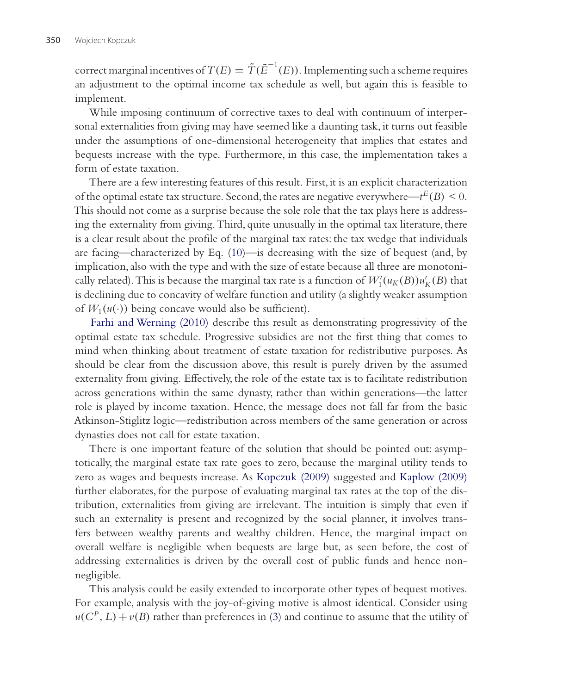correct marginal incentives of  $T(E) = \tilde{T}(\tilde{E}^{-1}(E))$ . Implementing such a scheme requires an adjustment to the optimal income tax schedule as well, but again this is feasible to implement.

While imposing continuum of corrective taxes to deal with continuum of interpersonal externalities from giving may have seemed like a daunting task, it turns out feasible under the assumptions of one-dimensional heterogeneity that implies that estates and bequests increase with the type. Furthermore, in this case, the implementation takes a form of estate taxation.

There are a few interesting features of this result. First, it is an explicit characterization of the optimal estate tax structure. Second, the rates are negative everywhere— $t^E(B) \leq 0$ . This should not come as a surprise because the sole role that the tax plays here is addressing the externality from giving.Third, quite unusually in the optimal tax literature, there is a clear result about the profile of the marginal tax rates: the tax wedge that individuals are facing—characterized by Eq. [\(10\)](#page-20-1)—is decreasing with the size of bequest (and, by implication, also with the type and with the size of estate because all three are monotonically related). This is because the marginal tax rate is a function of  $W'_1(u_K(B))u'_K(B)$  that is declining due to concavity of welfare function and utility (a slightly weaker assumption of  $W_1(u(\cdot))$  being concave would also be sufficient).

[Farhi and Werning \(2010\)](#page-56-9) describe this result as demonstrating progressivity of the optimal estate tax schedule. Progressive subsidies are not the first thing that comes to mind when thinking about treatment of estate taxation for redistributive purposes. As should be clear from the discussion above, this result is purely driven by the assumed externality from giving. Effectively, the role of the estate tax is to facilitate redistribution across generations within the same dynasty, rather than within generations—the latter role is played by income taxation. Hence, the message does not fall far from the basic Atkinson-Stiglitz logic—redistribution across members of the same generation or across dynasties does not call for estate taxation.

There is one important feature of the solution that should be pointed out: asymptotically, the marginal estate tax rate goes to zero, because the marginal utility tends to zero as wages and bequests increase. As [Kopczuk \(2009\)](#page-58-8) suggested and [Kaplow \(2009\)](#page-58-9) further elaborates, for the purpose of evaluating marginal tax rates at the top of the distribution, externalities from giving are irrelevant. The intuition is simply that even if such an externality is present and recognized by the social planner, it involves transfers between wealthy parents and wealthy children. Hence, the marginal impact on overall welfare is negligible when bequests are large but, as seen before, the cost of addressing externalities is driven by the overall cost of public funds and hence nonnegligible.

This analysis could be easily extended to incorporate other types of bequest motives. For example, analysis with the joy-of-giving motive is almost identical. Consider using  $u(C<sup>p</sup>, L) + v(B)$  rather than preferences in [\(3\)](#page-17-2) and continue to assume that the utility of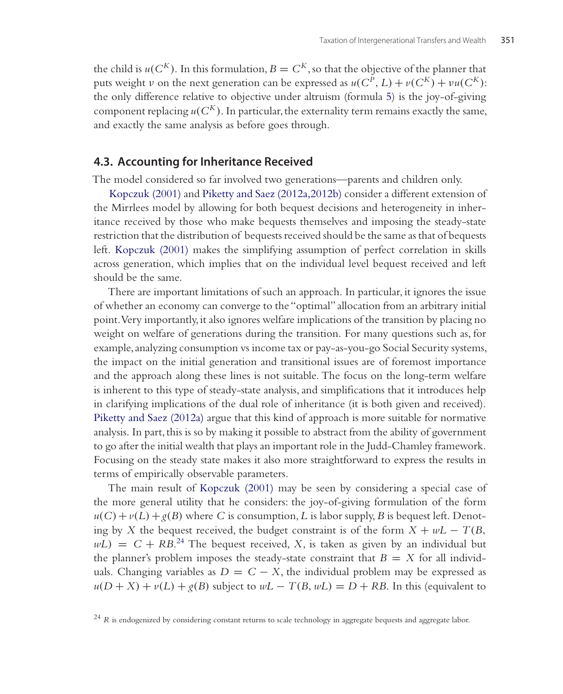the child is  $u(C^K)$ . In this formulation,  $B = C^K$ , so that the objective of the planner that puts weight v on the next generation can be expressed as  $u(C^P, L) + v(C^K) + vu(C^K)$ : the only difference relative to objective under altruism (formula [5\)](#page-17-0) is the joy-of-giving component replacing  $u(C<sup>K</sup>)$ . In particular, the externality term remains exactly the same, and exactly the same analysis as before goes through.

#### <span id="page-22-0"></span>**4.3. Accounting for Inheritance Received**

The model considered so far involved two generations—parents and children only.

[Kopczuk \(2001\)](#page-58-3) and Piketty and Saez (2012a,2012b) consider a different extension of the Mirrlees model by allowing for both bequest decisions and heterogeneity in inheritance received by those who make bequests themselves and imposing the steady-state restriction that the distribution of bequests received should be the same as that of bequests left. [Kopczuk \(2001\)](#page-58-3) makes the simplifying assumption of perfect correlation in skills across generation, which implies that on the individual level bequest received and left should be the same.

There are important limitations of such an approach. In particular, it ignores the issue of whether an economy can converge to the "optimal" allocation from an arbitrary initial point. Very importantly, it also ignores welfare implications of the transition by placing no weight on welfare of generations during the transition. For many questions such as, for example, analyzing consumption vs income tax or pay-as-you-go Social Security systems, the impact on the initial generation and transitional issues are of foremost importance and the approach along these lines is not suitable. The focus on the long-term welfare is inherent to this type of steady-state analysis, and simplifications that it introduces help in clarifying implications of the dual role of inheritance (it is both given and received). [Piketty and Saez \(2012a\)](#page-60-7) argue that this kind of approach is more suitable for normative analysis. In part, this is so by making it possible to abstract from the ability of government to go after the initial wealth that plays an important role in the Judd-Chamley framework. Focusing on the steady state makes it also more straightforward to express the results in terms of empirically observable parameters.

The main result of [Kopczuk \(2001\)](#page-58-3) may be seen by considering a special case of the more general utility that he considers: the joy-of-giving formulation of the form  $u(C) + v(L) + g(B)$  where *C* is consumption, *L* is labor supply, *B* is bequest left. Denoting by *X* the bequest received, the budget constraint is of the form  $X + wL - T(B)$ ,  $wL$ ) =  $C + RB$ <sup>[24](#page-22-1)</sup> The bequest received, *X*, is taken as given by an individual but the planner's problem imposes the steady-state constraint that  $B = X$  for all individuals. Changing variables as  $D = C - X$ , the individual problem may be expressed as  $u(D + X) + v(L) + g(B)$  subject to  $wL - T(B, wL) = D + RB$ . In this (equivalent to

<span id="page-22-1"></span><sup>&</sup>lt;sup>24</sup> *R* is endogenized by considering constant returns to scale technology in aggregate bequests and aggregate labor.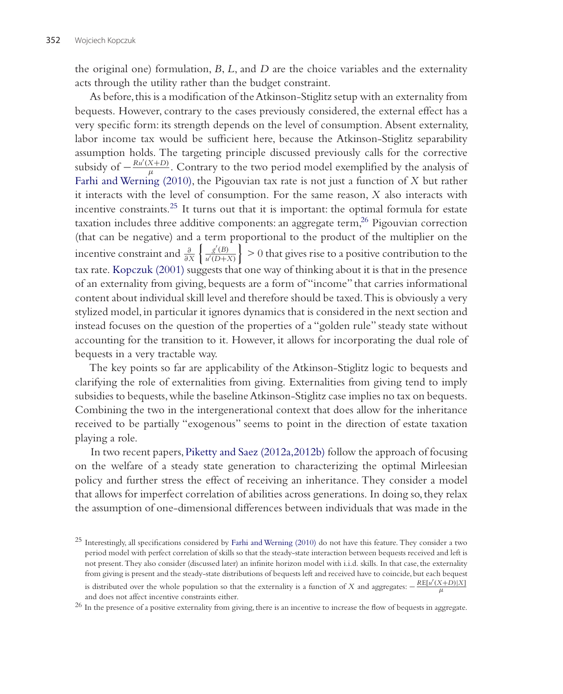the original one) formulation, *B*, *L*, and *D* are the choice variables and the externality acts through the utility rather than the budget constraint.

As before, this is a modification of the Atkinson-Stiglitz setup with an externality from bequests. However, contrary to the cases previously considered, the external effect has a very specific form: its strength depends on the level of consumption. Absent externality, labor income tax would be sufficient here, because the Atkinson-Stiglitz separability assumption holds. The targeting principle discussed previously calls for the corrective subsidy of  $-\frac{Ru'(X+D)}{\mu}$ . Contrary to the two period model exemplified by the analysis of [Farhi and Werning \(2010\),](#page-56-9) the Pigouvian tax rate is not just a function of *X* but rather it interacts with the level of consumption. For the same reason, *X* also interacts with incentive constraints.<sup>25</sup> It turns out that it is important: the optimal formula for estate taxation includes three additive components: an aggregate term, $^{26}$  Pigouvian correction (that can be negative) and a term proportional to the product of the multiplier on the incentive constraint and  $\frac{\partial}{\partial X} \left\{ \frac{g'(B)}{u'(D+2)} \right\}$ *u* (*D*+*X*) *>* 0 that gives rise to a positive contribution to the tax rate. [Kopczuk \(2001\)](#page-58-3) suggests that one way of thinking about it is that in the presence of an externality from giving, bequests are a form of "income" that carries informational content about individual skill level and therefore should be taxed.This is obviously a very stylized model,in particular it ignores dynamics that is considered in the next section and instead focuses on the question of the properties of a "golden rule" steady state without accounting for the transition to it. However, it allows for incorporating the dual role of bequests in a very tractable way.

The key points so far are applicability of the Atkinson-Stiglitz logic to bequests and clarifying the role of externalities from giving. Externalities from giving tend to imply subsidies to bequests, while the baseline Atkinson-Stiglitz case implies no tax on bequests. Combining the two in the intergenerational context that does allow for the inheritance received to be partially "exogenous" seems to point in the direction of estate taxation playing a role.

In two recent papers,Piketty and Saez (2012a,2012b) follow the approach of focusing on the welfare of a steady state generation to characterizing the optimal Mirleesian policy and further stress the effect of receiving an inheritance. They consider a model that allows for imperfect correlation of abilities across generations. In doing so,they relax the assumption of one-dimensional differences between individuals that was made in the

<span id="page-23-1"></span><sup>26</sup> In the presence of a positive externality from giving, there is an incentive to increase the flow of bequests in aggregate.

<span id="page-23-0"></span><sup>&</sup>lt;sup>25</sup> Interestingly, all specifications considered by [Farhi and Werning \(2010\)](#page-56-9) do not have this feature. They consider a two period model with perfect correlation of skills so that the steady-state interaction between bequests received and left is not present.They also consider (discussed later) an infinite horizon model with i.i.d. skills. In that case, the externality from giving is present and the steady-state distributions of bequests left and received have to coincide, but each bequest is distributed over the whole population so that the externality is a function of *X* and aggregates:  $-\frac{RE[u'(X+D)|X]}{\mu}$ and does not affect incentive constraints either.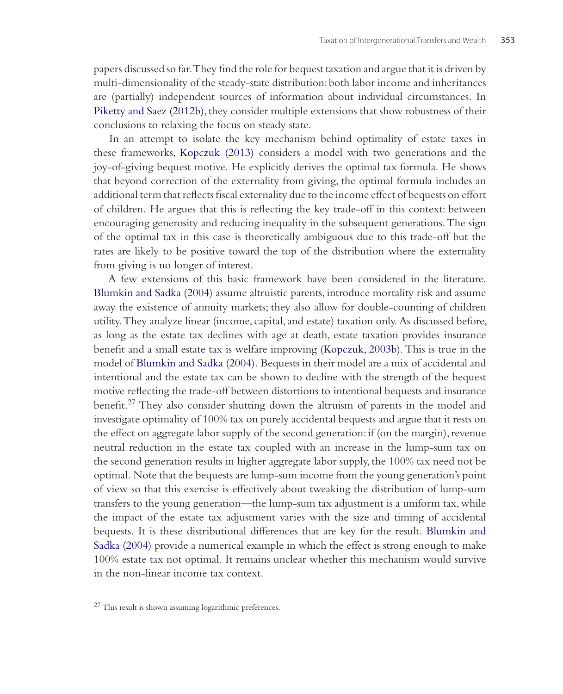papers discussed so far.They find the role for bequest taxation and argue that it is driven by multi-dimensionality of the steady-state distribution: both labor income and inheritances are (partially) independent sources of information about individual circumstances. In [Piketty and Saez \(2012b\),](#page-60-8) they consider multiple extensions that show robustness of their conclusions to relaxing the focus on steady state.

In an attempt to isolate the key mechanism behind optimality of estate taxes in these frameworks, [Kopczuk \(2013\)](#page-58-10) considers a model with two generations and the joy-of-giving bequest motive. He explicitly derives the optimal tax formula. He shows that beyond correction of the externality from giving, the optimal formula includes an additional term that reflects fiscal externality due to the income effect of bequests on effort of children. He argues that this is reflecting the key trade-off in this context: between encouraging generosity and reducing inequality in the subsequent generations. The sign of the optimal tax in this case is theoretically ambiguous due to this trade-off but the rates are likely to be positive toward the top of the distribution where the externality from giving is no longer of interest.

A few extensions of this basic framework have been considered in the literature. [Blumkin and Sadka \(2004\)](#page-55-7) assume altruistic parents, introduce mortality risk and assume away the existence of annuity markets; they also allow for double-counting of children utility.They analyze linear (income, capital, and estate) taxation only. As discussed before, as long as the estate tax declines with age at death, estate taxation provides insurance benefit and a small estate tax is welfare improving [\(Kopczuk, 2003b\)](#page-58-1). This is true in the model of [Blumkin and Sadka \(2004\).](#page-55-7) Bequests in their model are a mix of accidental and intentional and the estate tax can be shown to decline with the strength of the bequest motive reflecting the trade-off between distortions to intentional bequests and insurance benefit.<sup>27</sup> They also consider shutting down the altruism of parents in the model and investigate optimality of 100% tax on purely accidental bequests and argue that it rests on the effect on aggregate labor supply of the second generation: if (on the margin), revenue neutral reduction in the estate tax coupled with an increase in the lump-sum tax on the second generation results in higher aggregate labor supply, the 100% tax need not be optimal. Note that the bequests are lump-sum income from the young generation's point of view so that this exercise is effectively about tweaking the distribution of lump-sum transfers to the young generation—the lump-sum tax adjustment is a uniform tax, while the impact of the estate tax adjustment varies with the size and timing of accidental bequests. It is these distributional differences that are key for the result. Blumkin and Sadka (2004) provide a numerical example in which the effect is strong enough to make 100% estate tax not optimal. It remains unclear whether this mechanism would survive in the non-linear income tax context.

<span id="page-24-0"></span><sup>&</sup>lt;sup>27</sup> This result is shown assuming logarithmic preferences.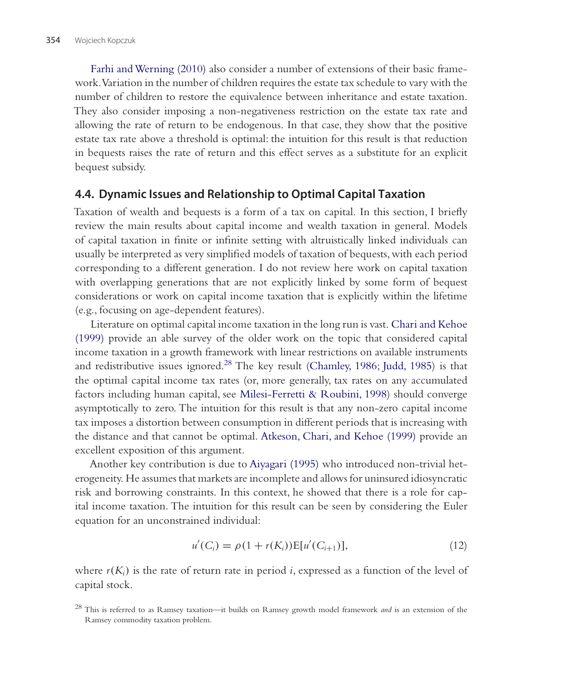[Farhi andWerning \(2010\)](#page-56-9) also consider a number of extensions of their basic framework.Variation in the number of children requires the estate tax schedule to vary with the number of children to restore the equivalence between inheritance and estate taxation. They also consider imposing a non-negativeness restriction on the estate tax rate and allowing the rate of return to be endogenous. In that case, they show that the positive estate tax rate above a threshold is optimal: the intuition for this result is that reduction in bequests raises the rate of return and this effect serves as a substitute for an explicit bequest subsidy.

#### <span id="page-25-0"></span>**4.4. Dynamic Issues and Relationship to Optimal Capital Taxation**

Taxation of wealth and bequests is a form of a tax on capital. In this section, I briefly review the main results about capital income and wealth taxation in general. Models of capital taxation in finite or infinite setting with altruistically linked individuals can usually be interpreted as very simplified models of taxation of bequests, with each period corresponding to a different generation. I do not review here work on capital taxation with overlapping generations that are not explicitly linked by some form of bequest considerations or work on capital income taxation that is explicitly within the lifetime (e.g., focusing on age-dependent features).

Literature on optimal capital income taxation in the long run is vast. Chari and Kehoe (1999) provide an able survey of the older work on the topic that considered capital income taxation in a growth framework with linear restrictions on available instruments and redistributive issues ignored.<sup>28</sup> The key result [\(Chamley, 1986;](#page-55-8) [Judd, 1985\)](#page-58-11) is that the optimal capital income tax rates (or, more generally, tax rates on any accumulated factors including human capital, see [Milesi-Ferretti & Roubini, 1998\)](#page-59-13) should converge asymptotically to zero. The intuition for this result is that any non-zero capital income tax imposes a distortion between consumption in different periods that is increasing with the distance and that cannot be optimal. [Atkeson, Chari, and Kehoe \(1999\)](#page-53-6) provide an excellent exposition of this argument.

Another key contribution is due to [Aiyagari \(1995\)](#page-53-7) who introduced non-trivial heterogeneity. He assumes that markets are incomplete and allows for uninsured idiosyncratic risk and borrowing constraints. In this context, he showed that there is a role for capital income taxation. The intuition for this result can be seen by considering the Euler equation for an unconstrained individual:

<span id="page-25-2"></span>
$$
u'(C_i) = \rho(1 + r(K_i)) \mathbb{E}[u'(C_{i+1})], \tag{12}
$$

where  $r(K_i)$  is the rate of return rate in period *i*, expressed as a function of the level of capital stock.

<span id="page-25-1"></span><sup>28</sup> This is referred to as Ramsey taxation—it builds on Ramsey growth model framework *and* is an extension of the Ramsey commodity taxation problem.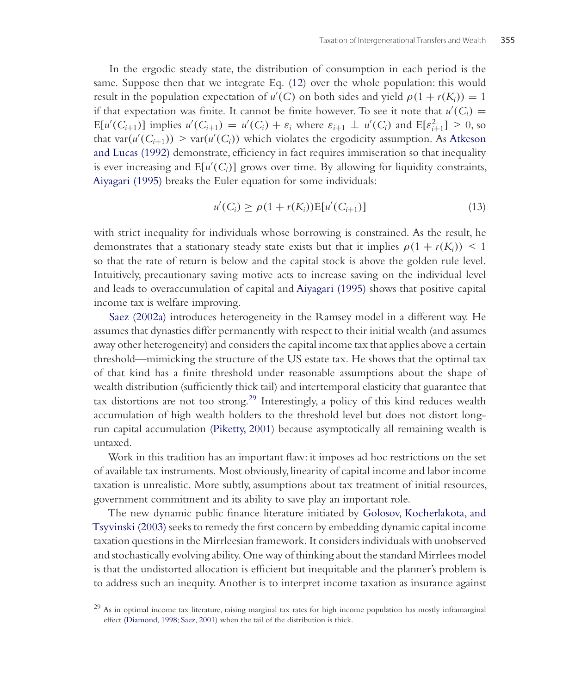In the ergodic steady state, the distribution of consumption in each period is the same. Suppose then that we integrate Eq. [\(12\)](#page-25-2) over the whole population: this would result in the population expectation of  $u'(C)$  on both sides and yield  $\rho(1 + r(K_i)) = 1$ if that expectation was finite. It cannot be finite however. To see it note that  $u'(C_i)$  $E[u'(C_{i+1})]$  implies  $u'(C_{i+1}) = u'(C_i) + \varepsilon_i$  where  $\varepsilon_{i+1} \perp u'(C_i)$  and  $E[\varepsilon_{i+1}^2] > 0$ , so that  $var(u'(C_{i+1})) > var(u'(C_i))$  which violates the ergodicity assumption. As Atkeson and Lucas (1992) [demonstrate,](#page-53-8) [efficiency](#page-53-8) [in](#page-53-8) [fact](#page-53-8) [requires](#page-53-8) [immiseration](#page-53-8) [so](#page-53-8) [that](#page-53-8) [in](#page-53-8)equality is ever increasing and  $E[u'(C_i)]$  grows over time. By allowing for liquidity constraints, [Aiyagari \(1995\)](#page-53-7) breaks the Euler equation for some individuals:

$$
u'(C_i) \ge \rho(1 + r(K_i)) \mathbb{E}[u'(C_{i+1})]
$$
\n(13)

with strict inequality for individuals whose borrowing is constrained. As the result, he demonstrates that a stationary steady state exists but that it implies  $\rho(1 + r(K_i)) \leq 1$ so that the rate of return is below and the capital stock is above the golden rule level. Intuitively, precautionary saving motive acts to increase saving on the individual level and leads to overaccumulation of capital and [Aiyagari \(1995\)](#page-53-7) shows that positive capital income tax is welfare improving.

[Saez \(2002a\)](#page-60-9) introduces heterogeneity in the Ramsey model in a different way. He assumes that dynasties differ permanently with respect to their initial wealth (and assumes away other heterogeneity) and considers the capital income tax that applies above a certain threshold—mimicking the structure of the US estate tax. He shows that the optimal tax of that kind has a finite threshold under reasonable assumptions about the shape of wealth distribution (sufficiently thick tail) and intertemporal elasticity that guarantee that tax distortions are not too strong.<sup>29</sup> Interestingly, a policy of this kind reduces wealth accumulation of high wealth holders to the threshold level but does not distort longrun capital accumulation [\(Piketty, 2001\)](#page-60-10) because asymptotically all remaining wealth is untaxed.

Work in this tradition has an important flaw: it imposes ad hoc restrictions on the set of available tax instruments. Most obviously, linearity of capital income and labor income taxation is unrealistic. More subtly, assumptions about tax treatment of initial resources, government commitment and its ability to save play an important role.

The new dynamic public finance literature initiated by Golosov, Kocherlakota, and Tsyvinski (2003) seeks to remedy the first concern by embedding dynamic capital income taxation questions in the Mirrleesian framework. It considers individuals with unobserved and stochastically evolving ability. One way of thinking about the standard Mirrlees model is that the undistorted allocation is efficient but inequitable and the planner's problem is to address such an inequity. Another is to interpret income taxation as insurance against

<span id="page-26-0"></span> $29$  As in optimal income tax literature, raising marginal tax rates for high income population has mostly inframarginal effect [\(Diamond, 1998;](#page-56-10) [Saez, 2001\)](#page-60-11) when the tail of the distribution is thick.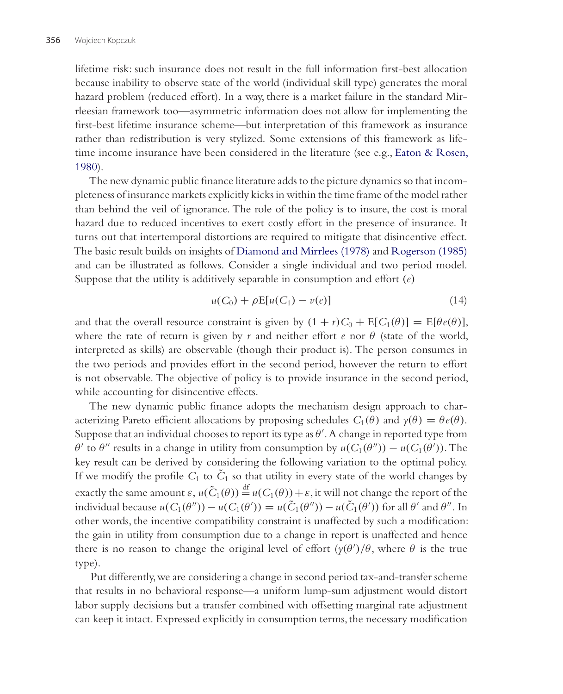lifetime risk: such insurance does not result in the full information first-best allocation because inability to observe state of the world (individual skill type) generates the moral hazard problem (reduced effort). In a way, there is a market failure in the standard Mirrleesian framework too—asymmetric information does not allow for implementing the first-best lifetime insurance scheme—but interpretation of this framework as insurance rather than redistribution is very stylized. Some extensions of this framework as lifetime income insurance have been considered in the literature (see e.g., Eaton & Rosen, 1980[\).](#page-56-11)

The new dynamic public finance literature adds to the picture dynamics so that incompleteness of insurance markets explicitly kicks in within the time frame of the model rather than behind the veil of ignorance. The role of the policy is to insure, the cost is moral hazard due to reduced incentives to exert costly effort in the presence of insurance. It turns out that intertemporal distortions are required to mitigate that disincentive effect. The basic result builds on insights of [Diamond and Mirrlees \(1978\)](#page-56-12) and [Rogerson \(1985\)](#page-60-12) and can be illustrated as follows. Consider a single individual and two period model. Suppose that the utility is additively separable in consumption and effort (*e*)

$$
u(C_0) + \rho \mathbb{E}[u(C_1) - v(e)] \tag{14}
$$

and that the overall resource constraint is given by  $(1 + r)C_0 + E[C_1(\theta)] = E[\theta e(\theta)],$ where the rate of return is given by *r* and neither effort *e* nor  $\theta$  (state of the world, interpreted as skills) are observable (though their product is). The person consumes in the two periods and provides effort in the second period, however the return to effort is not observable. The objective of policy is to provide insurance in the second period, while accounting for disincentive effects.

The new dynamic public finance adopts the mechanism design approach to characterizing Pareto efficient allocations by proposing schedules  $C_1(\theta)$  and  $\gamma(\theta) = \theta e(\theta)$ . Suppose that an individual chooses to report its type as  $\theta'.$  A change in reported type from θ' to θ'' results in a change in utility from consumption by  $u(C_1(\theta'')) - u(C_1(\theta'))$ . The key result can be derived by considering the following variation to the optimal policy. If we modify the profile  $C_1$  to  $\tilde{C}_1$  so that utility in every state of the world changes by exactly the same amount  $\varepsilon$ ,  $u(\tilde{C}_1(\theta)) \stackrel{\text{df}}{=} u(C_1(\theta)) + \varepsilon$ , it will not change the report of the individual because  $u(C_1(\theta'')) - u(C_1(\theta')) = u(\tilde{C}_1(\theta'')) - u(\tilde{C}_1(\theta'))$  for all  $\theta'$  and  $\theta''$ . In other words, the incentive compatibility constraint is unaffected by such a modification: the gain in utility from consumption due to a change in report is unaffected and hence there is no reason to change the original level of effort  $(y(\theta')/\theta)$ , where  $\theta$  is the true type).

Put differently,we are considering a change in second period tax-and-transfer scheme that results in no behavioral response—a uniform lump-sum adjustment would distort labor supply decisions but a transfer combined with offsetting marginal rate adjustment can keep it intact. Expressed explicitly in consumption terms, the necessary modification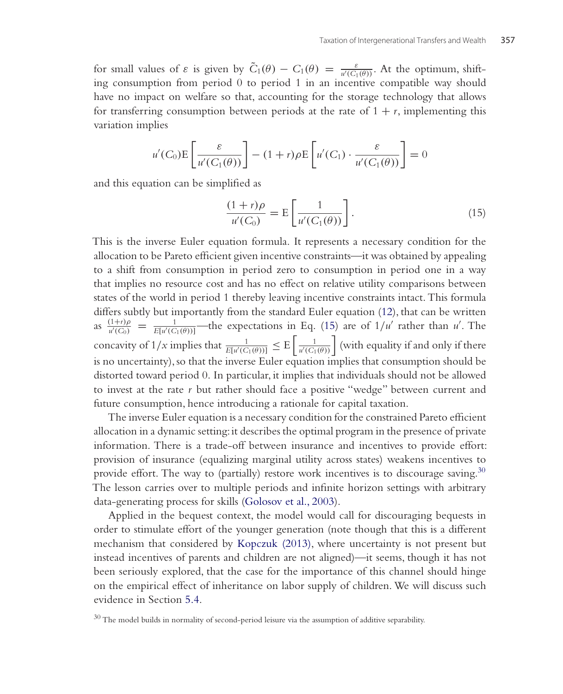for small values of  $\varepsilon$  is given by  $\tilde{C}_1(\theta) - C_1(\theta) = \frac{\varepsilon}{u'(C_1(\theta))}$ . At the optimum, shifting consumption from period 0 to period 1 in an incentive compatible way should have no impact on welfare so that, accounting for the storage technology that allows for transferring consumption between periods at the rate of  $1 + r$ , implementing this variation implies

$$
u'(C_0)E\left[\frac{\varepsilon}{u'(C_1(\theta))}\right] - (1+r)\rho E\left[u'(C_1)\cdot \frac{\varepsilon}{u'(C_1(\theta))}\right] = 0
$$

and this equation can be simplified as

<span id="page-28-0"></span>
$$
\frac{(1+r)\rho}{u'(C_0)} = \mathcal{E}\left[\frac{1}{u'(C_1(\theta))}\right].\tag{15}
$$

This is the inverse Euler equation formula. It represents a necessary condition for the allocation to be Pareto efficient given incentive constraints—it was obtained by appealing to a shift from consumption in period zero to consumption in period one in a way that implies no resource cost and has no effect on relative utility comparisons between states of the world in period 1 thereby leaving incentive constraints intact. This formula differs subtly but importantly from the standard Euler equation [\(12\)](#page-25-2), that can be written as  $\frac{(1+r)\rho}{u'(C_0)} = \frac{1}{E[u'(C_1(\theta))]}.$  the expectations in Eq. [\(15\)](#page-28-0) are of  $1/u'$  rather than *u'*. The concavity of  $1/x$  implies that  $\frac{1}{E[u'(C_1(\theta))]}\leq E\left[\frac{1}{u'(C_1(\theta))}\right]$  (with equality if and only if there is no uncertainty), so that the inverse Euler equation implies that consumption should be distorted toward period 0. In particular, it implies that individuals should not be allowed to invest at the rate *r* but rather should face a positive "wedge" between current and future consumption, hence introducing a rationale for capital taxation.

The inverse Euler equation is a necessary condition for the constrained Pareto efficient allocation in a dynamic setting:it describes the optimal program in the presence of private information. There is a trade-off between insurance and incentives to provide effort: provision of insurance (equalizing marginal utility across states) weakens incentives to provide effort. The way to (partially) restore work incentives is to discourage saving.<sup>30</sup> The lesson carries over to multiple periods and infinite horizon settings with arbitrary data-generating process for skills [\(Golosov et al., 2003\)](#page-57-6).

Applied in the bequest context, the model would call for discouraging bequests in order to stimulate effort of the younger generation (note though that this is a different mechanism that considered by [Kopczuk \(2013\),](#page-58-10) where uncertainty is not present but instead incentives of parents and children are not aligned)—it seems, though it has not been seriously explored, that the case for the importance of this channel should hinge on the empirical effect of inheritance on labor supply of children. We will discuss such evidence in Section [5.4.](#page-39-0)

<span id="page-28-1"></span> $30$  The model builds in normality of second-period leisure via the assumption of additive separability.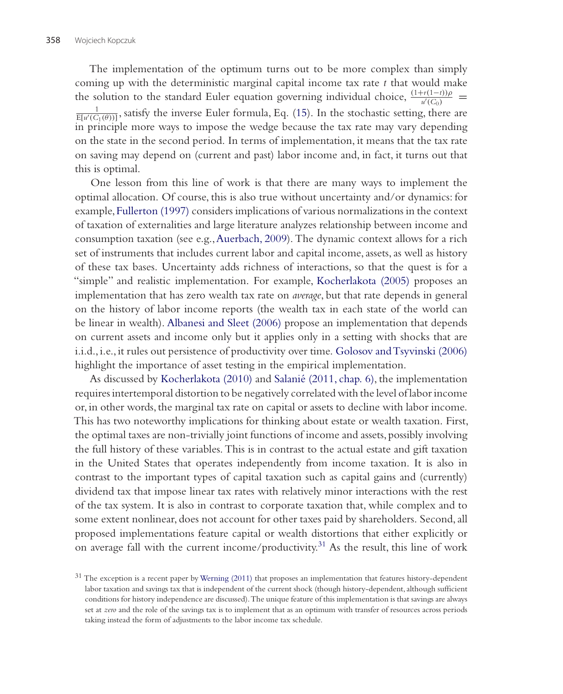The implementation of the optimum turns out to be more complex than simply coming up with the deterministic marginal capital income tax rate *t* that would make the solution to the standard Euler equation governing individual choice,  $\frac{(1+r(1-t))\rho}{u'(C_0)} =$ <br>  $\frac{1}{(1+r(1-t))\rho}$  exting the inverse Euler formula Eq. (15). In the stochastic esting there are  $\frac{1}{\mathbb{E}[u'(C_1(\theta))]},$  satisfy the inverse Euler formula, Eq. [\(15\)](#page-28-0). In the stochastic setting, there are in principle more ways to impose the wedge because the tax rate may vary depending on the state in the second period. In terms of implementation, it means that the tax rate on saving may depend on (current and past) labor income and, in fact, it turns out that this is optimal.

One lesson from this line of work is that there are many ways to implement the optimal allocation. Of course, this is also true without uncertainty and/or dynamics: for example,[Fullerton \(1997\)](#page-57-7) considers implications of various normalizations in the context of taxation of externalities and large literature analyzes relationship between income and consumption taxation (see e.g.,[Auerbach, 2009\)](#page-54-8). The dynamic context allows for a rich set of instruments that includes current labor and capital income, assets, as well as history of these tax bases. Uncertainty adds richness of interactions, so that the quest is for a "simple" and realistic implementation. For example, [Kocherlakota \(2005\)](#page-58-12) proposes an implementation that has zero wealth tax rate on *average*, but that rate depends in general on the history of labor income reports (the wealth tax in each state of the world can be linear in wealth). [Albanesi and Sleet \(2006\)](#page-53-9) propose an implementation that depends on current assets and income only but it applies only in a setting with shocks that are i.i.d.,i.e.,it rules out persistence of productivity over time. [Golosov andTsyvinski \(2006\)](#page-57-8) highlight the importance of asset testing in the empirical implementation.

As discussed by [Kocherlakota \(2010\)](#page-58-13) and [Salanié \(2011, chap. 6\),](#page-61-9) the implementation requires intertemporal distortion to be negatively correlated with the level of labor income or, in other words, the marginal tax rate on capital or assets to decline with labor income. This has two noteworthy implications for thinking about estate or wealth taxation. First, the optimal taxes are non-trivially joint functions of income and assets, possibly involving the full history of these variables. This is in contrast to the actual estate and gift taxation in the United States that operates independently from income taxation. It is also in contrast to the important types of capital taxation such as capital gains and (currently) dividend tax that impose linear tax rates with relatively minor interactions with the rest of the tax system. It is also in contrast to corporate taxation that, while complex and to some extent nonlinear, does not account for other taxes paid by shareholders. Second, all proposed implementations feature capital or wealth distortions that either explicitly or on average fall with the current income/productivity. $31$  As the result, this line of work

<span id="page-29-0"></span> $31$  The exception is a recent paper by [Werning \(2011\)](#page-61-10) that proposes an implementation that features history-dependent labor taxation and savings tax that is independent of the current shock (though history-dependent, although sufficient conditions for history independence are discussed).The unique feature of this implementation is that savings are always set at *zero* and the role of the savings tax is to implement that as an optimum with transfer of resources across periods taking instead the form of adjustments to the labor income tax schedule.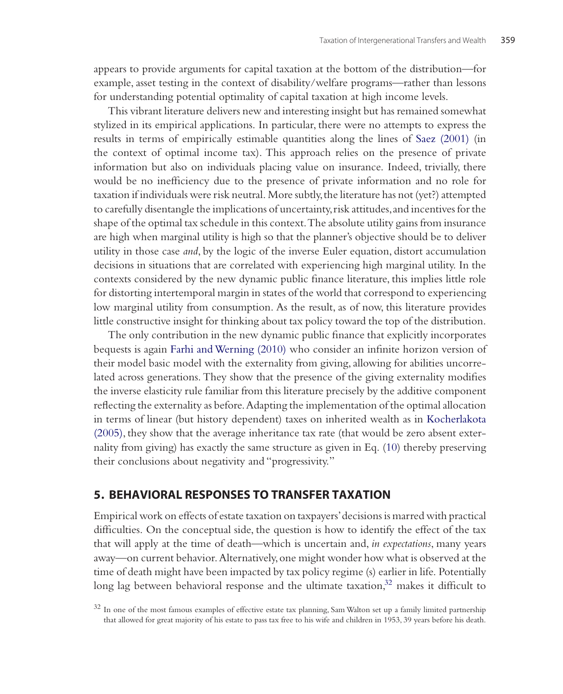appears to provide arguments for capital taxation at the bottom of the distribution—for example, asset testing in the context of disability/welfare programs—rather than lessons for understanding potential optimality of capital taxation at high income levels.

This vibrant literature delivers new and interesting insight but has remained somewhat stylized in its empirical applications. In particular, there were no attempts to express the results in terms of empirically estimable quantities along the lines of [Saez \(2001\)](#page-60-11) (in the context of optimal income tax). This approach relies on the presence of private information but also on individuals placing value on insurance. Indeed, trivially, there would be no inefficiency due to the presence of private information and no role for taxation if individuals were risk neutral. More subtly,the literature has not (yet?) attempted to carefully disentangle the implications of uncertainty,risk attitudes,and incentives for the shape of the optimal tax schedule in this context.The absolute utility gains from insurance are high when marginal utility is high so that the planner's objective should be to deliver utility in those case *and*, by the logic of the inverse Euler equation, distort accumulation decisions in situations that are correlated with experiencing high marginal utility. In the contexts considered by the new dynamic public finance literature, this implies little role for distorting intertemporal margin in states of the world that correspond to experiencing low marginal utility from consumption. As the result, as of now, this literature provides little constructive insight for thinking about tax policy toward the top of the distribution.

The only contribution in the new dynamic public finance that explicitly incorporates bequests is again [Farhi andWerning \(2010\)](#page-56-9) who consider an infinite horizon version of their model basic model with the externality from giving, allowing for abilities uncorrelated across generations. They show that the presence of the giving externality modifies the inverse elasticity rule familiar from this literature precisely by the additive component reflecting the externality as before.Adapting the implementation of the optimal allocation in terms of linear (but history dependent) taxes on inherited wealth as in Kocherlakota (2005)[,](#page-58-12) [they](#page-58-12) [show](#page-58-12) [that](#page-58-12) [the](#page-58-12) [average](#page-58-12) [inheritance](#page-58-12) [tax](#page-58-12) [rate](#page-58-12) [\(that](#page-58-12) [would](#page-58-12) [be](#page-58-12) [zero](#page-58-12) absent externality from giving) has exactly the same structure as given in Eq. [\(10\)](#page-20-1) thereby preserving their conclusions about negativity and "progressivity."

#### <span id="page-30-0"></span>**5. BEHAVIORAL RESPONSES TO TRANSFER TAXATION**

Empirical work on effects of estate taxation on taxpayers'decisions is marred with practical difficulties. On the conceptual side, the question is how to identify the effect of the tax that will apply at the time of death—which is uncertain and, *in expectations*, many years away—on current behavior.Alternatively, one might wonder how what is observed at the time of death might have been impacted by tax policy regime (s) earlier in life. Potentially long lag between behavioral response and the ultimate taxation,<sup>32</sup> makes it difficult to

<span id="page-30-1"></span><sup>&</sup>lt;sup>32</sup> In one of the most famous examples of effective estate tax planning, Sam Walton set up a family limited partnership that allowed for great majority of his estate to pass tax free to his wife and children in 1953, 39 years before his death.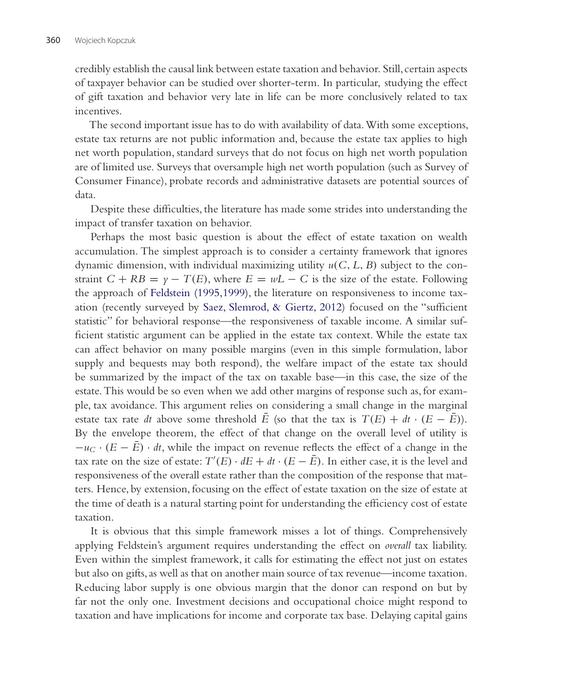credibly establish the causal link between estate taxation and behavior. Still, certain aspects of taxpayer behavior can be studied over shorter-term. In particular, studying the effect of gift taxation and behavior very late in life can be more conclusively related to tax incentives.

The second important issue has to do with availability of data.With some exceptions, estate tax returns are not public information and, because the estate tax applies to high net worth population, standard surveys that do not focus on high net worth population are of limited use. Surveys that oversample high net worth population (such as Survey of Consumer Finance), probate records and administrative datasets are potential sources of data.

Despite these difficulties, the literature has made some strides into understanding the impact of transfer taxation on behavior.

Perhaps the most basic question is about the effect of estate taxation on wealth accumulation. The simplest approach is to consider a certainty framework that ignores dynamic dimension, with individual maximizing utility *u*(*C*, *L*, *B*) subject to the constraint  $C + RB = \gamma - T(E)$ , where  $E = wL - C$  is the size of the estate. Following the approach of Feldstein (1995,1999), the literature on responsiveness to income taxation (recently surveyed by [Saez, Slemrod, & Giertz, 2012\)](#page-61-11) focused on the "sufficient statistic" for behavioral response—the responsiveness of taxable income. A similar sufficient statistic argument can be applied in the estate tax context. While the estate tax can affect behavior on many possible margins (even in this simple formulation, labor supply and bequests may both respond), the welfare impact of the estate tax should be summarized by the impact of the tax on taxable base—in this case, the size of the estate.This would be so even when we add other margins of response such as, for example, tax avoidance. This argument relies on considering a small change in the marginal estate tax rate *dt* above some threshold *E* (so that the tax is  $T(E) + dt \cdot (E - E)$ ). By the envelope theorem, the effect of that change on the overall level of utility is  $-\mu_C \cdot (E - \bar{E}) \cdot dt$ , while the impact on revenue reflects the effect of a change in the tax rate on the size of estate:  $T'(E) \cdot dE + dt \cdot (E - \bar{E})$ . In either case, it is the level and responsiveness of the overall estate rather than the composition of the response that matters. Hence, by extension, focusing on the effect of estate taxation on the size of estate at the time of death is a natural starting point for understanding the efficiency cost of estate taxation.

It is obvious that this simple framework misses a lot of things. Comprehensively applying Feldstein's argument requires understanding the effect on *overall* tax liability. Even within the simplest framework, it calls for estimating the effect not just on estates but also on gifts, as well as that on another main source of tax revenue—income taxation. Reducing labor supply is one obvious margin that the donor can respond on but by far not the only one. Investment decisions and occupational choice might respond to taxation and have implications for income and corporate tax base. Delaying capital gains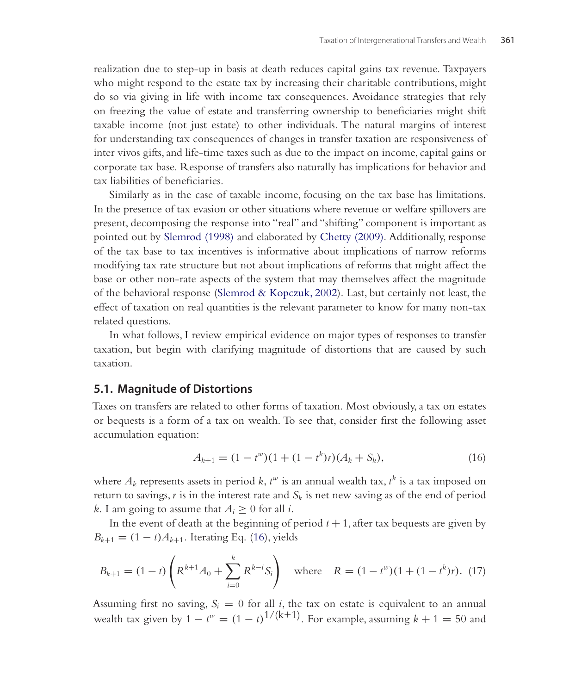realization due to step-up in basis at death reduces capital gains tax revenue. Taxpayers who might respond to the estate tax by increasing their charitable contributions, might do so via giving in life with income tax consequences. Avoidance strategies that rely on freezing the value of estate and transferring ownership to beneficiaries might shift taxable income (not just estate) to other individuals. The natural margins of interest for understanding tax consequences of changes in transfer taxation are responsiveness of inter vivos gifts, and life-time taxes such as due to the impact on income, capital gains or corporate tax base. Response of transfers also naturally has implications for behavior and tax liabilities of beneficiaries.

Similarly as in the case of taxable income, focusing on the tax base has limitations. In the presence of tax evasion or other situations where revenue or welfare spillovers are present, decomposing the response into "real" and "shifting" component is important as pointed out by [Slemrod \(1998\)](#page-61-12) and elaborated by [Chetty \(2009\).](#page-55-9) Additionally, response of the tax base to tax incentives is informative about implications of narrow reforms modifying tax rate structure but not about implications of reforms that might affect the base or other non-rate aspects of the system that may themselves affect the magnitude of the behavioral response [\(Slemrod & Kopczuk, 2002\)](#page-61-13). Last, but certainly not least, the effect of taxation on real quantities is the relevant parameter to know for many non-tax related questions.

In what follows, I review empirical evidence on major types of responses to transfer taxation, but begin with clarifying magnitude of distortions that are caused by such taxation.

#### <span id="page-32-0"></span>**5.1. Magnitude of Distortions**

Taxes on transfers are related to other forms of taxation. Most obviously, a tax on estates or bequests is a form of a tax on wealth. To see that, consider first the following asset accumulation equation:

<span id="page-32-1"></span>
$$
A_{k+1} = (1 - t^w)(1 + (1 - t^k)r)(A_k + S_k),
$$
\n(16)

where  $A_k$  represents assets in period  $k$ ,  $t^w$  is an annual wealth tax,  $t^k$  is a tax imposed on return to savings, *r* is in the interest rate and *Sk* is net new saving as of the end of period *k*. I am going to assume that  $A_i \geq 0$  for all *i*.

In the event of death at the beginning of period  $t + 1$ , after tax bequests are given by  $B_{k+1} = (1 - t)A_{k+1}$ . Iterating Eq. [\(16\)](#page-32-1), yields

$$
B_{k+1} = (1-t)\left(R^{k+1}A_0 + \sum_{i=0}^{k} R^{k-i}S_i\right) \quad \text{where} \quad R = (1-t^w)(1+(1-t^k)r). \tag{17}
$$

Assuming first no saving,  $S_i = 0$  for all *i*, the tax on estate is equivalent to an annual wealth tax given by  $1 - t^w = (1 - t)^{1/(k+1)}$ . For example, assuming  $k + 1 = 50$  and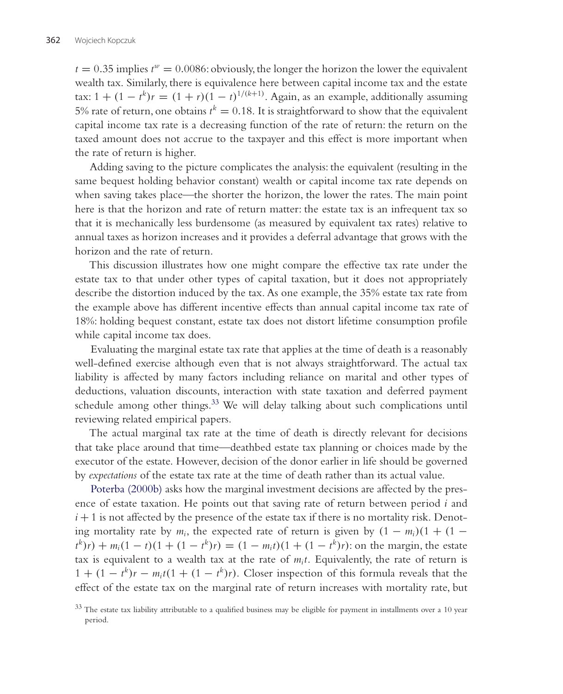$t = 0.35$  implies  $t^w = 0.0086$ : obviously, the longer the horizon the lower the equivalent wealth tax. Similarly, there is equivalence here between capital income tax and the estate tax:  $1 + (1 - t^k)r = (1 + r)(1 - t)^{1/(k+1)}$ . Again, as an example, additionally assuming 5% rate of return, one obtains  $t^k = 0.18$ . It is straightforward to show that the equivalent capital income tax rate is a decreasing function of the rate of return: the return on the taxed amount does not accrue to the taxpayer and this effect is more important when the rate of return is higher.

Adding saving to the picture complicates the analysis: the equivalent (resulting in the same bequest holding behavior constant) wealth or capital income tax rate depends on when saving takes place—the shorter the horizon, the lower the rates. The main point here is that the horizon and rate of return matter: the estate tax is an infrequent tax so that it is mechanically less burdensome (as measured by equivalent tax rates) relative to annual taxes as horizon increases and it provides a deferral advantage that grows with the horizon and the rate of return.

This discussion illustrates how one might compare the effective tax rate under the estate tax to that under other types of capital taxation, but it does not appropriately describe the distortion induced by the tax. As one example, the 35% estate tax rate from the example above has different incentive effects than annual capital income tax rate of 18%: holding bequest constant, estate tax does not distort lifetime consumption profile while capital income tax does.

Evaluating the marginal estate tax rate that applies at the time of death is a reasonably well-defined exercise although even that is not always straightforward. The actual tax liability is affected by many factors including reliance on marital and other types of deductions, valuation discounts, interaction with state taxation and deferred payment schedule among other things. $33$  We will delay talking about such complications until reviewing related empirical papers.

The actual marginal tax rate at the time of death is directly relevant for decisions that take place around that time—deathbed estate tax planning or choices made by the executor of the estate. However, decision of the donor earlier in life should be governed by *expectations* of the estate tax rate at the time of death rather than its actual value.

[Poterba \(2000b\)](#page-60-13) asks how the marginal investment decisions are affected by the presence of estate taxation. He points out that saving rate of return between period *i* and  $i+1$  is not affected by the presence of the estate tax if there is no mortality risk. Denoting mortality rate by  $m_i$ , the expected rate of return is given by  $(1 - m_i)(1 + (1$  $t^{k}$ )*r*) + *m*<sub>*i*</sub>(1 − *t*)(1 + (1 − *t*<sup>k</sup>)*r*) = (1 − *m<sub>i</sub>t*)(1 + (1 − *t*<sup>k</sup>)*r*): on the margin, the estate tax is equivalent to a wealth tax at the rate of  $m<sub>i</sub>t$ . Equivalently, the rate of return is  $1 + (1 - t^k)r - m_it(1 + (1 - t^k)r)$ . Closer inspection of this formula reveals that the effect of the estate tax on the marginal rate of return increases with mortality rate, but

<span id="page-33-0"></span> $33$  The estate tax liability attributable to a qualified business may be eligible for payment in installments over a 10 year period.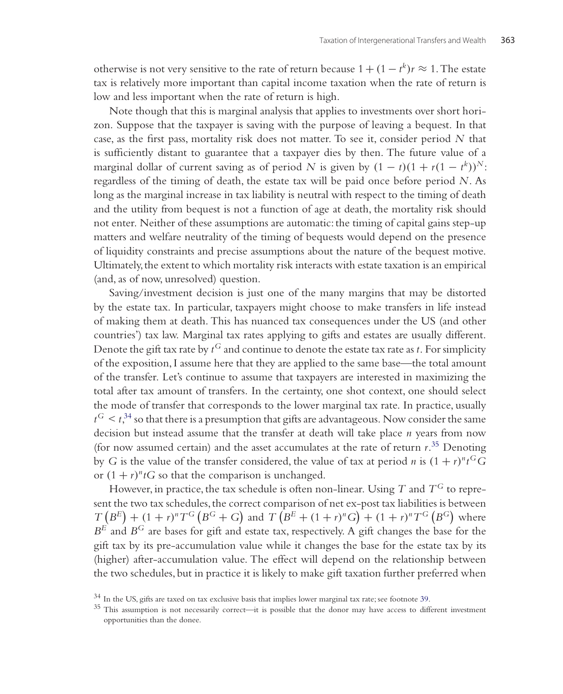otherwise is not very sensitive to the rate of return because  $1 + (1 - t^k)r \approx 1$ . The estate tax is relatively more important than capital income taxation when the rate of return is low and less important when the rate of return is high.

Note though that this is marginal analysis that applies to investments over short horizon. Suppose that the taxpayer is saving with the purpose of leaving a bequest. In that case, as the first pass, mortality risk does not matter. To see it, consider period *N* that is sufficiently distant to guarantee that a taxpayer dies by then. The future value of a marginal dollar of current saving as of period *N* is given by  $(1 - t)(1 + r(1 - t^k))^{N}$ : regardless of the timing of death, the estate tax will be paid once before period *N*. As long as the marginal increase in tax liability is neutral with respect to the timing of death and the utility from bequest is not a function of age at death, the mortality risk should not enter. Neither of these assumptions are automatic:the timing of capital gains step-up matters and welfare neutrality of the timing of bequests would depend on the presence of liquidity constraints and precise assumptions about the nature of the bequest motive. Ultimately, the extent to which mortality risk interacts with estate taxation is an empirical (and, as of now, unresolved) question.

Saving/investment decision is just one of the many margins that may be distorted by the estate tax. In particular, taxpayers might choose to make transfers in life instead of making them at death. This has nuanced tax consequences under the US (and other countries') tax law. Marginal tax rates applying to gifts and estates are usually different. Denote the gift tax rate by  $t^G$  and continue to denote the estate tax rate as  $t.$  For simplicity of the exposition, I assume here that they are applied to the same base—the total amount of the transfer. Let's continue to assume that taxpayers are interested in maximizing the total after tax amount of transfers. In the certainty, one shot context, one should select the mode of transfer that corresponds to the lower marginal tax rate. In practice, usually  $t^G \leq t_{\alpha}^{34}$  $t^G \leq t_{\alpha}^{34}$  $t^G \leq t_{\alpha}^{34}$  so that there is a presumption that gifts are advantageous. Now consider the same decision but instead assume that the transfer at death will take place *n* years from now (for now assumed certain) and the asset accumulates at the rate of return *r*. [35](#page-34-1) Denoting by *G* is the value of the transfer considered, the value of tax at period *n* is  $(1 + r)^n t^G G$ or  $(1 + r)^n$  *t*G so that the comparison is unchanged.

However, in practice, the tax schedule is often non-linear. Using  $T$  and  $T^G$  to represent the two tax schedules, the correct comparison of net ex-post tax liabilities is between  $T(P^E) + (1+r)^n T^G (B^G + G)$  and  $T(P^E + (1+r)^n G) + (1+r)^n T^G (B^G)$  where *B<sup>E</sup>* and *B<sup>G</sup>* are bases for gift and estate tax, respectively. A gift changes the base for the gift tax by its pre-accumulation value while it changes the base for the estate tax by its (higher) after-accumulation value. The effect will depend on the relationship between the two schedules, but in practice it is likely to make gift taxation further preferred when

<sup>34</sup> In the US, gifts are taxed on tax exclusive basis that implies lower marginal tax rate; see footnote [39.](#page-37-1)

<span id="page-34-1"></span><span id="page-34-0"></span><sup>35</sup> This assumption is not necessarily correct—it is possible that the donor may have access to different investment opportunities than the donee.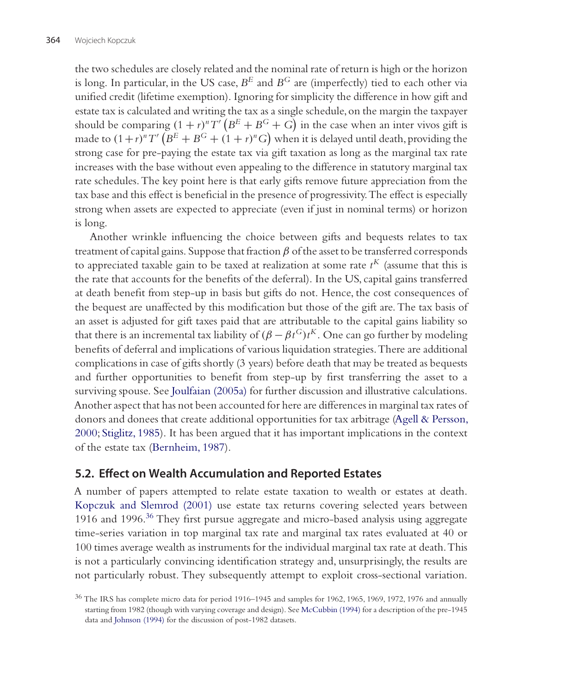the two schedules are closely related and the nominal rate of return is high or the horizon is long. In particular, in the US case,  $B<sup>E</sup>$  and  $B<sup>G</sup>$  are (imperfectly) tied to each other via unified credit (lifetime exemption). Ignoring for simplicity the difference in how gift and estate tax is calculated and writing the tax as a single schedule, on the margin the taxpayer should be comparing  $(1 + r)^n T' (B^E + B^G + G)$  in the case when an inter vivos gift is made to  $(1+r)^nT'\left(B^E+B^G+(1+r)^nG\right)$  when it is delayed until death, providing the strong case for pre-paying the estate tax via gift taxation as long as the marginal tax rate increases with the base without even appealing to the difference in statutory marginal tax rate schedules. The key point here is that early gifts remove future appreciation from the tax base and this effect is beneficial in the presence of progressivity.The effect is especially strong when assets are expected to appreciate (even if just in nominal terms) or horizon is long.

Another wrinkle influencing the choice between gifts and bequests relates to tax treatment of capital gains. Suppose that fraction  $\beta$  of the asset to be transferred corresponds to appreciated taxable gain to be taxed at realization at some rate  $t^K$  (assume that this is the rate that accounts for the benefits of the deferral). In the US, capital gains transferred at death benefit from step-up in basis but gifts do not. Hence, the cost consequences of the bequest are unaffected by this modification but those of the gift are. The tax basis of an asset is adjusted for gift taxes paid that are attributable to the capital gains liability so that there is an incremental tax liability of  $(\beta - \beta t^G)t^K$ . One can go further by modeling benefits of deferral and implications of various liquidation strategies.There are additional complications in case of gifts shortly (3 years) before death that may be treated as bequests and further opportunities to benefit from step-up by first transferring the asset to a surviving spouse. See [Joulfaian \(2005a\)](#page-58-14) for further discussion and illustrative calculations. Another aspect that has not been accounted for here are differences in marginal tax rates of donors and donees that create additional opportunities for tax arbitrage (Agell & Persson, 2000; [Stiglitz, 1985\)](#page-61-14)[.](#page-53-10) [It](#page-53-10) [has](#page-53-10) [been](#page-53-10) [argued](#page-53-10) [that](#page-53-10) [it](#page-53-10) [has](#page-53-10) [important](#page-53-10) [implication](#page-53-10)s in the context of the estate tax [\(Bernheim, 1987\)](#page-54-9).

# <span id="page-35-0"></span>**5.2. Effect on Wealth Accumulation and Reported Estates**

A number of papers attempted to relate estate taxation to wealth or estates at death. [Kopczuk and Slemrod \(2001\)](#page-58-15) use estate tax returns covering selected years between 1916 and 1996.<sup>36</sup> They first pursue aggregate and micro-based analysis using aggregate time-series variation in top marginal tax rate and marginal tax rates evaluated at 40 or 100 times average wealth as instruments for the individual marginal tax rate at death.This is not a particularly convincing identification strategy and, unsurprisingly, the results are not particularly robust. They subsequently attempt to exploit cross-sectional variation.

<span id="page-35-1"></span> $36$  The IRS has complete micro data for period 1916–1945 and samples for 1962, 1965, 1969, 1972, 1976 and annually starting from 1982 (though with varying coverage and design). See [McCubbin \(1994\)](#page-59-14) for a description of the pre-1945 data and [Johnson \(1994\)](#page-57-9) for the discussion of post-1982 datasets.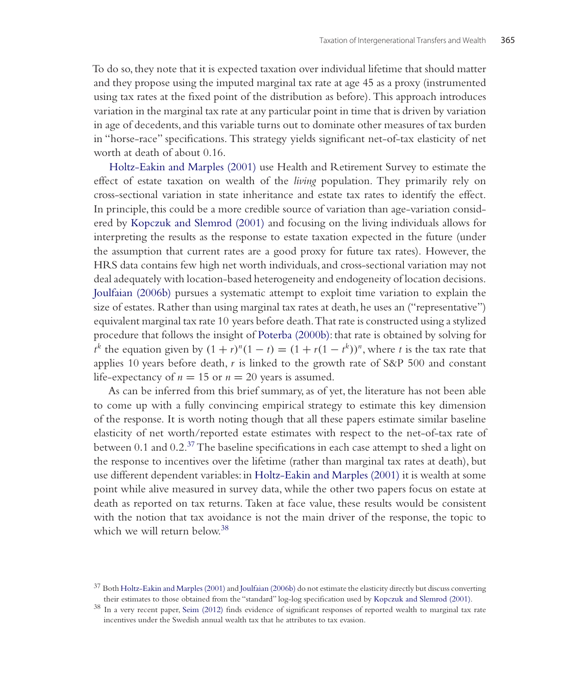To do so,they note that it is expected taxation over individual lifetime that should matter and they propose using the imputed marginal tax rate at age 45 as a proxy (instrumented using tax rates at the fixed point of the distribution as before). This approach introduces variation in the marginal tax rate at any particular point in time that is driven by variation in age of decedents, and this variable turns out to dominate other measures of tax burden in "horse-race" specifications. This strategy yields significant net-of-tax elasticity of net worth at death of about 0.16.

[Holtz-Eakin and Marples \(2001\)](#page-57-10) use Health and Retirement Survey to estimate the effect of estate taxation on wealth of the *living* population. They primarily rely on cross-sectional variation in state inheritance and estate tax rates to identify the effect. In principle, this could be a more credible source of variation than age-variation considered by [Kopczuk and Slemrod \(2001\)](#page-58-15) and focusing on the living individuals allows for interpreting the results as the response to estate taxation expected in the future (under the assumption that current rates are a good proxy for future tax rates). However, the HRS data contains few high net worth individuals, and cross-sectional variation may not deal adequately with location-based heterogeneity and endogeneity of location decisions. [Joulfaian \(2006b\)](#page-58-16) pursues a systematic attempt to exploit time variation to explain the size of estates. Rather than using marginal tax rates at death, he uses an ("representative") equivalent marginal tax rate 10 years before death.That rate is constructed using a stylized procedure that follows the insight of [Poterba \(2000b\):](#page-60-13) that rate is obtained by solving for *t*<sup>k</sup> the equation given by  $(1 + r)^n(1 - t) = (1 + r(1 - t^k))^n$ , where *t* is the tax rate that applies 10 years before death,  $r$  is linked to the growth rate of S&P 500 and constant life-expectancy of  $n = 15$  or  $n = 20$  years is assumed.

As can be inferred from this brief summary, as of yet, the literature has not been able to come up with a fully convincing empirical strategy to estimate this key dimension of the response. It is worth noting though that all these papers estimate similar baseline elasticity of net worth/reported estate estimates with respect to the net-of-tax rate of between 0.1 and 0.2.<sup>37</sup> The baseline specifications in each case attempt to shed a light on the response to incentives over the lifetime (rather than marginal tax rates at death), but use different dependent variables: in [Holtz-Eakin and Marples \(2001\)](#page-57-10) it is wealth at some point while alive measured in survey data, while the other two papers focus on estate at death as reported on tax returns. Taken at face value, these results would be consistent with the notion that tax avoidance is not the main driver of the response, the topic to which we will return below.<sup>38</sup>

 $37$  Both [Holtz-Eakin and Marples \(2001\)](#page-57-10) and [Joulfaian \(2006b\)](#page-58-16) do not estimate the elasticity directly but discuss converting their estimates to those obtained from the "standard" log-log specification used by [Kopczuk and Slemrod \(2001\).](#page-58-15)

<span id="page-36-1"></span><span id="page-36-0"></span><sup>38</sup> In a very recent paper, [Seim \(2012\)](#page-61-15) finds evidence of significant responses of reported wealth to marginal tax rate incentives under the Swedish annual wealth tax that he attributes to tax evasion.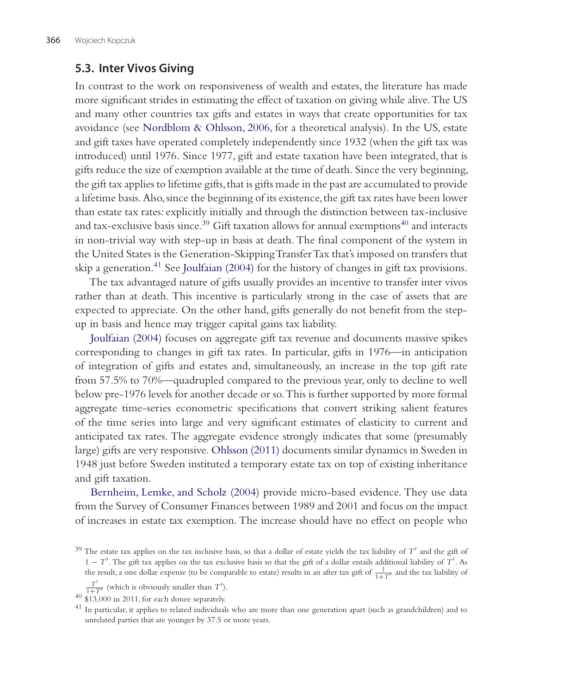#### <span id="page-37-0"></span>**5.3. Inter Vivos Giving**

In contrast to the work on responsiveness of wealth and estates, the literature has made more significant strides in estimating the effect of taxation on giving while alive.The US and many other countries tax gifts and estates in ways that create opportunities for tax avoidance (see [Nordblom & Ohlsson, 2006,](#page-60-14) for a theoretical analysis). In the US, estate and gift taxes have operated completely independently since 1932 (when the gift tax was introduced) until 1976. Since 1977, gift and estate taxation have been integrated, that is gifts reduce the size of exemption available at the time of death. Since the very beginning, the gift tax applies to lifetime gifts, that is gifts made in the past are accumulated to provide a lifetime basis. Also, since the beginning of its existence, the gift tax rates have been lower than estate tax rates: explicitly initially and through the distinction between tax-inclusive and tax-exclusive basis since.<sup>39</sup> Gift taxation allows for annual exemptions<sup>40</sup> and interacts in non-trivial way with step-up in basis at death. The final component of the system in the United States is the Generation-SkippingTransferTax that's imposed on transfers that skip a generation.<sup>41</sup> See [Joulfaian \(2004\)](#page-58-17) for the history of changes in gift tax provisions.

The tax advantaged nature of gifts usually provides an incentive to transfer inter vivos rather than at death. This incentive is particularly strong in the case of assets that are expected to appreciate. On the other hand, gifts generally do not benefit from the stepup in basis and hence may trigger capital gains tax liability.

[Joulfaian \(2004\)](#page-58-17) focuses on aggregate gift tax revenue and documents massive spikes corresponding to changes in gift tax rates. In particular, gifts in 1976—in anticipation of integration of gifts and estates and, simultaneously, an increase in the top gift rate from 57.5% to 70%—quadrupled compared to the previous year, only to decline to well below pre-1976 levels for another decade or so.This is further supported by more formal aggregate time-series econometric specifications that convert striking salient features of the time series into large and very significant estimates of elasticity to current and anticipated tax rates. The aggregate evidence strongly indicates that some (presumably large) gifts are very responsive. [Ohlsson \(2011\)](#page-60-15) documents similar dynamics in Sweden in 1948 just before Sweden instituted a temporary estate tax on top of existing inheritance and gift taxation.

[Bernheim, Lemke, and Scholz \(2004\)](#page-54-10) provide micro-based evidence. They use data from the Survey of Consumer Finances between 1989 and 2001 and focus on the impact of increases in estate tax exemption. The increase should have no effect on people who

<span id="page-37-1"></span> $39$  The estate tax applies on the tax inclusive basis, so that a dollar of estate yields the tax liability of  $T'$  and the gift of 1 − *T* . The gift tax applies on the tax exclusive basis so that the gift of a dollar entails additional liability of *T* . As the result, a one dollar expense (to be comparable to estate) results in an after tax gift of  $\frac{1}{1+T'}$  and the tax liability of

 $\frac{T'}{1+T'}$  (which is obviously smaller than *T'*).

 $40\frac{1}{13,000}$  in 2011, for each donee separately.

<span id="page-37-3"></span><span id="page-37-2"></span><sup>&</sup>lt;sup>41</sup> In particular, it applies to related individuals who are more than one generation apart (such as grandchildren) and to unrelated parties that are younger by 37.5 or more years.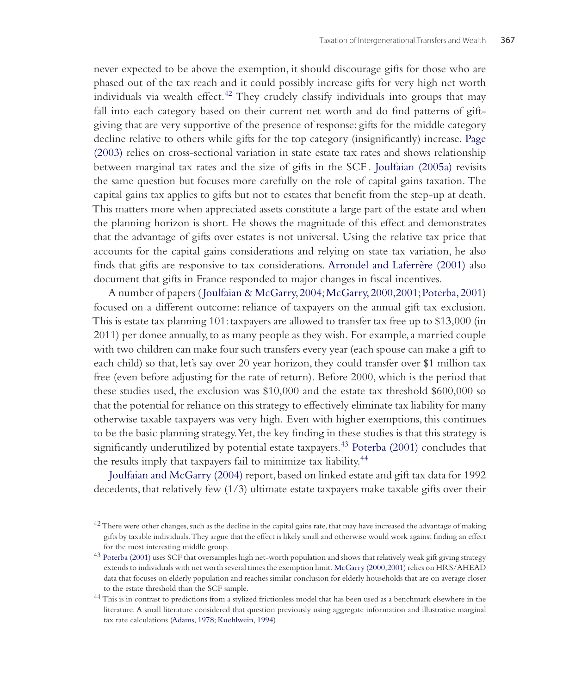never expected to be above the exemption, it should discourage gifts for those who are phased out of the tax reach and it could possibly increase gifts for very high net worth individuals via wealth effect.<sup>[42](#page-38-0)</sup> They crudely classify individuals into groups that may fall into each category based on their current net worth and do find patterns of giftgiving that are very supportive of the presence of response: gifts for the middle category decline relative to others while gifts for the top category (insignificantly) increase. Page (2003) [relies](#page-60-16) [on](#page-60-16) [cross-sectional](#page-60-16) [variation](#page-60-16) [in](#page-60-16) [state](#page-60-16) [estate](#page-60-16) [tax](#page-60-16) [rates](#page-60-16) [and](#page-60-16) [shows](#page-60-16) [relation](#page-60-16)ship between marginal tax rates and the size of gifts in the SCF . [Joulfaian \(2005a\)](#page-58-14) revisits the same question but focuses more carefully on the role of capital gains taxation. The capital gains tax applies to gifts but not to estates that benefit from the step-up at death. This matters more when appreciated assets constitute a large part of the estate and when the planning horizon is short. He shows the magnitude of this effect and demonstrates that the advantage of gifts over estates is not universal. Using the relative tax price that accounts for the capital gains considerations and relying on state tax variation, he also finds that gifts are responsive to tax considerations. [Arrondel and Laferrère \(2001\)](#page-53-11) also document that gifts in France responded to major changes in fiscal incentives.

A number of papers ( [Joulfaian & McGarry,2004;](#page-58-18)McGarry,2000,2001[;Poterba,2001\)](#page-60-17) focused on a different outcome: reliance of taxpayers on the annual gift tax exclusion. This is estate tax planning  $101$ : taxpayers are allowed to transfer tax free up to \$13,000 (in 2011) per donee annually, to as many people as they wish. For example, a married couple with two children can make four such transfers every year (each spouse can make a gift to each child) so that, let's say over 20 year horizon, they could transfer over \$1 million tax free (even before adjusting for the rate of return). Before 2000, which is the period that these studies used, the exclusion was \$10,000 and the estate tax threshold \$600,000 so that the potential for reliance on this strategy to effectively eliminate tax liability for many otherwise taxable taxpayers was very high. Even with higher exemptions, this continues to be the basic planning strategy. Yet, the key finding in these studies is that this strategy is significantly underutilized by potential estate taxpayers.<sup>43</sup> [Poterba \(2001\)](#page-60-17) concludes that the results imply that taxpayers fail to minimize tax liability.<sup>[44](#page-38-2)</sup>

[Joulfaian and McGarry \(2004\)](#page-58-18) report, based on linked estate and gift tax data for 1992 decedents, that relatively few (1/3) ultimate estate taxpayers make taxable gifts over their

<span id="page-38-0"></span><sup>&</sup>lt;sup>42</sup> There were other changes, such as the decline in the capital gains rate, that may have increased the advantage of making gifts by taxable individuals.They argue that the effect is likely small and otherwise would work against finding an effect for the most interesting middle group.

<span id="page-38-1"></span> $^{43}$  [Poterba \(2001\)](#page-60-17) uses SCF that oversamples high net-worth population and shows that relatively weak gift giving strategy extends to individuals with net worth several times the exemption limit. McGarry (2000,2001) relies on HRS/AHEAD data that focuses on elderly population and reaches similar conclusion for elderly households that are on average closer to the estate threshold than the SCF sample.

<span id="page-38-2"></span><sup>44</sup> This is in contrast to predictions from a stylized frictionless model that has been used as a benchmark elsewhere in the literature. A small literature considered that question previously using aggregate information and illustrative marginal tax rate calculations [\(Adams, 1978;](#page-53-12) [Kuehlwein, 1994\)](#page-59-15).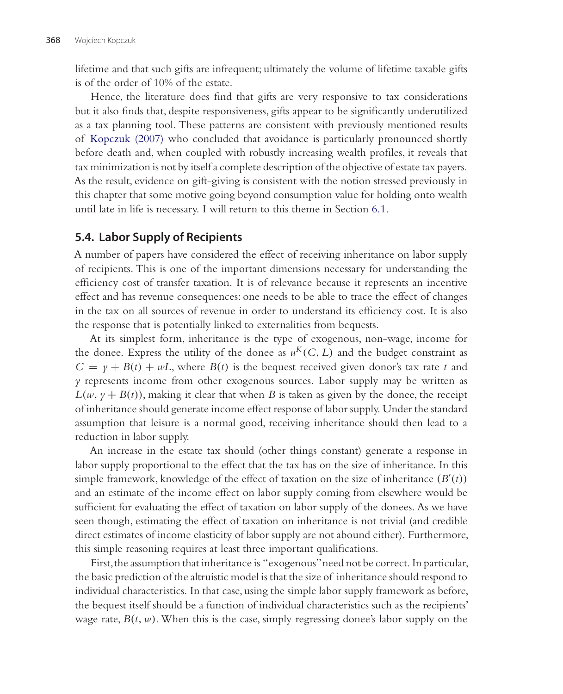lifetime and that such gifts are infrequent; ultimately the volume of lifetime taxable gifts is of the order of 10% of the estate.

Hence, the literature does find that gifts are very responsive to tax considerations but it also finds that, despite responsiveness, gifts appear to be significantly underutilized as a tax planning tool. These patterns are consistent with previously mentioned results of [Kopczuk \(2007\)](#page-58-2) who concluded that avoidance is particularly pronounced shortly before death and, when coupled with robustly increasing wealth profiles, it reveals that tax minimization is not by itself a complete description of the objective of estate tax payers. As the result, evidence on gift-giving is consistent with the notion stressed previously in this chapter that some motive going beyond consumption value for holding onto wealth until late in life is necessary. I will return to this theme in Section [6.1.](#page-43-1)

# <span id="page-39-0"></span>**5.4. Labor Supply of Recipients**

A number of papers have considered the effect of receiving inheritance on labor supply of recipients. This is one of the important dimensions necessary for understanding the efficiency cost of transfer taxation. It is of relevance because it represents an incentive effect and has revenue consequences: one needs to be able to trace the effect of changes in the tax on all sources of revenue in order to understand its efficiency cost. It is also the response that is potentially linked to externalities from bequests.

At its simplest form, inheritance is the type of exogenous, non-wage, income for the donee. Express the utility of the donee as  $u<sup>K</sup>(C, L)$  and the budget constraint as  $C = \gamma + B(t) + wL$ , where  $B(t)$  is the bequest received given donor's tax rate *t* and *y* represents income from other exogenous sources. Labor supply may be written as  $L(w, y + B(t))$ , making it clear that when *B* is taken as given by the donee, the receipt of inheritance should generate income effect response of labor supply. Under the standard assumption that leisure is a normal good, receiving inheritance should then lead to a reduction in labor supply.

An increase in the estate tax should (other things constant) generate a response in labor supply proportional to the effect that the tax has on the size of inheritance. In this simple framework, knowledge of the effect of taxation on the size of inheritance (*B* (*t*)) and an estimate of the income effect on labor supply coming from elsewhere would be sufficient for evaluating the effect of taxation on labor supply of the donees. As we have seen though, estimating the effect of taxation on inheritance is not trivial (and credible direct estimates of income elasticity of labor supply are not abound either). Furthermore, this simple reasoning requires at least three important qualifications.

First,the assumption that inheritance is "exogenous"need not be correct. In particular, the basic prediction of the altruistic model is that the size of inheritance should respond to individual characteristics. In that case, using the simple labor supply framework as before, the bequest itself should be a function of individual characteristics such as the recipients' wage rate,  $B(t, w)$ . When this is the case, simply regressing donee's labor supply on the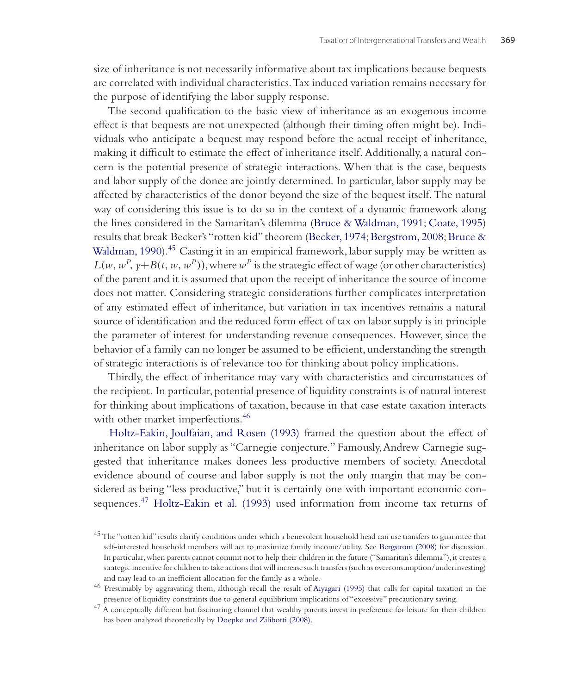size of inheritance is not necessarily informative about tax implications because bequests are correlated with individual characteristics.Tax induced variation remains necessary for the purpose of identifying the labor supply response.

The second qualification to the basic view of inheritance as an exogenous income effect is that bequests are not unexpected (although their timing often might be). Individuals who anticipate a bequest may respond before the actual receipt of inheritance, making it difficult to estimate the effect of inheritance itself. Additionally, a natural concern is the potential presence of strategic interactions. When that is the case, bequests and labor supply of the donee are jointly determined. In particular, labor supply may be affected by characteristics of the donor beyond the size of the bequest itself. The natural way of considering this issue is to do so in the context of a dynamic framework along the lines considered in the Samaritan's dilemma (Bruce & Waldman, 1991; [Coate, 1995\)](#page-55-6) results that brea[k](#page-55-10) [Becker's](#page-55-10) ["rotten](#page-55-10) kid" theorem [\(Becker, 1974;](#page-54-11) [Bergstrom, 2008;](#page-54-12) Bruce & Waldman, 1990).<sup>45</sup> Casting it in an empirical framework, labor supply may be written as  $L(w, w^P, \gamma + B(t, w, w^P))$ , where  $w^P$  is the strategic effect of wage (or other characteristics) of the parent and it is assumed that upon the receipt of inheritance the source of income does not matter. Considering strategic considerations further complicates interpretation of any estimated effect of inheritance, but variation in tax incentives remains a natural source of identification and the reduced form effect of tax on labor supply is in principle the parameter of interest for understanding revenue consequences. However, since the behavior of a family can no longer be assumed to be efficient, understanding the strength of strategic interactions is of relevance too for thinking about policy implications.

Thirdly, the effect of inheritance may vary with characteristics and circumstances of the recipient. In particular, potential presence of liquidity constraints is of natural interest for thinking about implications of taxation, because in that case estate taxation interacts with other market imperfections.<sup>46</sup>

[Holtz-Eakin, Joulfaian, and Rosen \(1993\)](#page-57-11) framed the question about the effect of inheritance on labor supply as "Carnegie conjecture." Famously,Andrew Carnegie suggested that inheritance makes donees less productive members of society. Anecdotal evidence abound of course and labor supply is not the only margin that may be considered as being "less productive," but it is certainly one with important economic consequences[.47](#page-40-2) [Holtz-Eakin et al. \(1993\)](#page-57-11) used information from income tax returns of

<span id="page-40-0"></span><sup>&</sup>lt;sup>45</sup>The "rotten kid" results clarify conditions under which a benevolent household head can use transfers to guarantee that self-interested household members will act to maximize family income/utility. See [Bergstrom \(2008\)](#page-54-12) for discussion. In particular, when parents cannot commit not to help their children in the future ("Samaritan's dilemma"), it creates a strategic incentive for children to take actions that will increase such transfers (such as overconsumption/underinvesting) and may lead to an inefficient allocation for the family as a whole.

<sup>46</sup> Presumably by aggravating them, although recall the result of [Aiyagari \(1995\)](#page-53-7) that calls for capital taxation in the presence of liquidity constraints due to general equilibrium implications of "excessive" precautionary saving.

<span id="page-40-2"></span><span id="page-40-1"></span><sup>&</sup>lt;sup>47</sup> A conceptually different but fascinating channel that wealthy parents invest in preference for leisure for their children has been analyzed theoretically by [Doepke and Zilibotti \(2008\).](#page-56-13)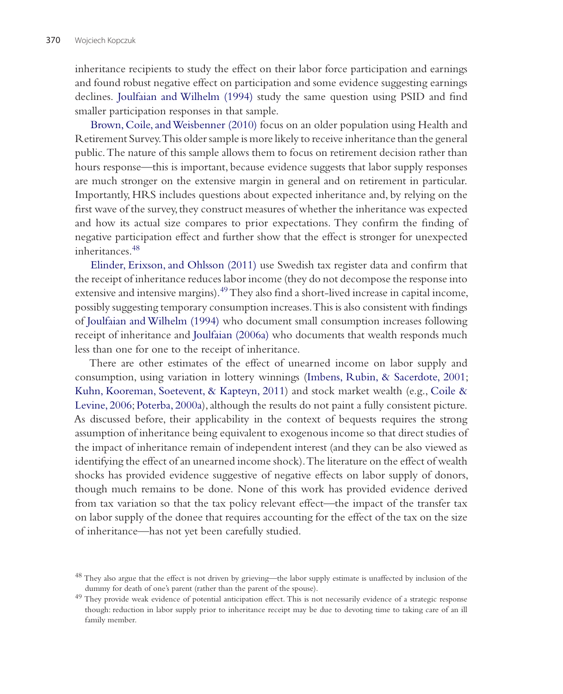inheritance recipients to study the effect on their labor force participation and earnings and found robust negative effect on participation and some evidence suggesting earnings declines. [Joulfaian and Wilhelm \(1994\)](#page-58-19) study the same question using PSID and find smaller participation responses in that sample.

[Brown, Coile, andWeisbenner \(2010\)](#page-55-11) focus on an older population using Health and Retirement Survey.This older sample is more likely to receive inheritance than the general public.The nature of this sample allows them to focus on retirement decision rather than hours response—this is important, because evidence suggests that labor supply responses are much stronger on the extensive margin in general and on retirement in particular. Importantly, HRS includes questions about expected inheritance and, by relying on the first wave of the survey, they construct measures of whether the inheritance was expected and how its actual size compares to prior expectations. They confirm the finding of negative participation effect and further show that the effect is stronger for unexpected inheritances[.48](#page-41-0)

[Elinder, Erixson, and Ohlsson \(2011\)](#page-56-14) use Swedish tax register data and confirm that the receipt of inheritance reduces labor income (they do not decompose the response into extensive and intensive margins).<sup>[49](#page-41-1)</sup>They also find a short-lived increase in capital income, possibly suggesting temporary consumption increases.This is also consistent with findings of [Joulfaian andWilhelm \(1994\)](#page-58-19) who document small consumption increases following receipt of inheritance and [Joulfaian \(2006a\)](#page-58-20) who documents that wealth responds much less than one for one to the receipt of inheritance.

There are other estimates of the effect of unearned income on labor supply and consumption, using variation in lottery winnings [\(Imbens, Rubin, & Sacerdote, 2001;](#page-57-12) [Kuhn, Kooreman, Soetevent, & Kapteyn, 2011\)](#page-59-16) [and](#page-55-12) [stock](#page-55-12) [market](#page-55-12) [wealth](#page-55-12) [\(e.g.,](#page-55-12) Coile & Levine, 2006; [Poterba, 2000a\)](#page-60-18), although the results do not paint a fully consistent picture. As discussed before, their applicability in the context of bequests requires the strong assumption of inheritance being equivalent to exogenous income so that direct studies of the impact of inheritance remain of independent interest (and they can be also viewed as identifying the effect of an unearned income shock).The literature on the effect of wealth shocks has provided evidence suggestive of negative effects on labor supply of donors, though much remains to be done. None of this work has provided evidence derived from tax variation so that the tax policy relevant effect—the impact of the transfer tax on labor supply of the donee that requires accounting for the effect of the tax on the size of inheritance—has not yet been carefully studied.

<span id="page-41-0"></span><sup>&</sup>lt;sup>48</sup> They also argue that the effect is not driven by grieving—the labor supply estimate is unaffected by inclusion of the dummy for death of one's parent (rather than the parent of the spouse).

<span id="page-41-1"></span><sup>&</sup>lt;sup>49</sup> They provide weak evidence of potential anticipation effect. This is not necessarily evidence of a strategic response though: reduction in labor supply prior to inheritance receipt may be due to devoting time to taking care of an ill family member.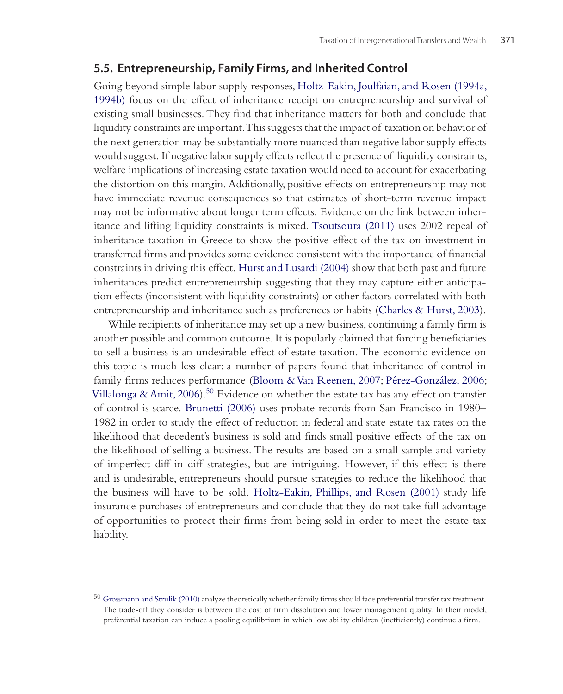#### <span id="page-42-0"></span>**5.5. Entrepreneurship, Family Firms, and Inherited Control**

Going beyond simple labor supply responses, Holtz-Eakin, Joulfaian, and Rosen (1994a, 1994b) focus on the effect of inheritance receipt on entrepreneurship and survival of existing small businesses. They find that inheritance matters for both and conclude that liquidity constraints are important.This suggests that the impact of taxation on behavior of the next generation may be substantially more nuanced than negative labor supply effects would suggest. If negative labor supply effects reflect the presence of liquidity constraints, welfare implications of increasing estate taxation would need to account for exacerbating the distortion on this margin. Additionally, positive effects on entrepreneurship may not have immediate revenue consequences so that estimates of short-term revenue impact may not be informative about longer term effects. Evidence on the link between inheritance and lifting liquidity constraints is mixed. [Tsoutsoura \(2011\)](#page-61-16) uses 2002 repeal of inheritance taxation in Greece to show the positive effect of the tax on investment in transferred firms and provides some evidence consistent with the importance of financial constraints in driving this effect. [Hurst and Lusardi \(2004\)](#page-57-13) show that both past and future inheritances predict entrepreneurship suggesting that they may capture either anticipation effects (inconsistent with liquidity constraints) or other factors correlated with both entrepreneurship and inheritance such as preferences or habits [\(Charles & Hurst, 2003\)](#page-55-13).

While recipients of inheritance may set up a new business, continuing a family firm is another possible and common outcome. It is popularly claimed that forcing beneficiaries to sell a business is an undesirable effect of estate taxation. The economic evidence on this topic is much less clear: a number of papers found that inheritance of control in family firms reduces performance [\(Bloom &Van Reenen, 2007;](#page-54-13) [Pérez-González, 2006;](#page-60-19) [Villalonga & Amit, 2006\)](#page-61-17).<sup>50</sup> Evidence on whether the estate tax has any effect on transfer of control is scarce. [Brunetti \(2006\)](#page-55-14) uses probate records from San Francisco in 1980– 1982 in order to study the effect of reduction in federal and state estate tax rates on the likelihood that decedent's business is sold and finds small positive effects of the tax on the likelihood of selling a business. The results are based on a small sample and variety of imperfect diff-in-diff strategies, but are intriguing. However, if this effect is there and is undesirable, entrepreneurs should pursue strategies to reduce the likelihood that the business will have to be sold. [Holtz-Eakin, Phillips, and Rosen \(2001\)](#page-57-14) study life insurance purchases of entrepreneurs and conclude that they do not take full advantage of opportunities to protect their firms from being sold in order to meet the estate tax liability.

<span id="page-42-1"></span><sup>50</sup> [Grossmann and Strulik \(2010\)](#page-57-15) analyze theoretically whether family firms should face preferential transfer tax treatment. The trade-off they consider is between the cost of firm dissolution and lower management quality. In their model, preferential taxation can induce a pooling equilibrium in which low ability children (inefficiently) continue a firm.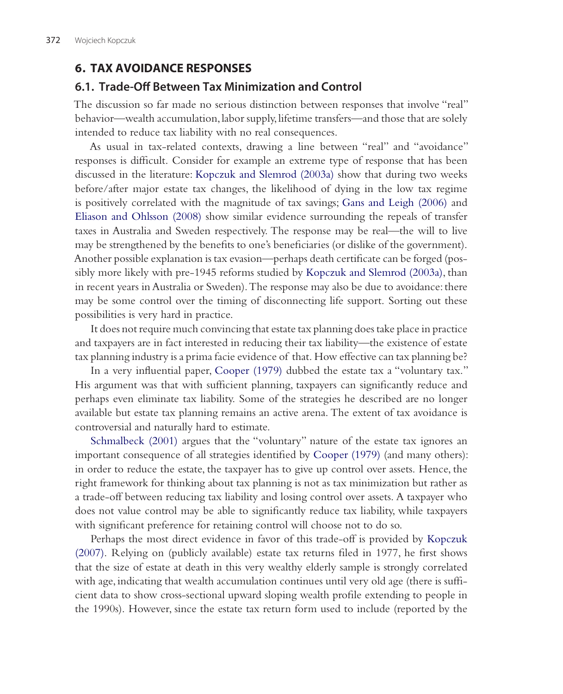# <span id="page-43-1"></span><span id="page-43-0"></span>**6. TAX AVOIDANCE RESPONSES**

#### **6.1. Trade-Off Between Tax Minimization and Control**

The discussion so far made no serious distinction between responses that involve "real" behavior—wealth accumulation,labor supply,lifetime transfers—and those that are solely intended to reduce tax liability with no real consequences.

As usual in tax-related contexts, drawing a line between "real" and "avoidance" responses is difficult. Consider for example an extreme type of response that has been discussed in the literature: [Kopczuk and Slemrod \(2003a\)](#page-59-17) show that during two weeks before/after major estate tax changes, the likelihood of dying in the low tax regime is positively correlated with the magnitude of tax savings; [Gans and Leigh \(2006\)](#page-57-16) and [Eliason and Ohlsson \(2008\)](#page-56-15) show similar evidence surrounding the repeals of transfer taxes in Australia and Sweden respectively. The response may be real—the will to live may be strengthened by the benefits to one's beneficiaries (or dislike of the government). Another possible explanation is tax evasion—perhaps death certificate can be forged (possibly more likely with pre-1945 reforms studied by [Kopczuk and Slemrod \(2003a\),](#page-59-17) than in recent years in Australia or Sweden).The response may also be due to avoidance:there may be some control over the timing of disconnecting life support. Sorting out these possibilities is very hard in practice.

It does not require much convincing that estate tax planning does take place in practice and taxpayers are in fact interested in reducing their tax liability—the existence of estate tax planning industry is a prima facie evidence of that. How effective can tax planning be?

In a very influential paper, [Cooper \(1979\)](#page-55-15) dubbed the estate tax a "voluntary tax." His argument was that with sufficient planning, taxpayers can significantly reduce and perhaps even eliminate tax liability. Some of the strategies he described are no longer available but estate tax planning remains an active arena. The extent of tax avoidance is controversial and naturally hard to estimate.

[Schmalbeck \(2001\)](#page-61-18) argues that the "voluntary" nature of the estate tax ignores an important consequence of all strategies identified by [Cooper \(1979\)](#page-55-15) (and many others): in order to reduce the estate, the taxpayer has to give up control over assets. Hence, the right framework for thinking about tax planning is not as tax minimization but rather as a trade-off between reducing tax liability and losing control over assets. A taxpayer who does not value control may be able to significantly reduce tax liability, while taxpayers with significant preference for retaining control will choose not to do so.

Perhaps the most direct evidence in favor of this trade-off is provided by Kopczuk (2007)[.](#page-58-2) [Relying](#page-58-2) [on](#page-58-2) [\(publicly](#page-58-2) [available\)](#page-58-2) [estate](#page-58-2) [tax](#page-58-2) [returns](#page-58-2) [filed](#page-58-2) [in](#page-58-2) [1977,](#page-58-2) [he](#page-58-2) [fir](#page-58-2)st shows that the size of estate at death in this very wealthy elderly sample is strongly correlated with age, indicating that wealth accumulation continues until very old age (there is sufficient data to show cross-sectional upward sloping wealth profile extending to people in the 1990s). However, since the estate tax return form used to include (reported by the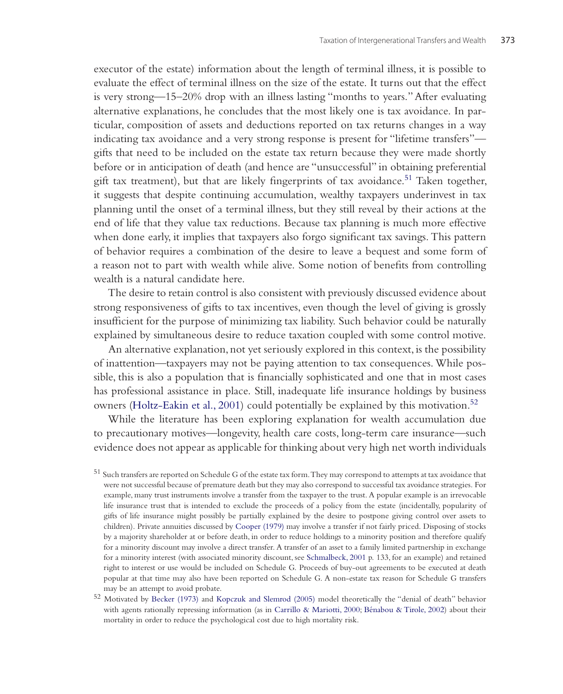executor of the estate) information about the length of terminal illness, it is possible to evaluate the effect of terminal illness on the size of the estate. It turns out that the effect is very strong—15–20% drop with an illness lasting "months to years."After evaluating alternative explanations, he concludes that the most likely one is tax avoidance. In particular, composition of assets and deductions reported on tax returns changes in a way indicating tax avoidance and a very strong response is present for "lifetime transfers" gifts that need to be included on the estate tax return because they were made shortly before or in anticipation of death (and hence are "unsuccessful" in obtaining preferential gift tax treatment), but that are likely fingerprints of tax avoidance.<sup>51</sup> Taken together, it suggests that despite continuing accumulation, wealthy taxpayers underinvest in tax planning until the onset of a terminal illness, but they still reveal by their actions at the end of life that they value tax reductions. Because tax planning is much more effective when done early, it implies that taxpayers also forgo significant tax savings. This pattern of behavior requires a combination of the desire to leave a bequest and some form of a reason not to part with wealth while alive. Some notion of benefits from controlling wealth is a natural candidate here.

The desire to retain control is also consistent with previously discussed evidence about strong responsiveness of gifts to tax incentives, even though the level of giving is grossly insufficient for the purpose of minimizing tax liability. Such behavior could be naturally explained by simultaneous desire to reduce taxation coupled with some control motive.

An alternative explanation, not yet seriously explored in this context, is the possibility of inattention—taxpayers may not be paying attention to tax consequences.While possible, this is also a population that is financially sophisticated and one that in most cases has professional assistance in place. Still, inadequate life insurance holdings by business owners [\(Holtz-Eakin et al., 2001\)](#page-57-14) could potentially be explained by this motivation.<sup>[52](#page-44-1)</sup>

While the literature has been exploring explanation for wealth accumulation due to precautionary motives—longevity, health care costs, long-term care insurance—such evidence does not appear as applicable for thinking about very high net worth individuals

<span id="page-44-0"></span><sup>&</sup>lt;sup>51</sup> Such transfers are reported on Schedule G of the estate tax form. They may correspond to attempts at tax avoidance that were not successful because of premature death but they may also correspond to successful tax avoidance strategies. For example, many trust instruments involve a transfer from the taxpayer to the trust. A popular example is an irrevocable life insurance trust that is intended to exclude the proceeds of a policy from the estate (incidentally, popularity of gifts of life insurance might possibly be partially explained by the desire to postpone giving control over assets to children). Private annuities discussed by [Cooper \(1979\)](#page-55-15) may involve a transfer if not fairly priced. Disposing of stocks by a majority shareholder at or before death, in order to reduce holdings to a minority position and therefore qualify for a minority discount may involve a direct transfer. A transfer of an asset to a family limited partnership in exchange for a minority interest (with associated minority discount, see [Schmalbeck, 2001](#page-61-18) p. 133, for an example) and retained right to interest or use would be included on Schedule G. Proceeds of buy-out agreements to be executed at death popular at that time may also have been reported on Schedule G. A non-estate tax reason for Schedule G transfers may be an attempt to avoid probate.

<span id="page-44-1"></span><sup>52</sup> Motivated by [Becker \(1973\)](#page-54-14) and [Kopczuk and Slemrod \(2005\)](#page-59-18) model theoretically the "denial of death" behavior with agents rationally repressing information (as in [Carrillo & Mariotti, 2000;](#page-55-16) [Bénabou & Tirole, 2002\)](#page-54-15) about their mortality in order to reduce the psychological cost due to high mortality risk.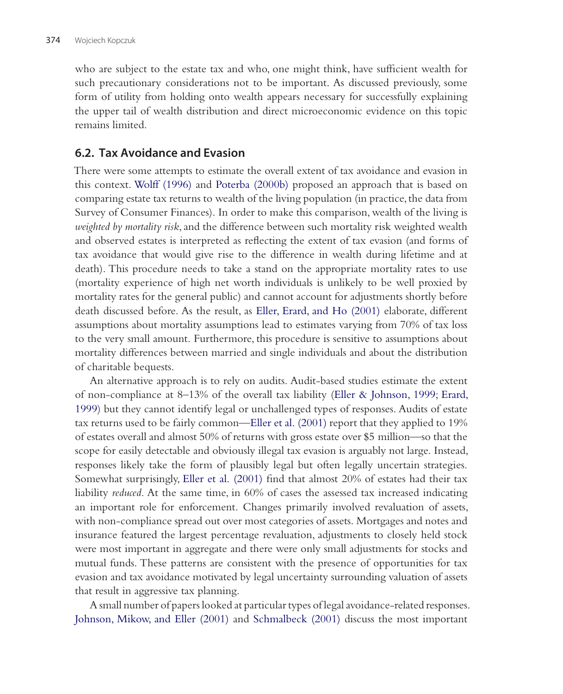who are subject to the estate tax and who, one might think, have sufficient wealth for such precautionary considerations not to be important. As discussed previously, some form of utility from holding onto wealth appears necessary for successfully explaining the upper tail of wealth distribution and direct microeconomic evidence on this topic remains limited.

# <span id="page-45-0"></span>**6.2. Tax Avoidance and Evasion**

There were some attempts to estimate the overall extent of tax avoidance and evasion in this context. [Wolff \(1996\)](#page-61-19) and [Poterba \(2000b\)](#page-60-13) proposed an approach that is based on comparing estate tax returns to wealth of the living population (in practice, the data from Survey of Consumer Finances). In order to make this comparison, wealth of the living is *weighted by mortality risk*, and the difference between such mortality risk weighted wealth and observed estates is interpreted as reflecting the extent of tax evasion (and forms of tax avoidance that would give rise to the difference in wealth during lifetime and at death). This procedure needs to take a stand on the appropriate mortality rates to use (mortality experience of high net worth individuals is unlikely to be well proxied by mortality rates for the general public) and cannot account for adjustments shortly before death discussed before. As the result, as [Eller, Erard, and Ho \(2001\)](#page-56-16) elaborate, different assumptions about mortality assumptions lead to estimates varying from 70% of tax loss to the very small amount. Furthermore, this procedure is sensitive to assumptions about mortality differences between married and single individuals and about the distribution of charitable bequests.

An alternative approach is to rely on audits. Audit-based studies estimate the extent of non-compliance at 8–13% of the overall tax liability [\(Eller & Johnson, 1999;](#page-56-17) Erard, 1999) but they cannot identify legal or unchallenged types of responses. Audits of estate tax returns used to be fairly common[—Eller et al. \(2001\)](#page-56-16) report that they applied to 19% of estates overall and almost 50% of returns with gross estate over \$5 million—so that the scope for easily detectable and obviously illegal tax evasion is arguably not large. Instead, responses likely take the form of plausibly legal but often legally uncertain strategies. Somewhat surprisingly, [Eller et al. \(2001\)](#page-56-16) find that almost 20% of estates had their tax liability *reduced*. At the same time, in 60% of cases the assessed tax increased indicating an important role for enforcement. Changes primarily involved revaluation of assets, with non-compliance spread out over most categories of assets. Mortgages and notes and insurance featured the largest percentage revaluation, adjustments to closely held stock were most important in aggregate and there were only small adjustments for stocks and mutual funds. These patterns are consistent with the presence of opportunities for tax evasion and tax avoidance motivated by legal uncertainty surrounding valuation of assets that result in aggressive tax planning.

A small number of papers looked at particular types of legal avoidance-related responses. [Johnson, Mikow, and Eller \(2001\)](#page-57-17) and [Schmalbeck \(2001\)](#page-61-18) discuss the most important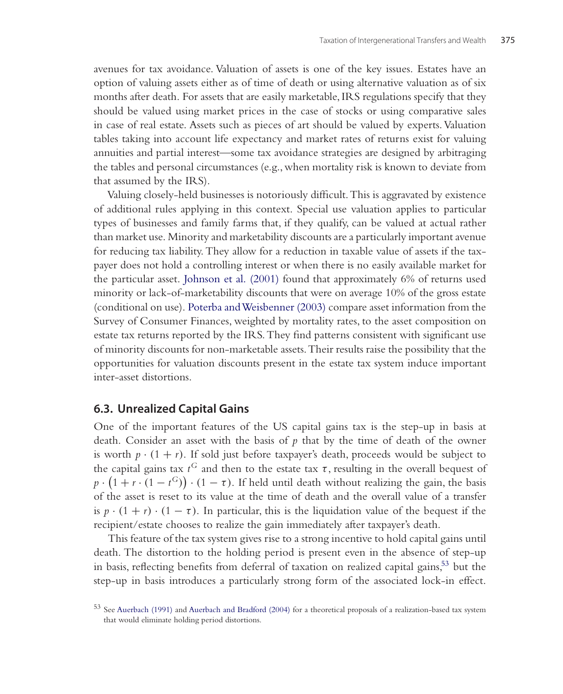avenues for tax avoidance. Valuation of assets is one of the key issues. Estates have an option of valuing assets either as of time of death or using alternative valuation as of six months after death. For assets that are easily marketable, IRS regulations specify that they should be valued using market prices in the case of stocks or using comparative sales in case of real estate. Assets such as pieces of art should be valued by experts. Valuation tables taking into account life expectancy and market rates of returns exist for valuing annuities and partial interest—some tax avoidance strategies are designed by arbitraging the tables and personal circumstances (e.g., when mortality risk is known to deviate from that assumed by the IRS).

Valuing closely-held businesses is notoriously difficult.This is aggravated by existence of additional rules applying in this context. Special use valuation applies to particular types of businesses and family farms that, if they qualify, can be valued at actual rather than market use. Minority and marketability discounts are a particularly important avenue for reducing tax liability. They allow for a reduction in taxable value of assets if the taxpayer does not hold a controlling interest or when there is no easily available market for the particular asset. [Johnson et al. \(2001\)](#page-57-17) found that approximately 6% of returns used minority or lack-of-marketability discounts that were on average 10% of the gross estate (conditional on use). [Poterba andWeisbenner \(2003\)](#page-60-20) compare asset information from the Survey of Consumer Finances, weighted by mortality rates, to the asset composition on estate tax returns reported by the IRS. They find patterns consistent with significant use of minority discounts for non-marketable assets.Their results raise the possibility that the opportunities for valuation discounts present in the estate tax system induce important inter-asset distortions.

## <span id="page-46-0"></span>**6.3. Unrealized Capital Gains**

One of the important features of the US capital gains tax is the step-up in basis at death. Consider an asset with the basis of  $p$  that by the time of death of the owner is worth  $p \cdot (1 + r)$ . If sold just before taxpayer's death, proceeds would be subject to the capital gains tax  $t^G$  and then to the estate tax  $\tau$ , resulting in the overall bequest of  $p \cdot (1 + r \cdot (1 - t^G)) \cdot (1 - \tau)$ . If held until death without realizing the gain, the basis of the asset is reset to its value at the time of death and the overall value of a transfer is  $p \cdot (1 + r) \cdot (1 - \tau)$ . In particular, this is the liquidation value of the bequest if the recipient/estate chooses to realize the gain immediately after taxpayer's death.

This feature of the tax system gives rise to a strong incentive to hold capital gains until death. The distortion to the holding period is present even in the absence of step-up in basis, reflecting benefits from deferral of taxation on realized capital gains,  $5<sup>3</sup>$  but the step-up in basis introduces a particularly strong form of the associated lock-in effect.

<span id="page-46-1"></span><sup>53</sup> See [Auerbach \(1991\)](#page-54-16) and [Auerbach and Bradford \(2004\)](#page-54-17) for a theoretical proposals of a realization-based tax system that would eliminate holding period distortions.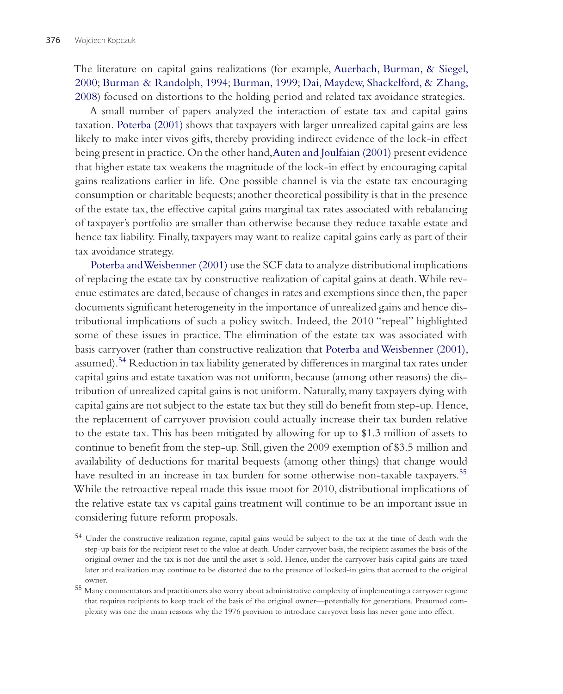The literature on capital gains realizations (for example, Auerbach, Burman, & Siegel, 2000; [Burman & Randolph, 1994;](#page-55-17) [Burman, 1999;](#page-55-18) Dai, Maydew, Shackelford, & Zhang, 2008) focused on distortions to the holding period and related tax avoidance strategies.

A small number of papers analyzed the interaction of estate tax and capital gains taxation. [Poterba \(2001\)](#page-60-17) shows that taxpayers with larger unrealized capital gains are less likely to make inter vivos gifts, thereby providing indirect evidence of the lock-in effect being present in practice. On the other hand,[Auten and Joulfaian \(2001\)](#page-54-18) present evidence that higher estate tax weakens the magnitude of the lock-in effect by encouraging capital gains realizations earlier in life. One possible channel is via the estate tax encouraging consumption or charitable bequests; another theoretical possibility is that in the presence of the estate tax, the effective capital gains marginal tax rates associated with rebalancing of taxpayer's portfolio are smaller than otherwise because they reduce taxable estate and hence tax liability. Finally, taxpayers may want to realize capital gains early as part of their tax avoidance strategy.

[Poterba andWeisbenner \(2001\)](#page-60-21) use the SCF data to analyze distributional implications of replacing the estate tax by constructive realization of capital gains at death.While revenue estimates are dated, because of changes in rates and exemptions since then,the paper documents significant heterogeneity in the importance of unrealized gains and hence distributional implications of such a policy switch. Indeed, the 2010 "repeal" highlighted some of these issues in practice. The elimination of the estate tax was associated with basis carryover (rather than constructive realization that [Poterba andWeisbenner \(2001\),](#page-60-21) assumed).<sup>54</sup> Reduction in tax liability generated by differences in marginal tax rates under capital gains and estate taxation was not uniform, because (among other reasons) the distribution of unrealized capital gains is not uniform. Naturally, many taxpayers dying with capital gains are not subject to the estate tax but they still do benefit from step-up. Hence, the replacement of carryover provision could actually increase their tax burden relative to the estate tax. This has been mitigated by allowing for up to \$1.3 million of assets to continue to benefit from the step-up. Still, given the 2009 exemption of \$3.5 million and availability of deductions for marital bequests (among other things) that change would have resulted in an increase in tax burden for some otherwise non-taxable taxpayers.<sup>[55](#page-47-1)</sup> While the retroactive repeal made this issue moot for 2010, distributional implications of the relative estate tax vs capital gains treatment will continue to be an important issue in considering future reform proposals.

<span id="page-47-0"></span><sup>54</sup> Under the constructive realization regime, capital gains would be subject to the tax at the time of death with the step-up basis for the recipient reset to the value at death. Under carryover basis, the recipient assumes the basis of the original owner and the tax is not due until the asset is sold. Hence, under the carryover basis capital gains are taxed later and realization may continue to be distorted due to the presence of locked-in gains that accrued to the original owner.

<span id="page-47-1"></span><sup>55</sup> Many commentators and practitioners also worry about administrative complexity of implementing a carryover regime that requires recipients to keep track of the basis of the original owner—potentially for generations. Presumed complexity was one the main reasons why the 1976 provision to introduce carryover basis has never gone into effect.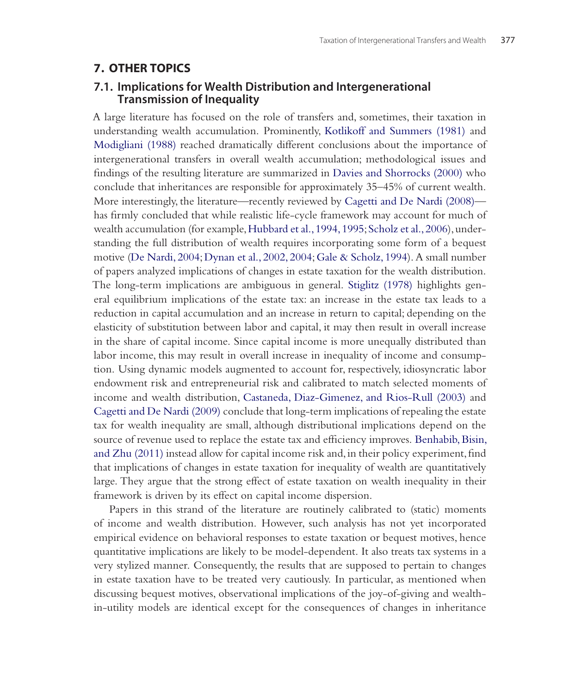## <span id="page-48-1"></span><span id="page-48-0"></span>**7. OTHER TOPICS**

# **7.1. Implications for Wealth Distribution and Intergenerational Transmission of Inequality**

A large literature has focused on the role of transfers and, sometimes, their taxation in understanding wealth accumulation. Prominently, [Kotlikoff and Summers \(1981\)](#page-59-19) and [Modigliani \(1988\)](#page-60-22) reached dramatically different conclusions about the importance of intergenerational transfers in overall wealth accumulation; methodological issues and findings of the resulting literature are summarized in [Davies and Shorrocks \(2000\)](#page-56-1) who conclude that inheritances are responsible for approximately 35–45% of current wealth. More interestingly, the literature—recently reviewed by [Cagetti and De Nardi \(2008\)](#page-55-2) has firmly concluded that while realistic life-cycle framework may account for much of wealth accumulation (for example,Hubbard et al.,1994,1995;[Scholz et al.,2006\)](#page-61-5), understanding the full distribution of wealth requires incorporating some form of a bequest motive [\(De Nardi, 2004;](#page-56-4)Dynan et al., 2002, 2004;[Gale & Scholz, 1994\)](#page-57-18). A small number of papers analyzed implications of changes in estate taxation for the wealth distribution. The long-term implications are ambiguous in general. [Stiglitz \(1978\)](#page-61-20) highlights general equilibrium implications of the estate tax: an increase in the estate tax leads to a reduction in capital accumulation and an increase in return to capital; depending on the elasticity of substitution between labor and capital, it may then result in overall increase in the share of capital income. Since capital income is more unequally distributed than labor income, this may result in overall increase in inequality of income and consumption. Using dynamic models augmented to account for, respectively, idiosyncratic labor endowment risk and entrepreneurial risk and calibrated to match selected moments of income and wealth distribution, [Castaneda, Diaz-Gimenez, and Rios-Rull \(2003\)](#page-55-19) and [Cagetti and De Nardi \(2009\)](#page-55-20) conclude that long-term implications of repealing the estate tax for wealth inequality are small, although distributional implications depend on the source of revenue used to replace the estate tax and efficiency improves. Benhabib, Bisin, and Zhu (2011) instead allow for capital income risk and,in their policy experiment, find that implications of changes in estate taxation for inequality of wealth are quantitatively large. They argue that the strong effect of estate taxation on wealth inequality in their framework is driven by its effect on capital income dispersion.

Papers in this strand of the literature are routinely calibrated to (static) moments of income and wealth distribution. However, such analysis has not yet incorporated empirical evidence on behavioral responses to estate taxation or bequest motives, hence quantitative implications are likely to be model-dependent. It also treats tax systems in a very stylized manner. Consequently, the results that are supposed to pertain to changes in estate taxation have to be treated very cautiously. In particular, as mentioned when discussing bequest motives, observational implications of the joy-of-giving and wealthin-utility models are identical except for the consequences of changes in inheritance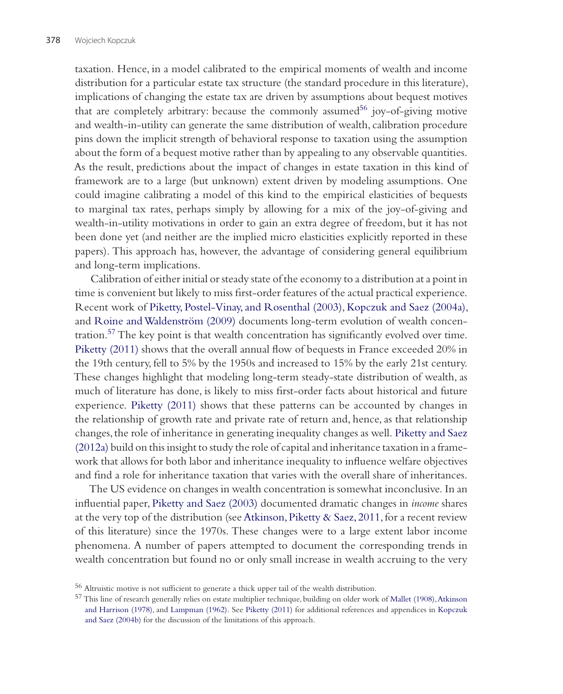taxation. Hence, in a model calibrated to the empirical moments of wealth and income distribution for a particular estate tax structure (the standard procedure in this literature), implications of changing the estate tax are driven by assumptions about bequest motives that are completely arbitrary: because the commonly assumed<sup>[56](#page-49-0)</sup> joy-of-giving motive and wealth-in-utility can generate the same distribution of wealth, calibration procedure pins down the implicit strength of behavioral response to taxation using the assumption about the form of a bequest motive rather than by appealing to any observable quantities. As the result, predictions about the impact of changes in estate taxation in this kind of framework are to a large (but unknown) extent driven by modeling assumptions. One could imagine calibrating a model of this kind to the empirical elasticities of bequests to marginal tax rates, perhaps simply by allowing for a mix of the joy-of-giving and wealth-in-utility motivations in order to gain an extra degree of freedom, but it has not been done yet (and neither are the implied micro elasticities explicitly reported in these papers). This approach has, however, the advantage of considering general equilibrium and long-term implications.

Calibration of either initial or steady state of the economy to a distribution at a point in time is convenient but likely to miss first-order features of the actual practical experience. Recent work of [Piketty, Postel-Vinay, and Rosenthal \(2003\),](#page-60-23) [Kopczuk and Saez \(2004a\),](#page-58-21) and [Roine andWaldenström \(2009\)](#page-60-24) documents long-term evolution of wealth concentration.<sup>57</sup> The key point is that wealth concentration has significantly evolved over time. [Piketty \(2011\)](#page-60-0) shows that the overall annual flow of bequests in France exceeded 20% in the 19th century, fell to 5% by the 1950s and increased to 15% by the early 21st century. These changes highlight that modeling long-term steady-state distribution of wealth, as much of literature has done, is likely to miss first-order facts about historical and future experience. [Piketty \(2011\)](#page-60-0) shows that these patterns can be accounted by changes in the relationship of growth rate and private rate of return and, hence, as that relationship changes,the role of inheritance in generating inequality changes as well. Piketty and Saez (2012a) build on this insight to study the role of capital and inheritance taxation in a framework that allows for both labor and inheritance inequality to influence welfare objectives and find a role for inheritance taxation that varies with the overall share of inheritances.

The US evidence on changes in wealth concentration is somewhat inconclusive. In an influential paper, [Piketty and Saez \(2003\)](#page-60-25) documented dramatic changes in *income* shares at the very top of the distribution (see Atkinson, Piketty & Saez,  $2011$ , for a recent review of this literature) since the 1970s. These changes were to a large extent labor income phenomena. A number of papers attempted to document the corresponding trends in wealth concentration but found no or only small increase in wealth accruing to the very

<sup>56</sup> Altruistic motive is not sufficient to generate a thick upper tail of the wealth distribution.

<span id="page-49-1"></span><span id="page-49-0"></span><sup>&</sup>lt;sup>57</sup> This line of research generally relies on estate multiplier technique, building on older work of [Mallet \(1908\),](#page-59-20) Atkinson and Harrison (1978), and [Lampman \(1962\).](#page-59-21) See [Piketty \(2011\)](#page-60-0) for additional references and appendices in Kopczuk and Saez (2004b) for the discussion of the limitations of this approach.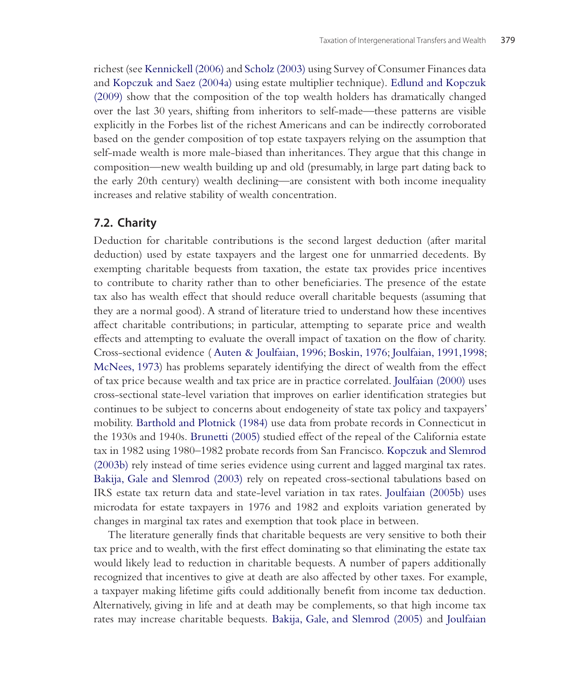richest (see [Kennickell \(2006\)](#page-58-22) and [Scholz \(2003\)](#page-61-21) using Survey of Consumer Finances data and [Kopczuk and Saez \(2004a\)](#page-58-21) using estate multiplier technique). Edlund and Kopczuk (2009) show that the composition of the top wealth holders has dramatically changed over the last 30 years, shifting from inheritors to self-made—these patterns are visible explicitly in the Forbes list of the richest Americans and can be indirectly corroborated based on the gender composition of top estate taxpayers relying on the assumption that self-made wealth is more male-biased than inheritances. They argue that this change in composition—new wealth building up and old (presumably, in large part dating back to the early 20th century) wealth declining—are consistent with both income inequality increases and relative stability of wealth concentration.

## <span id="page-50-0"></span>**7.2. Charity**

Deduction for charitable contributions is the second largest deduction (after marital deduction) used by estate taxpayers and the largest one for unmarried decedents. By exempting charitable bequests from taxation, the estate tax provides price incentives to contribute to charity rather than to other beneficiaries. The presence of the estate tax also has wealth effect that should reduce overall charitable bequests (assuming that they are a normal good). A strand of literature tried to understand how these incentives affect charitable contributions; in particular, attempting to separate price and wealth effects and attempting to evaluate the overall impact of taxation on the flow of charity. Cross-sectional evidence ( [Auten & Joulfaian, 1996;](#page-54-19) [Boskin, 1976;](#page-55-21) Joulfaian, 1991,1998; [McNees, 1973\)](#page-59-22) has problems separately identifying the direct of wealth from the effect of tax price because wealth and tax price are in practice correlated. [Joulfaian \(2000\)](#page-58-23) uses cross-sectional state-level variation that improves on earlier identification strategies but continues to be subject to concerns about endogeneity of state tax policy and taxpayers' mobility. [Barthold and Plotnick \(1984\)](#page-54-20) use data from probate records in Connecticut in the 1930s and 1940s. [Brunetti \(2005\)](#page-55-22) studied effect of the repeal of the California estate tax in 1982 using 1980–1982 probate records from San Francisco. Kopczuk and Slemrod (2003b) rely instead of time series evidence using current and lagged marginal tax rates. [Bakija, Gale and Slemrod \(2003\)](#page-54-21) rely on repeated cross-sectional tabulations based on IRS estate tax return data and state-level variation in tax rates. [Joulfaian \(2005b\)](#page-58-24) uses microdata for estate taxpayers in 1976 and 1982 and exploits variation generated by changes in marginal tax rates and exemption that took place in between.

The literature generally finds that charitable bequests are very sensitive to both their tax price and to wealth, with the first effect dominating so that eliminating the estate tax would likely lead to reduction in charitable bequests. A number of papers additionally recognized that incentives to give at death are also affected by other taxes. For example, a taxpayer making lifetime gifts could additionally benefit from income tax deduction. Alternatively, giving in life and at death may be complements, so that high income tax rates may increase charitable bequests. [Bakija, Gale, and Slemrod \(2005\)](#page-54-22) and Joulfaian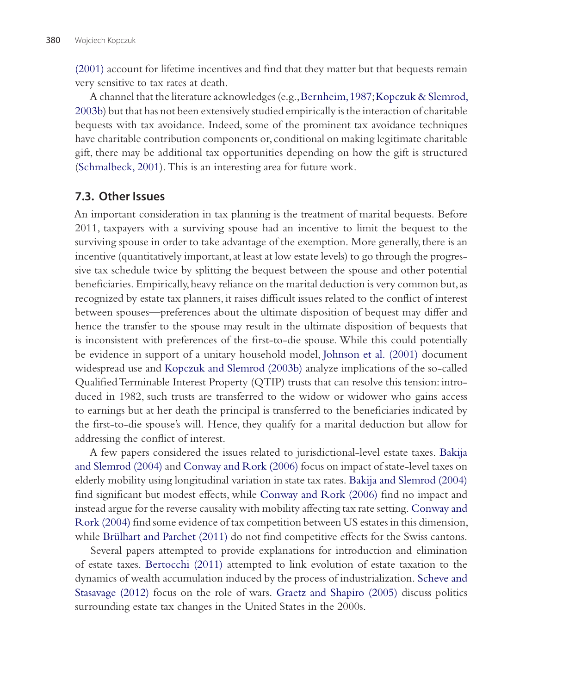(2001) account for lifetime incentives and find that they matter but that bequests remain very sensitive to tax rates at death.

A channel that the literature acknowledges (e.g.[,Bernheim,1987;](#page-54-9)Kopczuk & Slemrod, 2003b) but that has not been extensively studied empirically is the interaction of charitable bequests with tax avoidance. Indeed, some of the prominent tax avoidance techniques have charitable contribution components or, conditional on making legitimate charitable gift, there may be additional tax opportunities depending on how the gift is structured [\(Schmalbeck, 2001\)](#page-61-18). This is an interesting area for future work.

## <span id="page-51-0"></span>**7.3. Other Issues**

An important consideration in tax planning is the treatment of marital bequests. Before 2011, taxpayers with a surviving spouse had an incentive to limit the bequest to the surviving spouse in order to take advantage of the exemption. More generally, there is an incentive (quantitatively important, at least at low estate levels) to go through the progressive tax schedule twice by splitting the bequest between the spouse and other potential beneficiaries. Empirically,heavy reliance on the marital deduction is very common but, as recognized by estate tax planners, it raises difficult issues related to the conflict of interest between spouses—preferences about the ultimate disposition of bequest may differ and hence the transfer to the spouse may result in the ultimate disposition of bequests that is inconsistent with preferences of the first-to-die spouse. While this could potentially be evidence in support of a unitary household model, [Johnson et al. \(2001\)](#page-57-17) document widespread use and [Kopczuk and Slemrod \(2003b\)](#page-59-23) analyze implications of the so-called QualifiedTerminable Interest Property (QTIP) trusts that can resolve this tension: introduced in 1982, such trusts are transferred to the widow or widower who gains access to earnings but at her death the principal is transferred to the beneficiaries indicated by the first-to-die spouse's will. Hence, they qualify for a marital deduction but allow for addressing the conflict of interest.

A few papers considered the issues related to jurisdictional-level estate taxes. Bakija and Slemrod (2004) and [Conway and Rork \(2006\)](#page-55-23) [focus](#page-54-23) [on](#page-54-23) [impact](#page-54-23) [of](#page-54-23) [state-level](#page-54-23) [ta](#page-54-23)xes on elderly mobility using longitudinal variation in state tax rates. [Bakija and Slemrod \(2004\)](#page-54-23) find significant but modest effects, while [Conway and Rork \(2006\)](#page-55-23) find no impact and instead argue for the reverse causality with mobility affecting tax rate setting. Conway and Rork (2004) find some evidence of tax competition between US estates in this dimension, while [Brülhart and Parchet \(2011\)](#page-55-24) do not find competitive effects for the Swiss cantons.

Several papers attempted to provide explanations for introduction and elimination of estate taxes. [Bertocchi \(2011\)](#page-54-24) attempted to link evolution of estate taxation to the dynamics of wealth accumulation induced by the process of industrialization. Scheve and Stasavage (2012) focus on the role of wars. [Graetz and Shapiro \(2005\)](#page-57-19) discuss politics surrounding estate tax changes in the United States in the 2000s.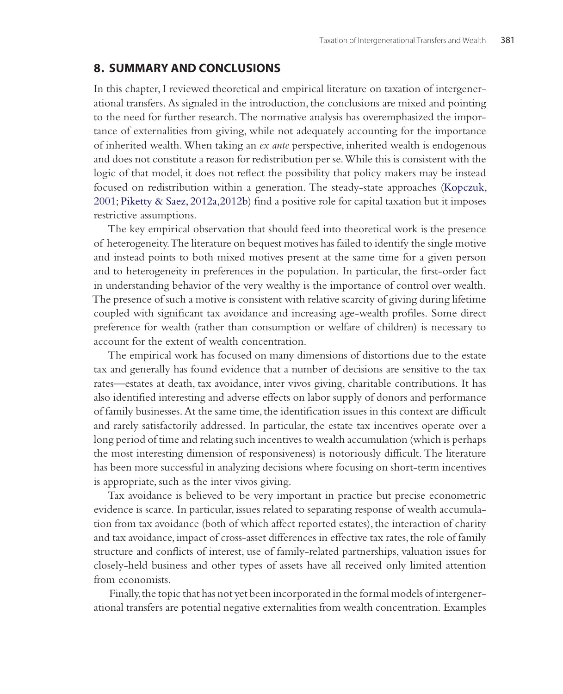#### <span id="page-52-0"></span>**8. SUMMARY AND CONCLUSIONS**

In this chapter, I reviewed theoretical and empirical literature on taxation of intergenerational transfers. As signaled in the introduction, the conclusions are mixed and pointing to the need for further research. The normative analysis has overemphasized the importance of externalities from giving, while not adequately accounting for the importance of inherited wealth.When taking an *ex ante* perspective, inherited wealth is endogenous and does not constitute a reason for redistribution per se.While this is consistent with the logic of that model, it does not reflect the possibility that policy makers may be instead focused on redistribution within a generation. The steady-state approaches (Kopczuk, 2001; Piketty & Saez, 2012a,2012b) find a positive role for capital taxation but it imposes restrictive assumptions.

The key empirical observation that should feed into theoretical work is the presence of heterogeneity.The literature on bequest motives has failed to identify the single motive and instead points to both mixed motives present at the same time for a given person and to heterogeneity in preferences in the population. In particular, the first-order fact in understanding behavior of the very wealthy is the importance of control over wealth. The presence of such a motive is consistent with relative scarcity of giving during lifetime coupled with significant tax avoidance and increasing age-wealth profiles. Some direct preference for wealth (rather than consumption or welfare of children) is necessary to account for the extent of wealth concentration.

The empirical work has focused on many dimensions of distortions due to the estate tax and generally has found evidence that a number of decisions are sensitive to the tax rates—estates at death, tax avoidance, inter vivos giving, charitable contributions. It has also identified interesting and adverse effects on labor supply of donors and performance of family businesses. At the same time, the identification issues in this context are difficult and rarely satisfactorily addressed. In particular, the estate tax incentives operate over a long period of time and relating such incentives to wealth accumulation (which is perhaps the most interesting dimension of responsiveness) is notoriously difficult. The literature has been more successful in analyzing decisions where focusing on short-term incentives is appropriate, such as the inter vivos giving.

Tax avoidance is believed to be very important in practice but precise econometric evidence is scarce. In particular, issues related to separating response of wealth accumulation from tax avoidance (both of which affect reported estates), the interaction of charity and tax avoidance, impact of cross-asset differences in effective tax rates, the role of family structure and conflicts of interest, use of family-related partnerships, valuation issues for closely-held business and other types of assets have all received only limited attention from economists.

Finally,the topic that has not yet been incorporated in the formal models of intergenerational transfers are potential negative externalities from wealth concentration. Examples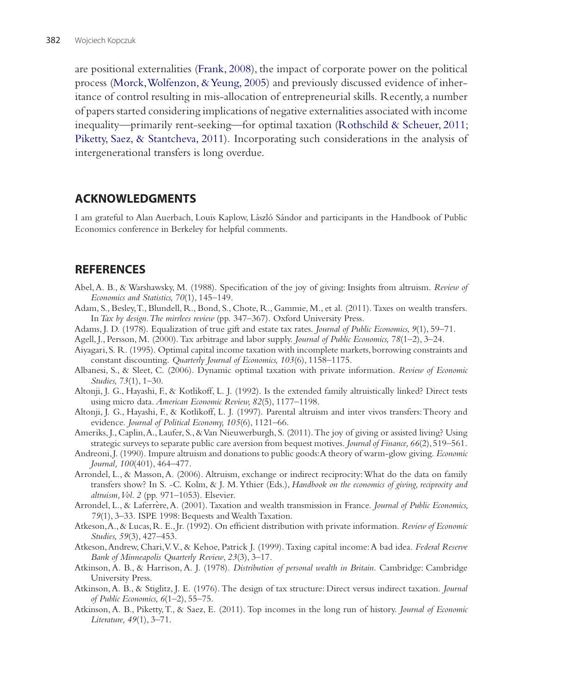are positional externalities [\(Frank, 2008\)](#page-57-0), the impact of corporate power on the political process [\(Morck,Wolfenzon, &Yeung, 2005\)](#page-60-26) and previously discussed evidence of inheritance of control resulting in mis-allocation of entrepreneurial skills. Recently, a number of papers started considering implications of negative externalities associated with income inequality—primarily rent-seeking—for optimal taxation [\(Rothschild & Scheuer, 2011;](#page-60-27) [Piketty, Saez, & Stantcheva, 2011\)](#page-60-28). Incorporating such considerations in the analysis of intergenerational transfers is long overdue.

# <span id="page-53-0"></span>**ACKNOWLEDGMENTS**

<span id="page-53-1"></span>I am grateful to Alan Auerbach, Louis Kaplow, László Sándor and participants in the Handbook of Public Economics conference in Berkeley for helpful comments.

# **REFERENCES**

- Abel, A. B., & Warshawsky, M. (1988). Specification of the joy of giving: Insights from altruism. *Review of Economics and Statistics, 70*(1), 145–149.
- <span id="page-53-4"></span>Adam, S., Besley,T., Blundell, R., Bond, S., Chote, R., Gammie, M., et al. (2011). Taxes on wealth transfers. In*Tax by design.The mirrlees review* (pp. 347–367). Oxford University Press.
- <span id="page-53-12"></span>Adams, J. D. (1978). Equalization of true gift and estate tax rates. *Journal of Public Economics, 9*(1), 59–71.
- <span id="page-53-10"></span>Agell, J., Persson, M. (2000). Tax arbitrage and labor supply. *Journal of Public Economics, 78*(1–2), 3–24.

<span id="page-53-7"></span>Aiyagari, S. R. (1995). Optimal capital income taxation with incomplete markets, borrowing constraints and constant discounting. *Quarterly Journal of Economics, 103*(6), 1158–1175.

- <span id="page-53-9"></span>Albanesi, S., & Sleet, C. (2006). Dynamic optimal taxation with private information. *Review of Economic Studies, 73*(1), 1–30.
- Altonji, J. G., Hayashi, F., & Kotlikoff, L. J. (1992). Is the extended family altruistically linked? Direct tests using micro data. *American Economic Review, 82*(5), 1177–1198.
- Altonji, J. G., Hayashi, F., & Kotlikoff, L. J. (1997). Parental altruism and inter vivos transfers:Theory and evidence. *Journal of Political Economy, 105*(6), 1121–66.
- Ameriks, J., Caplin,A., Laufer, S., &Van Nieuwerburgh, S. (2011).The joy of giving or assisted living? Using strategic surveys to separate public care aversion from bequest motives. *Journal of Finance, 66*(2),519–561.
- <span id="page-53-5"></span>Andreoni, J. (1990). Impure altruism and donations to public goods:A theory of warm-glow giving. *Economic Journal, 100*(401), 464–477.
- <span id="page-53-2"></span>Arrondel, L., & Masson,A. (2006). Altruism, exchange or indirect reciprocity:What do the data on family transfers show? In S. -C. Kolm, & J. M. Ythier (Eds.), *Handbook on the economics of giving, reciprocity and altruism,Vol. 2* (pp. 971–1053). Elsevier.
- <span id="page-53-11"></span>Arrondel, L., & Laferrere,A. (2001). Taxation and wealth transmission in France. ` *Journal of Public Economics, 79*(1), 3–33. ISPE 1998: Bequests andWealth Taxation.
- <span id="page-53-8"></span>Atkeson,A., & Lucas,R. E., Jr. (1992). On efficient distribution with private information. *Review of Economic Studies, 59*(3), 427–453.
- <span id="page-53-6"></span>Atkeson,Andrew, Chari,V.V., & Kehoe, Patrick J. (1999). Taxing capital income:A bad idea. *Federal Reserve Bank of Minneapolis Quarterly Review*, *23*(3), 3–17.
- Atkinson, A. B., & Harrison, A. J. (1978). *Distribution of personal wealth in Britain*. Cambridge: Cambridge University Press.
- <span id="page-53-3"></span>Atkinson,A. B., & Stiglitz, J. E. (1976). The design of tax structure: Direct versus indirect taxation. *Journal of Public Economics, 6*(1–2), 55–75.
- <span id="page-53-13"></span>Atkinson, A. B., Piketty,T., & Saez, E. (2011). Top incomes in the long run of history. *Journal of Economic Literature, 49*(1), 3–71.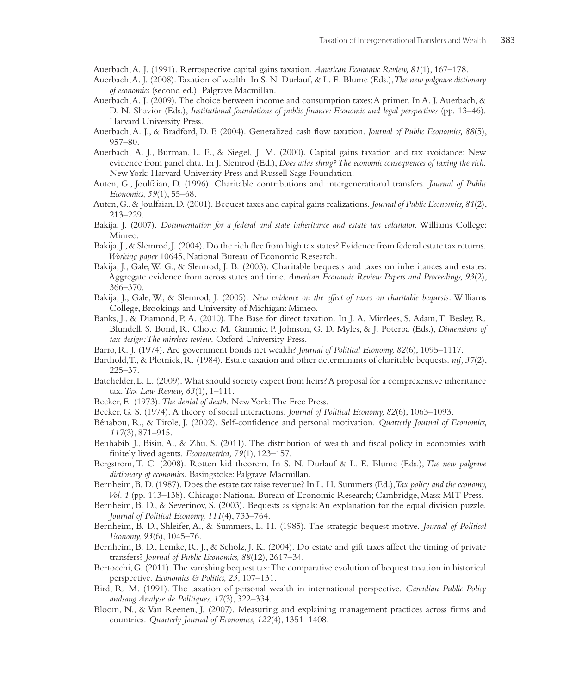<span id="page-54-16"></span>Auerbach,A. J. (1991). Retrospective capital gains taxation. *American Economic Review, 81*(1), 167–178.

- <span id="page-54-3"></span>Auerbach,A. J. (2008).Taxation of wealth. In S. N. Durlauf, & L. E. Blume (Eds.),*The new palgrave dictionary of economics* (second ed.). Palgrave Macmillan.
- <span id="page-54-8"></span>Auerbach,A. J. (2009). The choice between income and consumption taxes:A primer. In A. J. Auerbach, & D. N. Shavior (Eds.), *Institutional foundations of public finance: Economic and legal perspectives* (pp. 13–46). Harvard University Press.
- <span id="page-54-17"></span>Auerbach,A. J., & Bradford, D. F. (2004). Generalized cash flow taxation. *Journal of Public Economics, 88*(5), 957–80.
- Auerbach, A. J., Burman, L. E., & Siegel, J. M. (2000). Capital gains taxation and tax avoidance: New evidence from panel data. In J. Slemrod (Ed.), *Does atlas shrug?The economic consequences of taxing the rich*. NewYork: Harvard University Press and Russell Sage Foundation.
- <span id="page-54-19"></span>Auten, G., Joulfaian, D. (1996). Charitable contributions and intergenerational transfers. *Journal of Public Economics, 59*(1), 55–68.
- <span id="page-54-18"></span>Auten,G.,& Joulfaian,D. (2001). Bequest taxes and capital gains realizations. *Journal of Public Economics, 81*(2), 213–229.
- <span id="page-54-1"></span>Bakija, J. (2007). *Documentation for a federal and state inheritance and estate tax calculator*. Williams College: Mimeo.
- <span id="page-54-23"></span>Bakija, J., & Slemrod, J. (2004). Do the rich flee from high tax states? Evidence from federal estate tax returns. *Working paper* 10645, National Bureau of Economic Research.
- <span id="page-54-21"></span>Bakija, J., Gale,W. G., & Slemrod, J. B. (2003). Charitable bequests and taxes on inheritances and estates: Aggregate evidence from across states and time. *American Economic Review Papers and Proceedings, 93*(2), 366–370.
- <span id="page-54-22"></span>Bakija, J., Gale,W., & Slemrod, J. (2005). *New evidence on the effect of taxes on charitable bequests*. Williams College, Brookings and University of Michigan: Mimeo.
- <span id="page-54-7"></span>Banks, J., & Diamond, P. A. (2010). The Base for direct taxation. In J. A. Mirrlees, S. Adam,T. Besley, R. Blundell, S. Bond, R. Chote, M. Gammie, P. Johnson, G. D. Myles, & J. Poterba (Eds.), *Dimensions of tax design:The mirrlees review*. Oxford University Press.
- <span id="page-54-4"></span>Barro, R. J. (1974). Are government bonds net wealth? *Journal of Political Economy, 82*(6), 1095–1117.
- <span id="page-54-20"></span>Barthold,T., & Plotnick, R. (1984). Estate taxation and other determinants of charitable bequests. *ntj, 37*(2), 225–37.
- <span id="page-54-0"></span>Batchelder, L. L. (2009).What should society expect from heirs? A proposal for a comprexensive inheritance tax.*Tax Law Review, 63*(1), 1–111.
- <span id="page-54-14"></span>Becker, E. (1973).*The denial of death*. NewYork:The Free Press.
- <span id="page-54-11"></span>Becker, G. S. (1974). A theory of social interactions. *Journal of Political Economy, 82*(6), 1063–1093.
- <span id="page-54-15"></span>Bénabou, R., & Tirole, J. (2002). Self-confidence and personal motivation. *Quarterly Journal of Economics, 117*(3), 871–915.
- Benhabib, J., Bisin, A., & Zhu, S. (2011). The distribution of wealth and fiscal policy in economies with finitely lived agents. *Econometrica, 79*(1), 123–157.
- <span id="page-54-12"></span>Bergstrom, T. C. (2008). Rotten kid theorem. In S. N. Durlauf & L. E. Blume (Eds.),*The new palgrave dictionary of economics*. Basingstoke: Palgrave Macmillan.
- <span id="page-54-9"></span>Bernheim,B. D. (1987). Does the estate tax raise revenue? In L. H. Summers (Ed.),*Tax policy and the economy, Vol. 1* (pp. 113–138). Chicago: National Bureau of Economic Research; Cambridge, Mass: MIT Press.
- <span id="page-54-5"></span>Bernheim, B. D., & Severinov, S. (2003). Bequests as signals:An explanation for the equal division puzzle. *Journal of Political Economy, 111*(4), 733–764.
- <span id="page-54-6"></span>Bernheim, B. D., Shleifer, A., & Summers, L. H. (1985). The strategic bequest motive. *Journal of Political Economy, 93*(6), 1045–76.
- <span id="page-54-10"></span>Bernheim, B. D., Lemke, R. J., & Scholz, J. K. (2004). Do estate and gift taxes affect the timing of private transfers? *Journal of Public Economics, 88*(12), 2617–34.
- <span id="page-54-24"></span>Bertocchi, G. (2011).The vanishing bequest tax:The comparative evolution of bequest taxation in historical perspective. *Economics & Politics, 23,* 107–131.
- <span id="page-54-2"></span>Bird, R. M. (1991). The taxation of personal wealth in international perspective. *Canadian Public Policy andsang Analyse de Politiques, 17*(3), 322–334.
- <span id="page-54-13"></span>Bloom, N., & Van Reenen, J. (2007). Measuring and explaining management practices across firms and countries. *Quarterly Journal of Economics, 122*(4), 1351–1408.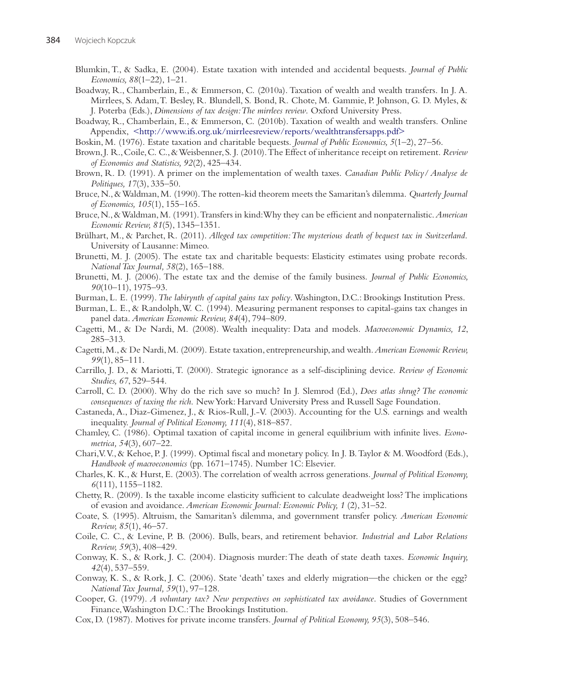- <span id="page-55-7"></span>Blumkin, T., & Sadka, E. (2004). Estate taxation with intended and accidental bequests. *Journal of Public Economics, 88*(1–22), 1–21.
- <span id="page-55-1"></span>Boadway, R., Chamberlain, E., & Emmerson, C. (2010a). Taxation of wealth and wealth transfers. In J. A. Mirrlees, S. Adam,T. Besley, R. Blundell, S. Bond, R. Chote, M. Gammie, P. Johnson, G. D. Myles, & J. Poterba (Eds.), *Dimensions of tax design:The mirrlees review*. Oxford University Press.
- <span id="page-55-0"></span>Boadway, R., Chamberlain, E., & Emmerson, C. (2010b). Taxation of wealth and wealth transfers. Online Appendix, [<http://www.ifs.org.uk/mirrleesreview/reports/wealthtransfersapps.pdf>](http://www.ifs.org.uk/mirrleesreview/reports/wealthtransfersapps.pdf)
- <span id="page-55-21"></span>Boskin, M. (1976). Estate taxation and charitable bequests. *Journal of Public Economics, 5*(1–2), 27–56.
- <span id="page-55-11"></span>Brown, J. R.,Coile,C. C.,&Weisbenner,S. J. (2010).The Effect of inheritance receipt on retirement. *Review of Economics and Statistics, 92*(2), 425–434.
- Brown, R. D. (1991). A primer on the implementation of wealth taxes. *Canadian Public Policy/ Analyse de Politiques, 17*(3), 335–50.
- <span id="page-55-10"></span>Bruce, N., &Waldman,M. (1990).The rotten-kid theorem meets the Samaritan's dilemma. *Quarterly Journal of Economics, 105*(1), 155–165.
- <span id="page-55-5"></span>Bruce,N.,&Waldman,M. (1991).Transfers in kind:Why they can be efficient and nonpaternalistic.*American Economic Review, 81*(5), 1345–1351.
- <span id="page-55-24"></span>Brülhart, M., & Parchet, R. (2011). *Alleged tax competition:The mysterious death of bequest tax in Switzerland*. University of Lausanne: Mimeo.
- <span id="page-55-22"></span>Brunetti, M. J. (2005). The estate tax and charitable bequests: Elasticity estimates using probate records. *NationalTax Journal, 58*(2), 165–188.
- <span id="page-55-14"></span>Brunetti, M. J. (2006). The estate tax and the demise of the family business. *Journal of Public Economics, 90*(10–11), 1975–93.
- <span id="page-55-18"></span>Burman, L. E. (1999).*The labirynth of capital gains tax policy*.Washington, D.C.: Brookings Institution Press.
- <span id="page-55-17"></span>Burman, L. E., & Randolph,W. C. (1994). Measuring permanent responses to capital-gains tax changes in panel data. *American Economic Review, 84*(4), 794–809.
- <span id="page-55-2"></span>Cagetti, M., & De Nardi, M. (2008). Wealth inequality: Data and models. *Macroeconomic Dynamics, 12*, 285–313.
- <span id="page-55-20"></span>Cagetti,M., & De Nardi,M. (2009). Estate taxation, entrepreneurship, and wealth.*American Economic Review, 99*(1), 85–111.
- <span id="page-55-16"></span>Carrillo, J. D., & Mariotti, T. (2000). Strategic ignorance as a self-disciplining device. *Review of Economic Studies, 67*, 529–544.
- <span id="page-55-3"></span>Carroll, C. D. (2000). Why do the rich save so much? In J. Slemrod (Ed.), *Does atlas shrug? The economic consequences of taxing the rich*. NewYork: Harvard University Press and Russell Sage Foundation.
- <span id="page-55-19"></span>Castaneda, A., Diaz-Gimenez, J., & Rios-Rull, J.-V. (2003). Accounting for the U.S. earnings and wealth inequality. *Journal of Political Economy, 111*(4), 818–857.
- <span id="page-55-8"></span>Chamley, C. (1986). Optimal taxation of capital income in general equilibrium with infinite lives. *Econometrica, 54*(3), 607–22.
- Chari,V.V., & Kehoe, P. J. (1999). Optimal fiscal and monetary policy. In J. B.Taylor & M.Woodford (Eds.), *Handbook of macroeconomics* (pp. 1671–1745). Number 1C: Elsevier.
- <span id="page-55-13"></span>Charles, K. K., & Hurst, E. (2003).The correlation of wealth acrross generations. *Journal of Political Economy, 6*(111), 1155–1182.
- <span id="page-55-9"></span>Chetty, R. (2009). Is the taxable income elasticity sufficient to calculate deadweight loss? The implications of evasion and avoidance. *American Economic Journal: Economic Policy, 1* (2), 31–52.
- <span id="page-55-6"></span>Coate, S. (1995). Altruism, the Samaritan's dilemma, and government transfer policy. *American Economic Review, 85*(1), 46–57.
- <span id="page-55-12"></span>Coile, C. C., & Levine, P. B. (2006). Bulls, bears, and retirement behavior. *Industrial and Labor Relations Review, 59*(3), 408–429.
- Conway, K. S., & Rork, J. C. (2004). Diagnosis murder:The death of state death taxes. *Economic Inquiry, 42*(4), 537–559.
- <span id="page-55-23"></span>Conway, K. S., & Rork, J. C. (2006). State 'death' taxes and elderly migration—the chicken or the egg? *NationalTax Journal, 59*(1), 97–128.
- <span id="page-55-15"></span>Cooper, G. (1979). *A voluntary tax? New perspectives on sophisticated tax avoidance*. Studies of Government Finance,Washington D.C.:The Brookings Institution.
- <span id="page-55-4"></span>Cox, D. (1987). Motives for private income transfers. *Journal of Political Economy, 95*(3), 508–546.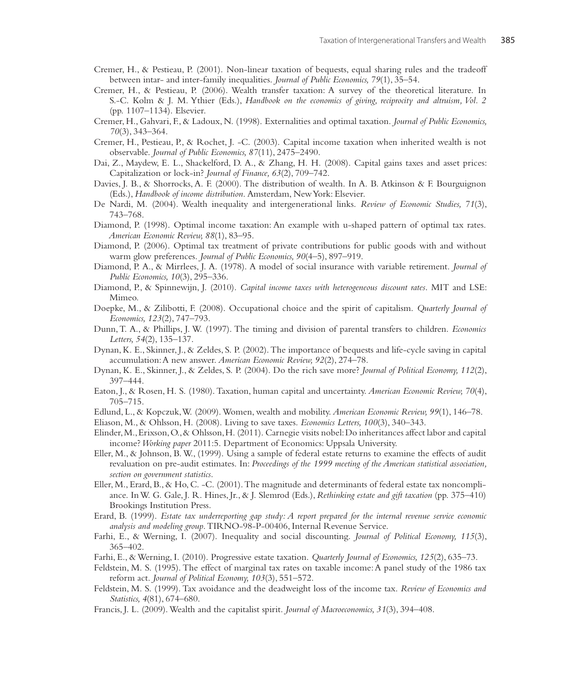- <span id="page-56-7"></span>Cremer, H., & Pestieau, P. (2001). Non-linear taxation of bequests, equal sharing rules and the tradeoff between intar- and inter-family inequalities. *Journal of Public Economics, 79*(1), 35–54.
- <span id="page-56-0"></span>Cremer, H., & Pestieau, P. (2006). Wealth transfer taxation: A survey of the theoretical literature. In S.-C. Kolm & J. M. Ythier (Eds.), *Handbook on the economics of giving, reciprocity and altruism, Vol. 2* (pp. 1107–1134). Elsevier.
- Cremer, H., Gahvari, F., & Ladoux, N. (1998). Externalities and optimal taxation. *Journal of Public Economics, 70*(3), 343–364.
- <span id="page-56-8"></span>Cremer, H., Pestieau, P., & Rochet, J. -C. (2003). Capital income taxation when inherited wealth is not observable. *Journal of Public Economics, 87*(11), 2475–2490.
- Dai, Z., Maydew, E. L., Shackelford, D. A., & Zhang, H. H. (2008). Capital gains taxes and asset prices: Capitalization or lock-in? *Journal of Finance, 63*(2), 709–742.
- <span id="page-56-1"></span>Davies, J. B., & Shorrocks, A. F. (2000). The distribution of wealth. In A. B. Atkinson & F. Bourguignon (Eds.), *Handbook of income distribution*. Amsterdam, NewYork: Elsevier.
- <span id="page-56-4"></span>De Nardi, M. (2004). Wealth inequality and intergenerational links. *Review of Economic Studies, 71*(3), 743–768.
- <span id="page-56-10"></span>Diamond, P. (1998). Optimal income taxation: An example with u-shaped pattern of optimal tax rates. *American Economic Review, 88*(1), 83–95.
- Diamond, P. (2006). Optimal tax treatment of private contributions for public goods with and without warm glow preferences. *Journal of Public Economics, 90*(4–5), 897–919.
- <span id="page-56-12"></span>Diamond, P. A., & Mirrlees, J. A. (1978). A model of social insurance with variable retirement. *Journal of Public Economics, 10*(3), 295–336.
- <span id="page-56-6"></span>Diamond, P., & Spinnewijn, J. (2010). *Capital income taxes with heterogeneous discount rates*. MIT and LSE: Mimeo.
- <span id="page-56-13"></span>Doepke, M., & Zilibotti, F. (2008). Occupational choice and the spirit of capitalism. *Quarterly Journal of Economics, 123*(2), 747–793.
- <span id="page-56-3"></span>Dunn,T. A., & Phillips, J. W. (1997). The timing and division of parental transfers to children. *Economics Letters, 54*(2), 135–137.
- Dynan, K. E., Skinner, J., & Zeldes, S. P. (2002). The importance of bequests and life-cycle saving in capital accumulation:A new answer. *American Economic Review, 92*(2), 274–78.
- Dynan, K. E., Skinner, J., & Zeldes, S. P. (2004). Do the rich save more? *Journal of Political Economy, 112*(2), 397–444.
- <span id="page-56-11"></span>Eaton, J., & Rosen, H. S. (1980). Taxation, human capital and uncertainty. *American Economic Review, 70*(4), 705–715.
- Edlund, L., & Kopczuk,W. (2009).Women, wealth and mobility. *American Economic Review, 99*(1), 146–78.
- <span id="page-56-15"></span>Eliason, M., & Ohlsson, H. (2008). Living to save taxes. *Economics Letters, 100*(3), 340–343.
- <span id="page-56-14"></span>Elinder,M.,Erixson,O.,& Ohlsson,H. (2011). Carnegie visits nobel:Do inheritances affect labor and capital income?*Working paper* 2011:5. Department of Economics: Uppsala University.
- <span id="page-56-17"></span>Eller, M., & Johnson, B.W., (1999). Using a sample of federal estate returns to examine the effects of audit revaluation on pre-audit estimates. In: *Proceedings of the 1999 meeting of the American statistical association, section on government statistics*.
- <span id="page-56-16"></span>Eller, M., Erard, B., & Ho, C. -C. (2001). The magnitude and determinants of federal estate tax noncompliance. InW. G. Gale, J. R. Hines, Jr., & J. Slemrod (Eds.),*Rethinking estate and gift taxation* (pp. 375–410) Brookings Institution Press.
- Erard, B. (1999). *Estate tax underreporting gap study: A report prepared for the internal revenue service economic analysis and modeling group*. TIRNO-98-P-00406, Internal Revenue Service.
- <span id="page-56-5"></span>Farhi, E., & Werning, I. (2007). Inequality and social discounting. *Journal of Political Economy, 115*(3), 365–402.
- <span id="page-56-9"></span>Farhi, E., &Werning, I. (2010). Progressive estate taxation. *Quarterly Journal of Economics, 125*(2), 635–73.
- Feldstein, M. S. (1995). The effect of marginal tax rates on taxable income: A panel study of the 1986 tax reform act. *Journal of Political Economy, 103*(3), 551–572.
- Feldstein, M. S. (1999). Tax avoidance and the deadweight loss of the income tax. *Review of Economics and Statistics, 4*(81), 674–680.
- <span id="page-56-2"></span>Francis, J. L. (2009).Wealth and the capitalist spirit. *Journal of Macroeconomics, 31*(3), 394–408.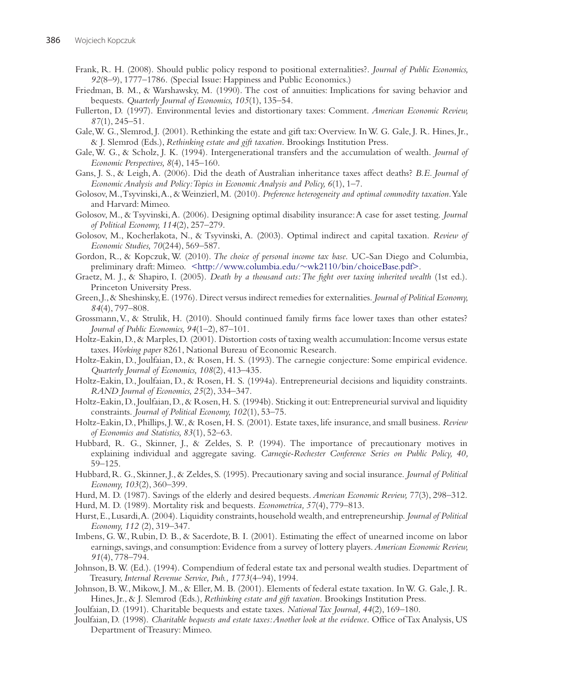- <span id="page-57-0"></span>Frank, R. H. (2008). Should public policy respond to positional externalities?. *Journal of Public Economics, 92*(8–9), 1777–1786. (Special Issue: Happiness and Public Economics.)
- <span id="page-57-1"></span>Friedman, B. M., & Warshawsky, M. (1990). The cost of annuities: Implications for saving behavior and bequests. *Quarterly Journal of Economics, 105*(1), 135–54.
- <span id="page-57-7"></span>Fullerton, D. (1997). Environmental levies and distortionary taxes: Comment. *American Economic Review, 87*(1), 245–51.
- Gale, W. G., Slemrod, J. (2001). Rethinking the estate and gift tax: Overview. In W. G. Gale, J. R. Hines, Jr., & J. Slemrod (Eds.), *Rethinking estate and gift taxation*. Brookings Institution Press.
- <span id="page-57-18"></span>Gale,W. G., & Scholz, J. K. (1994). Intergenerational transfers and the accumulation of wealth. *Journal of Economic Perspectives, 8*(4), 145–160.
- <span id="page-57-16"></span>Gans, J. S., & Leigh, A. (2006). Did the death of Australian inheritance taxes affect deaths? *B.E. Journal of Economic Analysis and Policy:Topics in Economic Analysis and Policy, 6*(1), 1–7.
- <span id="page-57-4"></span>Golosov,M.,Tsyvinski,A., &Weinzierl,M. (2010). *Preference heterogeneity and optimal commodity taxation*.Yale and Harvard: Mimeo.
- <span id="page-57-8"></span>Golosov, M., & Tsyvinski,A. (2006). Designing optimal disability insurance:A case for asset testing. *Journal of Political Economy, 114*(2), 257–279.
- <span id="page-57-6"></span>Golosov, M., Kocherlakota, N., & Tsyvinski, A. (2003). Optimal indirect and capital taxation. *Review of Economic Studies, 70*(244), 569–587.
- Gordon, R., & Kopczuk,W. (2010). *The choice of personal income tax base*. UC-San Diego and Columbia, preliminary draft: Mimeo. <http://www.columbia.edu/∼[wk2110/bin/choiceBase.pdf>.](http://www.columbia.edu/{\sim }wk2110/bin/choiceBase.pdf)
- <span id="page-57-19"></span>Graetz, M. J., & Shapiro, I. (2005). *Death by a thousand cuts:The fight over taxing inherited wealth* (1st ed.). Princeton University Press.
- <span id="page-57-5"></span>Green, J.,& Sheshinsky,E. (1976). Direct versus indirect remedies for externalities. *Journal of Political Economy, 84*(4), 797–808.
- <span id="page-57-15"></span>Grossmann,V., & Strulik, H. (2010). Should continued family firms face lower taxes than other estates? *Journal of Public Economics, 94*(1–2), 87–101.
- <span id="page-57-10"></span>Holtz-Eakin, D., & Marples, D. (2001). Distortion costs of taxing wealth accumulation: Income versus estate taxes.*Working paper* 8261, National Bureau of Economic Research.
- <span id="page-57-11"></span>Holtz-Eakin, D., Joulfaian, D., & Rosen, H. S. (1993). The carnegie conjecture: Some empirical evidence. *Quarterly Journal of Economics, 108*(2), 413–435.
- Holtz-Eakin, D., Joulfaian, D., & Rosen, H. S. (1994a). Entrepreneurial decisions and liquidity constraints. *RAND Journal of Economics, 25*(2), 334–347.
- Holtz-Eakin, D., Joulfaian, D., & Rosen,H. S. (1994b). Sticking it out: Entrepreneurial survival and liquidity constraints. *Journal of Political Economy, 102*(1), 53–75.
- <span id="page-57-14"></span>Holtz-Eakin, D., Phillips, J.W., & Rosen, H. S. (2001). Estate taxes, life insurance, and small business. *Review of Economics and Statistics, 83*(1), 52–63.
- Hubbard, R. G., Skinner, J., & Zeldes, S. P. (1994). The importance of precautionary motives in explaining individual and aggregate saving. *Carnegie-Rochester Conference Series on Public Policy, 40,* 59–125.
- Hubbard, R. G., Skinner, J., & Zeldes, S. (1995). Precautionary saving and social insurance. *Journal of Political Economy, 103*(2), 360–399.
- <span id="page-57-2"></span>Hurd, M. D. (1987). Savings of the elderly and desired bequests. *American Economic Review, 77*(3), 298–312.
- <span id="page-57-3"></span>Hurd, M. D. (1989). Mortality risk and bequests. *Econometrica, 57*(4), 779–813.
- <span id="page-57-13"></span>Hurst,E., Lusardi,A. (2004). Liquidity constraints, household wealth, and entrepreneurship. *Journal of Political Economy, 112* (2), 319–347.
- <span id="page-57-12"></span>Imbens, G.W., Rubin, D. B., & Sacerdote, B. I. (2001). Estimating the effect of unearned income on labor earnings, savings, and consumption: Evidence from a survey of lottery players.*American Economic Review, 91*(4), 778–794.
- <span id="page-57-9"></span>Johnson, B.W. (Ed.). (1994). Compendium of federal estate tax and personal wealth studies. Department of Treasury, *Internal Revenue Service, Pub., 1773*(4–94), 1994.
- <span id="page-57-17"></span>Johnson, B.W., Mikow, J. M., & Eller, M. B. (2001). Elements of federal estate taxation. InW. G. Gale, J. R. Hines, Jr., & J. Slemrod (Eds.), *Rethinking estate and gift taxation*. Brookings Institution Press.
- Joulfaian, D. (1991). Charitable bequests and estate taxes. *NationalTax Journal, 44*(2), 169–180.
- Joulfaian, D. (1998). *Charitable bequests and estate taxes:Another look at the evidence*. Office of Tax Analysis, US Department of Treasury: Mimeo.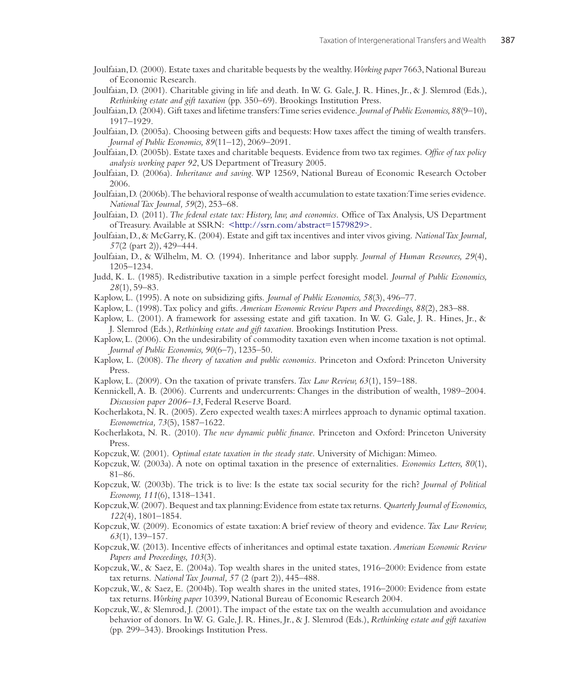- <span id="page-58-23"></span>Joulfaian,D. (2000). Estate taxes and charitable bequests by the wealthy.*Working paper* 7663,National Bureau of Economic Research.
- <span id="page-58-25"></span>Joulfaian, D. (2001). Charitable giving in life and death. InW. G. Gale, J. R. Hines, Jr., & J. Slemrod (Eds.), *Rethinking estate and gift taxation* (pp. 350–69). Brookings Institution Press.
- <span id="page-58-17"></span>Joulfaian,D. (2004). Gift taxes and lifetime transfers:Time series evidence. *Journal of Public Economics,88*(9–10), 1917–1929.
- <span id="page-58-14"></span>Joulfaian, D. (2005a). Choosing between gifts and bequests: How taxes affect the timing of wealth transfers. *Journal of Public Economics, 89*(11–12), 2069–2091.
- <span id="page-58-24"></span>Joulfaian, D. (2005b). Estate taxes and charitable bequests. Evidence from two tax regimes. *Office of tax policy analysis working paper 92*, US Department of Treasury 2005.
- <span id="page-58-20"></span>Joulfaian, D. (2006a). *Inheritance and saving*. WP 12569, National Bureau of Economic Research October 2006.
- <span id="page-58-16"></span>Joulfaian,D. (2006b).The behavioral response of wealth accumulation to estate taxation:Time series evidence. *NationalTax Journal, 59*(2), 253–68.
- <span id="page-58-0"></span>Joulfaian, D. (2011).*The federal estate tax: History, law, and economics*. Office of Tax Analysis, US Department of Treasury. Available at SSRN: [<http://ssrn.com/abstract=1579829>.](http://ssrn.com/abstract=1579829)
- <span id="page-58-18"></span>Joulfaian,D., & McGarry,K. (2004). Estate and gift tax incentives and inter vivos giving. *NationalTax Journal, 57*(2 (part 2)), 429–444.
- <span id="page-58-19"></span>Joulfaian, D., & Wilhelm, M. O. (1994). Inheritance and labor supply. *Journal of Human Resources, 29*(4), 1205–1234.
- <span id="page-58-11"></span>Judd, K. L. (1985). Redistributive taxation in a simple perfect foresight model. *Journal of Public Economics, 28*(1), 59–83.
- Kaplow, L. (1995). A note on subsidizing gifts. *Journal of Public Economics, 58*(3), 496–77.
- Kaplow, L. (1998). Tax policy and gifts. *American Economic Review Papers and Proceedings, 88*(2), 283–88.
- <span id="page-58-5"></span>Kaplow, L. (2001). A framework for assessing estate and gift taxation. In W. G. Gale, J. R. Hines, Jr., & J. Slemrod (Eds.), *Rethinking estate and gift taxation*. Brookings Institution Press.
- <span id="page-58-6"></span>Kaplow, L. (2006). On the undesirability of commodity taxation even when income taxation is not optimal. *Journal of Public Economics, 90*(6–7), 1235–50.
- <span id="page-58-7"></span>Kaplow, L. (2008). *The theory of taxation and public economics*. Princeton and Oxford: Princeton University Press.
- <span id="page-58-9"></span>Kaplow, L. (2009). On the taxation of private transfers.*Tax Law Review, 63*(1), 159–188.
- <span id="page-58-22"></span>Kennickell, A. B. (2006). Currents and undercurrents: Changes in the distribution of wealth, 1989–2004. *Discussion paper 2006–13*, Federal Reserve Board.
- <span id="page-58-12"></span>Kocherlakota, N. R. (2005). Zero expected wealth taxes:A mirrlees approach to dynamic optimal taxation. *Econometrica, 73*(5), 1587–1622.
- <span id="page-58-13"></span>Kocherlakota, N. R. (2010). *The new dynamic public finance*. Princeton and Oxford: Princeton University Press.
- <span id="page-58-3"></span>Kopczuk,W. (2001). *Optimal estate taxation in the steady state*. University of Michigan: Mimeo.
- <span id="page-58-4"></span>Kopczuk,W. (2003a). A note on optimal taxation in the presence of externalities. *Economics Letters, 80*(1), 81–86.
- <span id="page-58-1"></span>Kopczuk,W. (2003b). The trick is to live: Is the estate tax social security for the rich? *Journal of Political Economy, 111*(6), 1318–1341.
- <span id="page-58-2"></span>Kopczuk,W. (2007). Bequest and tax planning:Evidence from estate tax returns. *Quarterly Journal of Economics, 122*(4), 1801–1854.
- <span id="page-58-8"></span>Kopczuk,W. (2009). Economics of estate taxation:A brief review of theory and evidence.*Tax Law Review, 63*(1), 139–157.
- <span id="page-58-10"></span>Kopczuk,W. (2013). Incentive effects of inheritances and optimal estate taxation. *American Economic Review Papers and Proceedings, 103*(3).
- <span id="page-58-21"></span>Kopczuk,W., & Saez, E. (2004a). Top wealth shares in the united states, 1916–2000: Evidence from estate tax returns. *NationalTax Journal, 57* (2 (part 2)), 445–488.
- Kopczuk,W., & Saez, E. (2004b). Top wealth shares in the united states, 1916–2000: Evidence from estate tax returns.*Working paper* 10399, National Bureau of Economic Research 2004.
- <span id="page-58-15"></span>Kopczuk,W., & Slemrod, J. (2001). The impact of the estate tax on the wealth accumulation and avoidance behavior of donors. InW. G. Gale, J. R. Hines, Jr., & J. Slemrod (Eds.),*Rethinking estate and gift taxation* (pp. 299–343). Brookings Institution Press.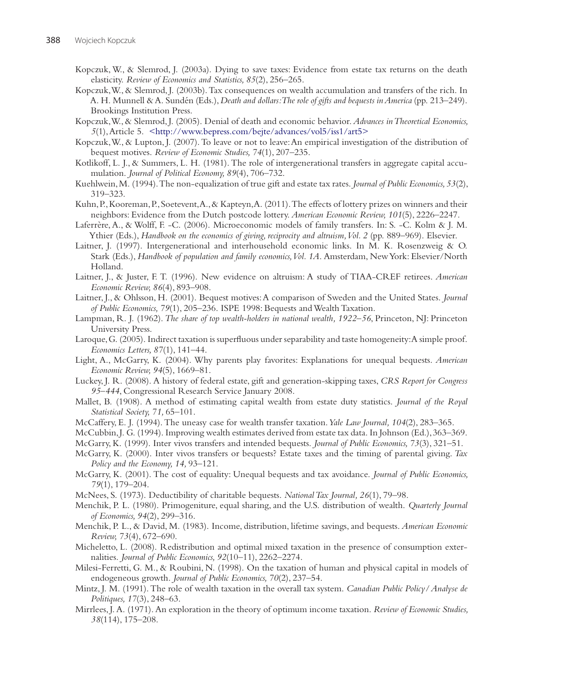- <span id="page-59-17"></span>Kopczuk,W., & Slemrod, J. (2003a). Dying to save taxes: Evidence from estate tax returns on the death elasticity. *Review of Economics and Statistics, 85*(2), 256–265.
- <span id="page-59-23"></span>Kopczuk,W., & Slemrod, J. (2003b).Tax consequences on wealth accumulation and transfers of the rich. In A. H. Munnell & A. Sundén (Eds.),*Death and dollars:The role of gifts and bequests inAmerica* (pp. 213–249). Brookings Institution Press.
- <span id="page-59-18"></span>Kopczuk,W., & Slemrod, J. (2005). Denial of death and economic behavior.*Advances inTheoretical Economics, 5*(1), Article 5. [<http://www.bepress.com/bejte/advances/vol5/iss1/art5>](http://www.bepress.com/bejte/advances/vol5/iss1/art5)
- <span id="page-59-10"></span>Kopczuk,W., & Lupton, J. (2007). To leave or not to leave:An empirical investigation of the distribution of bequest motives. *Review of Economic Studies, 74*(1), 207–235.
- <span id="page-59-19"></span>Kotlikoff, L. J., & Summers, L. H. (1981). The role of intergenerational transfers in aggregate capital accumulation. *Journal of Political Economy, 89*(4), 706–732.
- <span id="page-59-15"></span>Kuehlwein,M. (1994).The non-equalization of true gift and estate tax rates. *Journal of Public Economics, 53*(2), 319–323.
- <span id="page-59-16"></span>Kuhn,P.,Kooreman,P.,Soetevent,A.,& Kapteyn,A. (2011).The effects of lottery prizes on winners and their neighbors: Evidence from the Dutch postcode lottery. *American Economic Review, 101*(5), 2226–2247.
- <span id="page-59-2"></span>Laferrère, A., & Wolff, F. -C. (2006). Microeconomic models of family transfers. In: S. -C. Kolm & J. M. Ythier (Eds.), *Handbook on the economics of giving, reciprocity and altruism, Vol. 2* (pp. 889–969). Elsevier.
- <span id="page-59-1"></span>Laitner, J. (1997). Intergenerational and interhousehold economic links. In M. K. Rosenzweig & O. Stark (Eds.), *Handbook of population and family economics,Vol. 1A*. Amsterdam, NewYork: Elsevier/North Holland.
- <span id="page-59-9"></span>Laitner, J., & Juster, F. T. (1996). New evidence on altruism: A study of TIAA-CREF retirees. *American Economic Review, 86*(4), 893–908.
- <span id="page-59-4"></span>Laitner, J., & Ohlsson, H. (2001). Bequest motives:A comparison of Sweden and the United States. *Journal of Public Economics, 79*(1), 205–236. ISPE 1998: Bequests andWealth Taxation.
- <span id="page-59-21"></span>Lampman, R. J. (1962).*The share of top wealth-holders in national wealth, 1922–56*, Princeton, NJ: Princeton University Press.
- <span id="page-59-11"></span>Laroque,G. (2005). Indirect taxation is superfluous under separability and taste homogeneity:A simple proof. *Economics Letters, 87*(1), 141–44.
- <span id="page-59-5"></span>Light, A., McGarry, K. (2004). Why parents play favorites: Explanations for unequal bequests. *American Economic Review, 94*(5), 1669–81.
- <span id="page-59-0"></span>Luckey, J. R. (2008). A history of federal estate, gift and generation-skipping taxes, *CRS Report for Congress 95–444*, Congressional Research Service January 2008.
- <span id="page-59-20"></span>Mallet, B. (1908). A method of estimating capital wealth from estate duty statistics. *Journal of the Royal Statistical Society, 71,* 65–101.
- McCaffery, E. J. (1994). The uneasy case for wealth transfer taxation.*Yale Law Journal, 104*(2), 283–365.
- <span id="page-59-14"></span>McCubbin, J. G. (1994). Improving wealth estimates derived from estate tax data. In Johnson (Ed.),363–369.
- <span id="page-59-8"></span>McGarry, K. (1999). Inter vivos transfers and intended bequests. *Journal of Public Economics, 73*(3), 321–51.
- McGarry, K. (2000). Inter vivos transfers or bequests? Estate taxes and the timing of parental giving. *Tax Policy and the Economy, 14,* 93–121.
- McGarry, K. (2001). The cost of equality: Unequal bequests and tax avoidance. *Journal of Public Economics, 79*(1), 179–204.
- <span id="page-59-22"></span>McNees, S. (1973). Deductibility of charitable bequests. *NationalTax Journal, 26*(1), 79–98.
- <span id="page-59-6"></span>Menchik, P. L. (1980). Primogeniture, equal sharing, and the U.S. distribution of wealth. *Quarterly Journal of Economics, 94*(2), 299–316.
- <span id="page-59-7"></span>Menchik, P. L., & David, M. (1983). Income, distribution, lifetime savings, and bequests. *American Economic Review, 73*(4), 672–690.
- <span id="page-59-12"></span>Micheletto, L. (2008). Redistribution and optimal mixed taxation in the presence of consumption externalities. *Journal of Public Economics, 92*(10–11), 2262–2274.
- <span id="page-59-13"></span>Milesi-Ferretti, G. M., & Roubini, N. (1998). On the taxation of human and physical capital in models of endogeneous growth. *Journal of Public Economics, 70*(2), 237–54.
- Mintz, J. M. (1991). The role of wealth taxation in the overall tax system. *Canadian Public Policy/ Analyse de Politiques, 17*(3), 248–63.
- <span id="page-59-3"></span>Mirrlees, J. A. (1971). An exploration in the theory of optimum income taxation. *Review of Economic Studies, 38*(114), 175–208.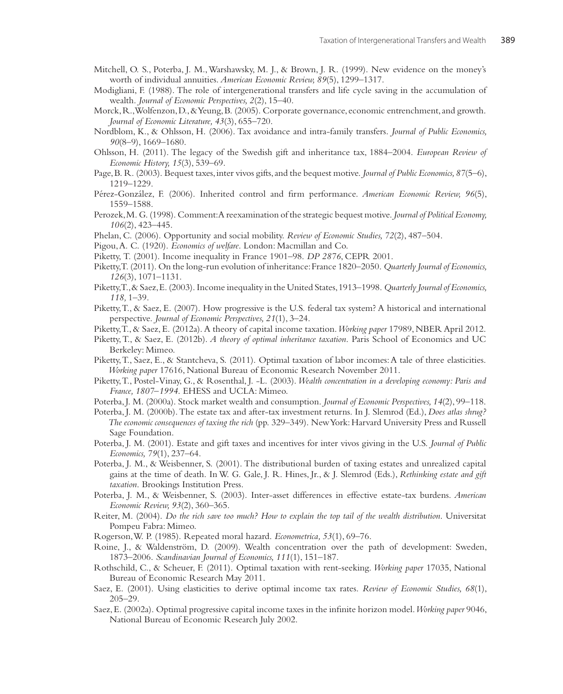- <span id="page-60-2"></span>Mitchell, O. S., Poterba, J. M.,Warshawsky, M. J., & Brown, J. R. (1999). New evidence on the money's worth of individual annuities. *American Economic Review, 89*(5), 1299–1317.
- <span id="page-60-22"></span>Modigliani, F. (1988). The role of intergenerational transfers and life cycle saving in the accumulation of wealth. *Journal of Economic Perspectives, 2*(2), 15–40.
- <span id="page-60-26"></span>Morck,R.,Wolfenzon,D.,&Yeung,B. (2005). Corporate governance, economic entrenchment, and growth. *Journal of Economic Literature, 43*(3), 655–720.
- <span id="page-60-14"></span>Nordblom, K., & Ohlsson, H. (2006). Tax avoidance and intra-family transfers. *Journal of Public Economics, 90*(8–9), 1669–1680.
- <span id="page-60-15"></span>Ohlsson, H. (2011). The legacy of the Swedish gift and inheritance tax, 1884–2004. *European Review of Economic History, 15*(3), 539–69.
- <span id="page-60-16"></span>Page,B. R. (2003). Bequest taxes,inter vivos gifts, and the bequest motive. *Journal of Public Economics, 87*(5–6), 1219–1229.
- <span id="page-60-19"></span>Pérez-González, F. (2006). Inherited control and firm performance. *American Economic Review, 96*(5), 1559–1588.
- <span id="page-60-3"></span>Perozek,M. G. (1998). Comment:A reexamination of the strategic bequest motive. *Journal of Political Economy, 106*(2), 423–445.
- <span id="page-60-4"></span>Phelan, C. (2006). Opportunity and social mobility. *Review of Economic Studies, 72*(2), 487–504.
- <span id="page-60-6"></span>Pigou,A. C. (1920). *Economics of welfare*. London: Macmillan and Co.
- <span id="page-60-10"></span>Piketty, T. (2001). Income inequality in France 1901–98. *DP 2876*, CEPR 2001.
- <span id="page-60-0"></span>Piketty,T. (2011). On the long-run evolution of inheritance:France 1820–2050. *Quarterly Journal of Economics, 126*(3), 1071–1131.
- <span id="page-60-25"></span>Piketty,T.,& Saez,E. (2003). Income inequality in the United States,1913–1998. *Quarterly Journal of Economics, 118,* 1–39.
- <span id="page-60-5"></span>Piketty,T., & Saez, E. (2007). How progressive is the U.S. federal tax system? A historical and international perspective. *Journal of Economic Perspectives, 21*(1), 3–24.
- <span id="page-60-7"></span>Piketty,T., & Saez, E. (2012a). A theory of capital income taxation.*Working paper* 17989, NBER April 2012.
- <span id="page-60-8"></span>Piketty,T., & Saez, E. (2012b). *A theory of optimal inheritance taxation*. Paris School of Economics and UC Berkeley: Mimeo.
- <span id="page-60-28"></span>Piketty, T., Saez, E., & Stantcheva, S. (2011). Optimal taxation of labor incomes: A tale of three elasticities. *Working paper* 17616, National Bureau of Economic Research November 2011.
- <span id="page-60-23"></span>Piketty,T., Postel-Vinay, G., & Rosenthal, J. -L. (2003).*Wealth concentration in a developing economy: Paris and France, 1807–1994*. EHESS and UCLA: Mimeo.
- <span id="page-60-18"></span>Poterba, J. M. (2000a). Stock market wealth and consumption. *Journal of Economic Perspectives, 14*(2), 99–118.
- <span id="page-60-13"></span>Poterba, J. M. (2000b). The estate tax and after-tax investment returns. In J. Slemrod (Ed.), *Does atlas shrug? The economic consequences of taxing the rich* (pp. 329–349). NewYork:Harvard University Press and Russell Sage Foundation.
- <span id="page-60-17"></span>Poterba, J. M. (2001). Estate and gift taxes and incentives for inter vivos giving in the U.S. *Journal of Public Economics, 79*(1), 237–64.
- <span id="page-60-21"></span>Poterba, J. M., & Weisbenner, S. (2001). The distributional burden of taxing estates and unrealized capital gains at the time of death. In W. G. Gale, J. R. Hines, Jr., & J. Slemrod (Eds.), *Rethinking estate and gift taxation*. Brookings Institution Press.
- <span id="page-60-20"></span>Poterba, J. M., & Weisbenner, S. (2003). Inter-asset differences in effective estate-tax burdens. *American Economic Review, 93*(2), 360–365.
- <span id="page-60-1"></span>Reiter, M. (2004). *Do the rich save too much? How to explain the top tail of the wealth distribution*. Universitat Pompeu Fabra: Mimeo.
- <span id="page-60-12"></span>Rogerson,W. P. (1985). Repeated moral hazard. *Econometrica, 53*(1), 69–76.
- <span id="page-60-24"></span>Roine, J., & Waldenström, D. (2009). Wealth concentration over the path of development: Sweden, 1873–2006. *Scandinavian Journal of Economics, 111*(1), 151–187.
- <span id="page-60-27"></span>Rothschild, C., & Scheuer, F. (2011). Optimal taxation with rent-seeking. *Working paper* 17035, National Bureau of Economic Research May 2011.
- <span id="page-60-11"></span>Saez, E. (2001). Using elasticities to derive optimal income tax rates. *Review of Economic Studies, 68*(1), 205–29.
- <span id="page-60-9"></span>Saez, E. (2002a). Optimal progressive capital income taxes in the infinite horizon model.*Working paper* 9046, National Bureau of Economic Research July 2002.